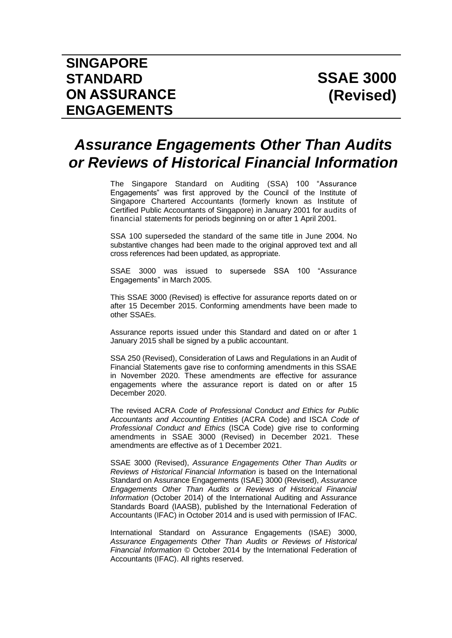# *Assurance Engagements Other Than Audits or Reviews of Historical Financial Information*

The Singapore Standard on Auditing (SSA) 100 "Assurance Engagements" was first approved by the Council of the Institute of Singapore Chartered Accountants (formerly known as Institute of Certified Public Accountants of Singapore) in January 2001 for audits of financial statements for periods beginning on or after 1 April 2001.

SSA 100 superseded the standard of the same title in June 2004. No substantive changes had been made to the original approved text and all cross references had been updated, as appropriate.

SSAE 3000 was issued to supersede SSA 100 "Assurance Engagements" in March 2005.

This SSAE 3000 (Revised) is effective for assurance reports dated on or after 15 December 2015. Conforming amendments have been made to other SSAEs.

Assurance reports issued under this Standard and dated on or after 1 January 2015 shall be signed by a public accountant.

SSA 250 (Revised), Consideration of Laws and Regulations in an Audit of Financial Statements gave rise to conforming amendments in this SSAE in November 2020. These amendments are effective for assurance engagements where the assurance report is dated on or after 15 December 2020.

The revised ACRA *Code of Professional Conduct and Ethics for Public Accountants and Accounting Entities* (ACRA Code) and ISCA *Code of Professional Conduct and Ethics* (ISCA Code) give rise to conforming amendments in SSAE 3000 (Revised) in December 2021. These amendments are effective as of 1 December 2021.

SSAE 3000 (Revised), *Assurance Engagements Other Than Audits or Reviews of Historical Financial Information* is based on the International Standard on Assurance Engagements (ISAE) 3000 (Revised), *Assurance Engagements Other Than Audits or Reviews of Historical Financial Information* (October 2014) of the International Auditing and Assurance Standards Board (IAASB), published by the International Federation of Accountants (IFAC) in October 2014 and is used with permission of IFAC.

International Standard on Assurance Engagements (ISAE) 3000, *Assurance Engagements Other Than Audits or Reviews of Historical Financial Information* © October 2014 by the International Federation of Accountants (IFAC). All rights reserved.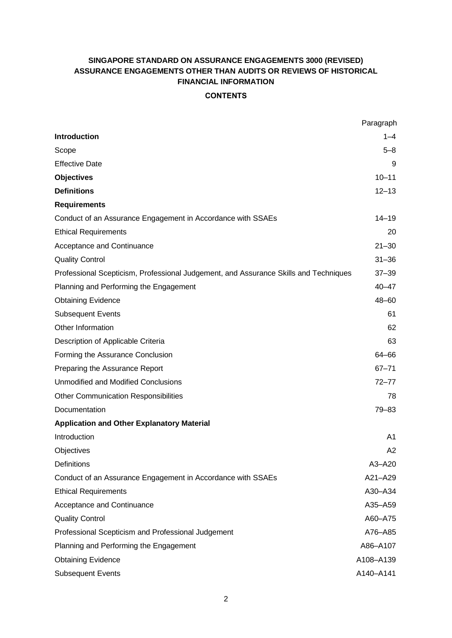# **SINGAPORE STANDARD ON ASSURANCE ENGAGEMENTS 3000 (REVISED) ASSURANCE ENGAGEMENTS OTHER THAN AUDITS OR REVIEWS OF HISTORICAL FINANCIAL INFORMATION**

# **CONTENTS**

|                                                                                      | Paragraph  |
|--------------------------------------------------------------------------------------|------------|
| <b>Introduction</b>                                                                  | $1 - 4$    |
| Scope                                                                                | $5 - 8$    |
| <b>Effective Date</b>                                                                | 9          |
| <b>Objectives</b>                                                                    | $10 - 11$  |
| <b>Definitions</b>                                                                   | $12 - 13$  |
| <b>Requirements</b>                                                                  |            |
| Conduct of an Assurance Engagement in Accordance with SSAEs                          | $14 - 19$  |
| <b>Ethical Requirements</b>                                                          | 20         |
| Acceptance and Continuance                                                           | $21 - 30$  |
| <b>Quality Control</b>                                                               | $31 - 36$  |
| Professional Scepticism, Professional Judgement, and Assurance Skills and Techniques | $37 - 39$  |
| Planning and Performing the Engagement                                               | $40 - 47$  |
| <b>Obtaining Evidence</b>                                                            | $48 - 60$  |
| <b>Subsequent Events</b>                                                             | 61         |
| Other Information                                                                    | 62         |
| Description of Applicable Criteria                                                   | 63         |
| Forming the Assurance Conclusion                                                     | 64-66      |
| Preparing the Assurance Report                                                       | $67 - 71$  |
| Unmodified and Modified Conclusions                                                  | $72 - 77$  |
| <b>Other Communication Responsibilities</b>                                          | 78         |
| Documentation                                                                        | $79 - 83$  |
| <b>Application and Other Explanatory Material</b>                                    |            |
| Introduction                                                                         | A1         |
| Objectives                                                                           | A2         |
| Definitions                                                                          | $A3 - A20$ |
| Conduct of an Assurance Engagement in Accordance with SSAEs                          | A21-A29    |
| <b>Ethical Requirements</b>                                                          | A30-A34    |
| Acceptance and Continuance                                                           | A35-A59    |
| <b>Quality Control</b>                                                               | A60-A75    |
| Professional Scepticism and Professional Judgement                                   | A76-A85    |
| Planning and Performing the Engagement                                               | A86-A107   |
| <b>Obtaining Evidence</b>                                                            | A108-A139  |
| <b>Subsequent Events</b>                                                             | A140-A141  |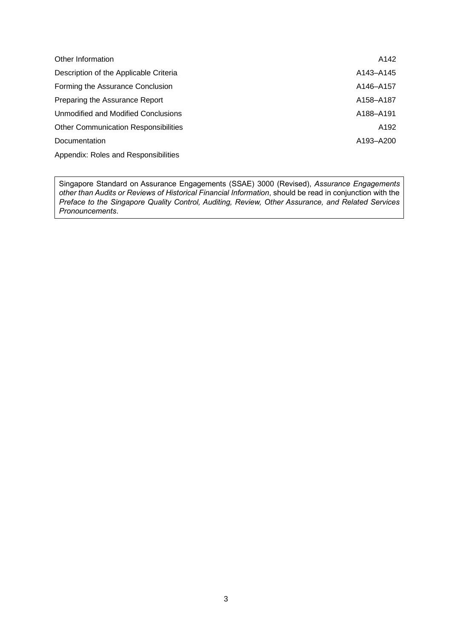| Other Information                           | A142      |
|---------------------------------------------|-----------|
| Description of the Applicable Criteria      | A143-A145 |
| Forming the Assurance Conclusion            | A146-A157 |
| Preparing the Assurance Report              | A158-A187 |
| Unmodified and Modified Conclusions         | A188-A191 |
| <b>Other Communication Responsibilities</b> | A192      |
| Documentation                               | A193-A200 |
| Appendix: Roles and Responsibilities        |           |

Singapore Standard on Assurance Engagements (SSAE) 3000 (Revised), *Assurance Engagements other than Audits or Reviews of Historical Financial Information*, should be read in conjunction with the *Preface to the Singapore Quality Control, Auditing, Review, Other Assurance, and Related Services Pronouncements*.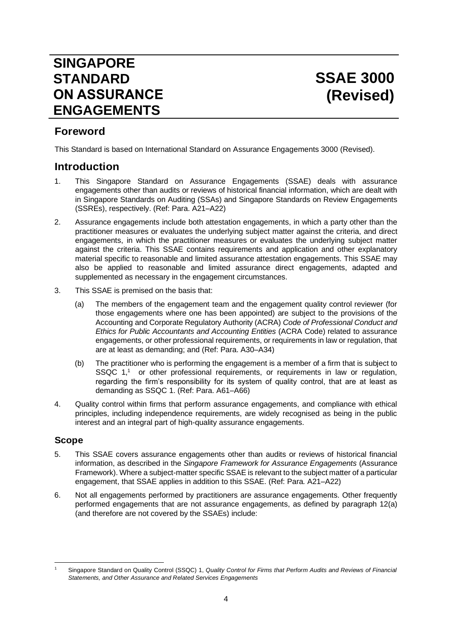# **SINGAPORE STANDARD ON ASSURANCE ENGAGEMENTS**

# **Foreword**

This Standard is based on International Standard on Assurance Engagements 3000 (Revised).

# **Introduction**

- 1. This Singapore Standard on Assurance Engagements (SSAE) deals with assurance engagements other than audits or reviews of historical financial information, which are dealt with in Singapore Standards on Auditing (SSAs) and Singapore Standards on Review Engagements (SSREs), respectively. (Ref: Para. A21–A22)
- 2. Assurance engagements include both attestation engagements, in which a party other than the practitioner measures or evaluates the underlying subject matter against the criteria, and direct engagements, in which the practitioner measures or evaluates the underlying subject matter against the criteria. This SSAE contains requirements and application and other explanatory material specific to reasonable and limited assurance attestation engagements. This SSAE may also be applied to reasonable and limited assurance direct engagements, adapted and supplemented as necessary in the engagement circumstances.
- 3. This SSAE is premised on the basis that:
	- (a) The members of the engagement team and the engagement quality control reviewer (for those engagements where one has been appointed) are subject to the provisions of the Accounting and Corporate Regulatory Authority (ACRA) *Code of Professional Conduct and Ethics for Public Accountants and Accounting Entities* (ACRA Code) related to assurance engagements, or other professional requirements, or requirements in law or regulation, that are at least as demanding; and (Ref: Para. A30–A34)
	- (b) The practitioner who is performing the engagement is a member of a firm that is subject to SSQC  $1$ ,<sup>1</sup> or other professional requirements, or requirements in law or regulation, regarding the firm's responsibility for its system of quality control, that are at least as demanding as SSQC 1. (Ref: Para. A61–A66)
- 4. Quality control within firms that perform assurance engagements, and compliance with ethical principles, including independence requirements, are widely recognised as being in the public interest and an integral part of high-quality assurance engagements.

# **Scope**

- 5. This SSAE covers assurance engagements other than audits or reviews of historical financial information, as described in the *Singapore Framework for Assurance Engagements* (Assurance Framework). Where a subject-matter specific SSAE is relevant to the subject matter of a particular engagement, that SSAE applies in addition to this SSAE. (Ref: Para. A21–A22)
- 6. Not all engagements performed by practitioners are assurance engagements. Other frequently performed engagements that are not assurance engagements, as defined by paragraph 12(a) (and therefore are not covered by the SSAEs) include:

<sup>1</sup> Singapore Standard on Quality Control (SSQC) 1, *Quality Control for Firms that Perform Audits and Reviews of Financial Statements, and Other Assurance and Related Services Engagements*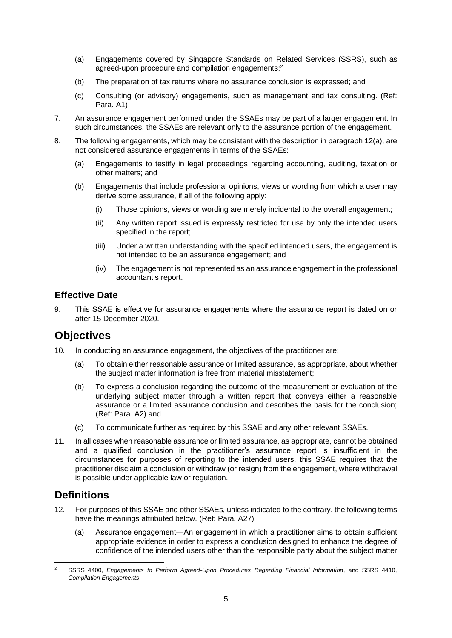- (a) Engagements covered by Singapore Standards on Related Services (SSRS), such as agreed-upon procedure and compilation engagements;<sup>2</sup>
- (b) The preparation of tax returns where no assurance conclusion is expressed; and
- (c) Consulting (or advisory) engagements, such as management and tax consulting. (Ref: Para. A1)
- 7. An assurance engagement performed under the SSAEs may be part of a larger engagement. In such circumstances, the SSAEs are relevant only to the assurance portion of the engagement.
- 8. The following engagements, which may be consistent with the description in paragraph 12(a), are not considered assurance engagements in terms of the SSAEs:
	- (a) Engagements to testify in legal proceedings regarding accounting, auditing, taxation or other matters; and
	- (b) Engagements that include professional opinions, views or wording from which a user may derive some assurance, if all of the following apply:
		- (i) Those opinions, views or wording are merely incidental to the overall engagement;
		- (ii) Any written report issued is expressly restricted for use by only the intended users specified in the report;
		- (iii) Under a written understanding with the specified intended users, the engagement is not intended to be an assurance engagement; and
		- (iv) The engagement is not represented as an assurance engagement in the professional accountant's report.

# **Effective Date**

9. This SSAE is effective for assurance engagements where the assurance report is dated on or after 15 December 2020.

# **Objectives**

- 10. In conducting an assurance engagement, the objectives of the practitioner are:
	- (a) To obtain either reasonable assurance or limited assurance, as appropriate, about whether the subject matter information is free from material misstatement;
	- (b) To express a conclusion regarding the outcome of the measurement or evaluation of the underlying subject matter through a written report that conveys either a reasonable assurance or a limited assurance conclusion and describes the basis for the conclusion; (Ref: Para. A2) and
	- (c) To communicate further as required by this SSAE and any other relevant SSAEs.
- 11. In all cases when reasonable assurance or limited assurance, as appropriate, cannot be obtained and a qualified conclusion in the practitioner's assurance report is insufficient in the circumstances for purposes of reporting to the intended users, this SSAE requires that the practitioner disclaim a conclusion or withdraw (or resign) from the engagement, where withdrawal is possible under applicable law or regulation.

# **Definitions**

- 12. For purposes of this SSAE and other SSAEs, unless indicated to the contrary, the following terms have the meanings attributed below. (Ref: Para. A27)
	- (a) Assurance engagement―An engagement in which a practitioner aims to obtain sufficient appropriate evidence in order to express a conclusion designed to enhance the degree of confidence of the intended users other than the responsible party about the subject matter

<sup>2</sup> SSRS 4400, *Engagements to Perform Agreed-Upon Procedures Regarding Financial Information*, and SSRS 4410, *Compilation Engagements*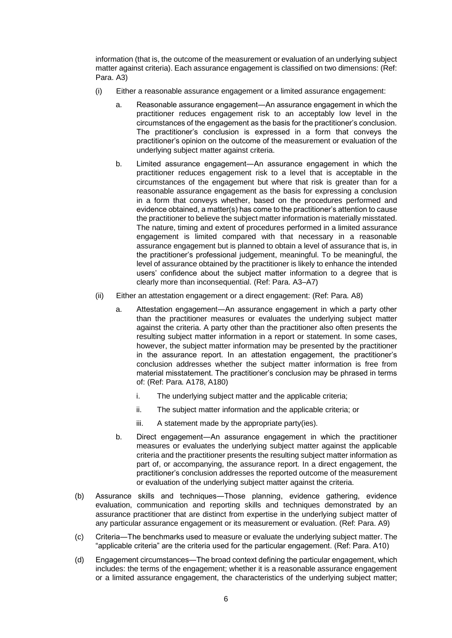information (that is, the outcome of the measurement or evaluation of an underlying subject matter against criteria). Each assurance engagement is classified on two dimensions: (Ref: Para. A3)

- (i) Either a reasonable assurance engagement or a limited assurance engagement:
	- a. Reasonable assurance engagement―An assurance engagement in which the practitioner reduces engagement risk to an acceptably low level in the circumstances of the engagement as the basis for the practitioner's conclusion. The practitioner's conclusion is expressed in a form that conveys the practitioner's opinion on the outcome of the measurement or evaluation of the underlying subject matter against criteria.
	- b. Limited assurance engagement―An assurance engagement in which the practitioner reduces engagement risk to a level that is acceptable in the circumstances of the engagement but where that risk is greater than for a reasonable assurance engagement as the basis for expressing a conclusion in a form that conveys whether, based on the procedures performed and evidence obtained, a matter(s) has come to the practitioner's attention to cause the practitioner to believe the subject matter information is materially misstated. The nature, timing and extent of procedures performed in a limited assurance engagement is limited compared with that necessary in a reasonable assurance engagement but is planned to obtain a level of assurance that is, in the practitioner's professional judgement, meaningful. To be meaningful, the level of assurance obtained by the practitioner is likely to enhance the intended users' confidence about the subject matter information to a degree that is clearly more than inconsequential. (Ref: Para. A3–A7)
- (ii) Either an attestation engagement or a direct engagement: (Ref: Para. A8)
	- a. Attestation engagement―An assurance engagement in which a party other than the practitioner measures or evaluates the underlying subject matter against the criteria. A party other than the practitioner also often presents the resulting subject matter information in a report or statement. In some cases, however, the subject matter information may be presented by the practitioner in the assurance report. In an attestation engagement, the practitioner's conclusion addresses whether the subject matter information is free from material misstatement. The practitioner's conclusion may be phrased in terms of: (Ref: Para. A178, A180)
		- i. The underlying subject matter and the applicable criteria;
		- ii. The subject matter information and the applicable criteria; or
		- iii. A statement made by the appropriate party(ies).
	- b. Direct engagement―An assurance engagement in which the practitioner measures or evaluates the underlying subject matter against the applicable criteria and the practitioner presents the resulting subject matter information as part of, or accompanying, the assurance report. In a direct engagement, the practitioner's conclusion addresses the reported outcome of the measurement or evaluation of the underlying subject matter against the criteria.
- (b) Assurance skills and techniques―Those planning, evidence gathering, evidence evaluation, communication and reporting skills and techniques demonstrated by an assurance practitioner that are distinct from expertise in the underlying subject matter of any particular assurance engagement or its measurement or evaluation. (Ref: Para. A9)
- (c) Criteria―The benchmarks used to measure or evaluate the underlying subject matter. The "applicable criteria" are the criteria used for the particular engagement. (Ref: Para. A10)
- (d) Engagement circumstances―The broad context defining the particular engagement, which includes: the terms of the engagement; whether it is a reasonable assurance engagement or a limited assurance engagement, the characteristics of the underlying subject matter;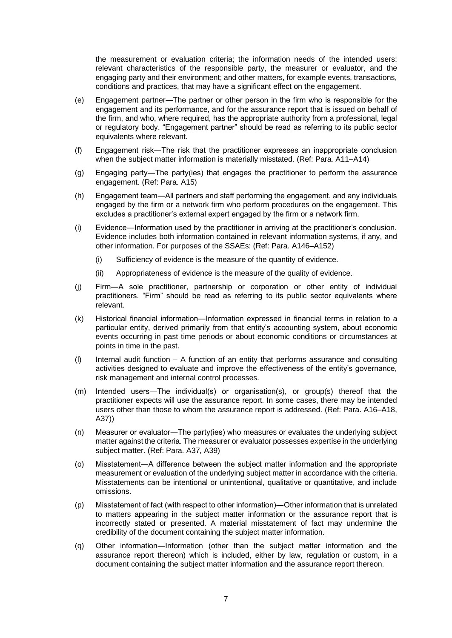the measurement or evaluation criteria; the information needs of the intended users; relevant characteristics of the responsible party, the measurer or evaluator, and the engaging party and their environment; and other matters, for example events, transactions, conditions and practices, that may have a significant effect on the engagement.

- (e) Engagement partner―The partner or other person in the firm who is responsible for the engagement and its performance, and for the assurance report that is issued on behalf of the firm, and who, where required, has the appropriate authority from a professional, legal or regulatory body. "Engagement partner" should be read as referring to its public sector equivalents where relevant.
- (f) Engagement risk―The risk that the practitioner expresses an inappropriate conclusion when the subject matter information is materially misstated. (Ref: Para. A11–A14)
- (g) Engaging party―The party(ies) that engages the practitioner to perform the assurance engagement. (Ref: Para. A15)
- (h) Engagement team―All partners and staff performing the engagement, and any individuals engaged by the firm or a network firm who perform procedures on the engagement. This excludes a practitioner's external expert engaged by the firm or a network firm.
- (i) Evidence―Information used by the practitioner in arriving at the practitioner's conclusion. Evidence includes both information contained in relevant information systems, if any, and other information. For purposes of the SSAEs: (Ref: Para. A146–A152)
	- (i) Sufficiency of evidence is the measure of the quantity of evidence.
	- (ii) Appropriateness of evidence is the measure of the quality of evidence.
- (j) Firm―A sole practitioner, partnership or corporation or other entity of individual practitioners. "Firm" should be read as referring to its public sector equivalents where relevant.
- (k) Historical financial information—Information expressed in financial terms in relation to a particular entity, derived primarily from that entity's accounting system, about economic events occurring in past time periods or about economic conditions or circumstances at points in time in the past.
- (l) Internal audit function A function of an entity that performs assurance and consulting activities designed to evaluate and improve the effectiveness of the entity's governance, risk management and internal control processes.
- (m) Intended users―The individual(s) or organisation(s), or group(s) thereof that the practitioner expects will use the assurance report. In some cases, there may be intended users other than those to whom the assurance report is addressed. (Ref: Para. A16–A18, A37))
- (n) Measurer or evaluator―The party(ies) who measures or evaluates the underlying subject matter against the criteria. The measurer or evaluator possesses expertise in the underlying subject matter. (Ref: Para. A37, A39)
- (o) Misstatement―A difference between the subject matter information and the appropriate measurement or evaluation of the underlying subject matter in accordance with the criteria. Misstatements can be intentional or unintentional, qualitative or quantitative, and include omissions.
- (p) Misstatement of fact (with respect to other information)―Other information that is unrelated to matters appearing in the subject matter information or the assurance report that is incorrectly stated or presented. A material misstatement of fact may undermine the credibility of the document containing the subject matter information.
- (q) Other information―Information (other than the subject matter information and the assurance report thereon) which is included, either by law, regulation or custom, in a document containing the subject matter information and the assurance report thereon.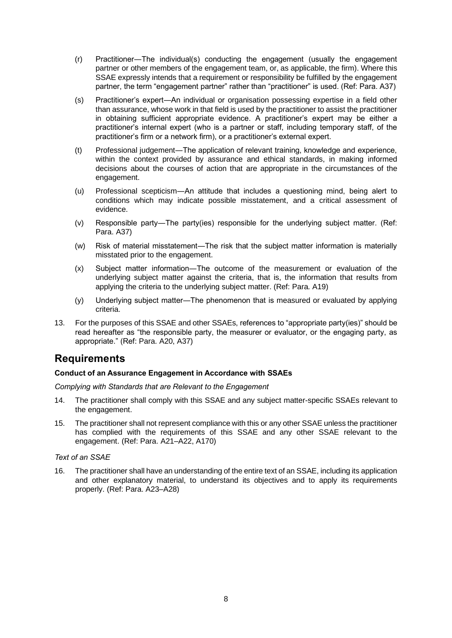- (r) Practitioner―The individual(s) conducting the engagement (usually the engagement partner or other members of the engagement team, or, as applicable, the firm). Where this SSAE expressly intends that a requirement or responsibility be fulfilled by the engagement partner, the term "engagement partner" rather than "practitioner" is used. (Ref: Para. A37)
- (s) Practitioner's expert―An individual or organisation possessing expertise in a field other than assurance, whose work in that field is used by the practitioner to assist the practitioner in obtaining sufficient appropriate evidence. A practitioner's expert may be either a practitioner's internal expert (who is a partner or staff, including temporary staff, of the practitioner's firm or a network firm), or a practitioner's external expert.
- (t) Professional judgement―The application of relevant training, knowledge and experience, within the context provided by assurance and ethical standards, in making informed decisions about the courses of action that are appropriate in the circumstances of the engagement.
- (u) Professional scepticism―An attitude that includes a questioning mind, being alert to conditions which may indicate possible misstatement, and a critical assessment of evidence.
- (v) Responsible party―The party(ies) responsible for the underlying subject matter. (Ref: Para. A37)
- (w) Risk of material misstatement―The risk that the subject matter information is materially misstated prior to the engagement.
- (x) Subject matter information―The outcome of the measurement or evaluation of the underlying subject matter against the criteria, that is, the information that results from applying the criteria to the underlying subject matter. (Ref: Para. A19)
- (y) Underlying subject matter―The phenomenon that is measured or evaluated by applying criteria.
- 13. For the purposes of this SSAE and other SSAEs, references to "appropriate party(ies)" should be read hereafter as "the responsible party, the measurer or evaluator, or the engaging party, as appropriate." (Ref: Para. A20, A37)

# **Requirements**

# **Conduct of an Assurance Engagement in Accordance with SSAEs**

# *Complying with Standards that are Relevant to the Engagement*

- 14. The practitioner shall comply with this SSAE and any subject matter-specific SSAEs relevant to the engagement.
- 15. The practitioner shall not represent compliance with this or any other SSAE unless the practitioner has complied with the requirements of this SSAE and any other SSAE relevant to the engagement. (Ref: Para. A21–A22, A170)

# *Text of an SSAE*

16. The practitioner shall have an understanding of the entire text of an SSAE, including its application and other explanatory material, to understand its objectives and to apply its requirements properly. (Ref: Para. A23–A28)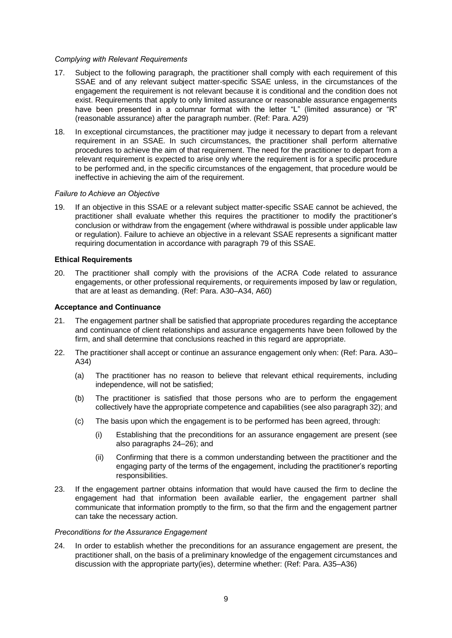#### *Complying with Relevant Requirements*

- 17. Subject to the following paragraph, the practitioner shall comply with each requirement of this SSAE and of any relevant subject matter-specific SSAE unless, in the circumstances of the engagement the requirement is not relevant because it is conditional and the condition does not exist. Requirements that apply to only limited assurance or reasonable assurance engagements have been presented in a columnar format with the letter "L" (limited assurance) or "R" (reasonable assurance) after the paragraph number. (Ref: Para. A29)
- 18. In exceptional circumstances, the practitioner may judge it necessary to depart from a relevant requirement in an SSAE. In such circumstances, the practitioner shall perform alternative procedures to achieve the aim of that requirement. The need for the practitioner to depart from a relevant requirement is expected to arise only where the requirement is for a specific procedure to be performed and, in the specific circumstances of the engagement, that procedure would be ineffective in achieving the aim of the requirement.

# *Failure to Achieve an Objective*

19. If an objective in this SSAE or a relevant subject matter-specific SSAE cannot be achieved, the practitioner shall evaluate whether this requires the practitioner to modify the practitioner's conclusion or withdraw from the engagement (where withdrawal is possible under applicable law or regulation). Failure to achieve an objective in a relevant SSAE represents a significant matter requiring documentation in accordance with paragraph 79 of this SSAE.

#### **Ethical Requirements**

20. The practitioner shall comply with the provisions of the ACRA Code related to assurance engagements, or other professional requirements, or requirements imposed by law or regulation, that are at least as demanding. (Ref: Para. A30–A34, A60)

#### **Acceptance and Continuance**

- 21. The engagement partner shall be satisfied that appropriate procedures regarding the acceptance and continuance of client relationships and assurance engagements have been followed by the firm, and shall determine that conclusions reached in this regard are appropriate.
- 22. The practitioner shall accept or continue an assurance engagement only when: (Ref: Para. A30– A34)
	- (a) The practitioner has no reason to believe that relevant ethical requirements, including independence, will not be satisfied;
	- (b) The practitioner is satisfied that those persons who are to perform the engagement collectively have the appropriate competence and capabilities (see also paragraph 32); and
	- (c) The basis upon which the engagement is to be performed has been agreed, through:
		- (i) Establishing that the preconditions for an assurance engagement are present (see also paragraphs 24–26); and
		- (ii) Confirming that there is a common understanding between the practitioner and the engaging party of the terms of the engagement, including the practitioner's reporting responsibilities.
- 23. If the engagement partner obtains information that would have caused the firm to decline the engagement had that information been available earlier, the engagement partner shall communicate that information promptly to the firm, so that the firm and the engagement partner can take the necessary action.

#### *Preconditions for the Assurance Engagement*

24. In order to establish whether the preconditions for an assurance engagement are present, the practitioner shall, on the basis of a preliminary knowledge of the engagement circumstances and discussion with the appropriate party(ies), determine whether: (Ref: Para. A35–A36)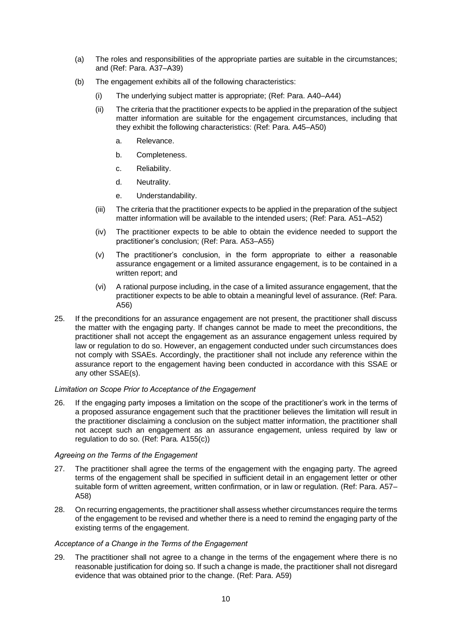- (a) The roles and responsibilities of the appropriate parties are suitable in the circumstances; and (Ref: Para. A37–A39)
- (b) The engagement exhibits all of the following characteristics:
	- (i) The underlying subject matter is appropriate; (Ref: Para. A40–A44)
	- (ii) The criteria that the practitioner expects to be applied in the preparation of the subject matter information are suitable for the engagement circumstances, including that they exhibit the following characteristics: (Ref: Para. A45–A50)
		- a. Relevance.
		- b. Completeness.
		- c. Reliability.
		- d. Neutrality.
		- e. Understandability.
	- (iii) The criteria that the practitioner expects to be applied in the preparation of the subject matter information will be available to the intended users; (Ref: Para. A51–A52)
	- (iv) The practitioner expects to be able to obtain the evidence needed to support the practitioner's conclusion; (Ref: Para. A53–A55)
	- (v) The practitioner's conclusion, in the form appropriate to either a reasonable assurance engagement or a limited assurance engagement, is to be contained in a written report; and
	- (vi) A rational purpose including, in the case of a limited assurance engagement, that the practitioner expects to be able to obtain a meaningful level of assurance. (Ref: Para. A56)
- 25. If the preconditions for an assurance engagement are not present, the practitioner shall discuss the matter with the engaging party. If changes cannot be made to meet the preconditions, the practitioner shall not accept the engagement as an assurance engagement unless required by law or regulation to do so. However, an engagement conducted under such circumstances does not comply with SSAEs. Accordingly, the practitioner shall not include any reference within the assurance report to the engagement having been conducted in accordance with this SSAE or any other SSAE(s).

# *Limitation on Scope Prior to Acceptance of the Engagement*

26. If the engaging party imposes a limitation on the scope of the practitioner's work in the terms of a proposed assurance engagement such that the practitioner believes the limitation will result in the practitioner disclaiming a conclusion on the subject matter information, the practitioner shall not accept such an engagement as an assurance engagement, unless required by law or regulation to do so. (Ref: Para. A155(c))

#### *Agreeing on the Terms of the Engagement*

- 27. The practitioner shall agree the terms of the engagement with the engaging party. The agreed terms of the engagement shall be specified in sufficient detail in an engagement letter or other suitable form of written agreement, written confirmation, or in law or regulation. (Ref: Para. A57– A58)
- 28. On recurring engagements, the practitioner shall assess whether circumstances require the terms of the engagement to be revised and whether there is a need to remind the engaging party of the existing terms of the engagement.

#### *Acceptance of a Change in the Terms of the Engagement*

29. The practitioner shall not agree to a change in the terms of the engagement where there is no reasonable justification for doing so. If such a change is made, the practitioner shall not disregard evidence that was obtained prior to the change. (Ref: Para. A59)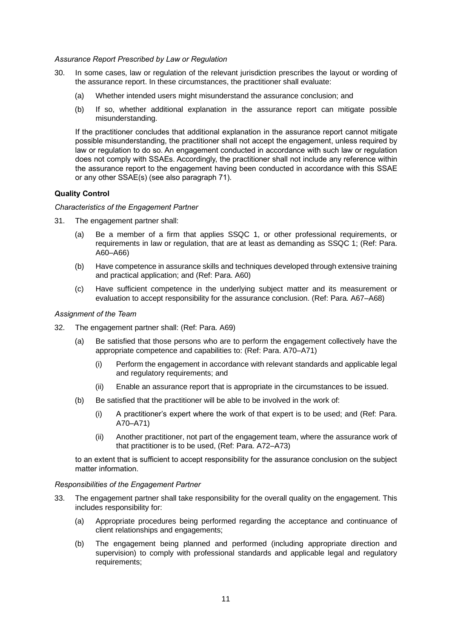#### *Assurance Report Prescribed by Law or Regulation*

- 30. In some cases, law or regulation of the relevant jurisdiction prescribes the layout or wording of the assurance report. In these circumstances, the practitioner shall evaluate:
	- (a) Whether intended users might misunderstand the assurance conclusion; and
	- (b) If so, whether additional explanation in the assurance report can mitigate possible misunderstanding.

If the practitioner concludes that additional explanation in the assurance report cannot mitigate possible misunderstanding, the practitioner shall not accept the engagement, unless required by law or regulation to do so. An engagement conducted in accordance with such law or regulation does not comply with SSAEs. Accordingly, the practitioner shall not include any reference within the assurance report to the engagement having been conducted in accordance with this SSAE or any other SSAE(s) (see also paragraph 71).

# **Quality Control**

# *Characteristics of the Engagement Partner*

- 31. The engagement partner shall:
	- (a) Be a member of a firm that applies SSQC 1, or other professional requirements, or requirements in law or regulation, that are at least as demanding as SSQC 1; (Ref: Para. A60–A66)
	- (b) Have competence in assurance skills and techniques developed through extensive training and practical application; and (Ref: Para. A60)
	- (c) Have sufficient competence in the underlying subject matter and its measurement or evaluation to accept responsibility for the assurance conclusion. (Ref: Para. A67–A68)

# *Assignment of the Team*

- 32. The engagement partner shall: (Ref: Para. A69)
	- (a) Be satisfied that those persons who are to perform the engagement collectively have the appropriate competence and capabilities to: (Ref: Para. A70–A71)
		- (i) Perform the engagement in accordance with relevant standards and applicable legal and regulatory requirements; and
		- (ii) Enable an assurance report that is appropriate in the circumstances to be issued.
	- (b) Be satisfied that the practitioner will be able to be involved in the work of:
		- (i) A practitioner's expert where the work of that expert is to be used; and (Ref: Para. A70–A71)
		- (ii) Another practitioner, not part of the engagement team, where the assurance work of that practitioner is to be used, (Ref: Para. A72–A73)

to an extent that is sufficient to accept responsibility for the assurance conclusion on the subject matter information.

#### *Responsibilities of the Engagement Partner*

- 33. The engagement partner shall take responsibility for the overall quality on the engagement. This includes responsibility for:
	- (a) Appropriate procedures being performed regarding the acceptance and continuance of client relationships and engagements;
	- (b) The engagement being planned and performed (including appropriate direction and supervision) to comply with professional standards and applicable legal and regulatory requirements;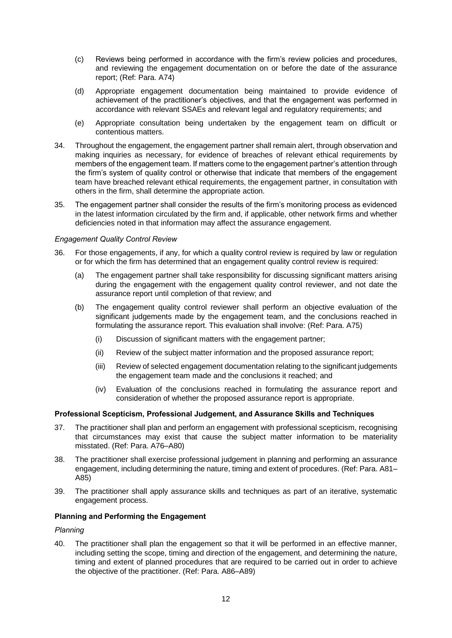- (c) Reviews being performed in accordance with the firm's review policies and procedures, and reviewing the engagement documentation on or before the date of the assurance report; (Ref: Para. A74)
- (d) Appropriate engagement documentation being maintained to provide evidence of achievement of the practitioner's objectives, and that the engagement was performed in accordance with relevant SSAEs and relevant legal and regulatory requirements; and
- (e) Appropriate consultation being undertaken by the engagement team on difficult or contentious matters.
- 34. Throughout the engagement, the engagement partner shall remain alert, through observation and making inquiries as necessary, for evidence of breaches of relevant ethical requirements by members of the engagement team. If matters come to the engagement partner's attention through the firm's system of quality control or otherwise that indicate that members of the engagement team have breached relevant ethical requirements, the engagement partner, in consultation with others in the firm, shall determine the appropriate action.
- 35. The engagement partner shall consider the results of the firm's monitoring process as evidenced in the latest information circulated by the firm and, if applicable, other network firms and whether deficiencies noted in that information may affect the assurance engagement.

# *Engagement Quality Control Review*

- 36. For those engagements, if any, for which a quality control review is required by law or regulation or for which the firm has determined that an engagement quality control review is required:
	- (a) The engagement partner shall take responsibility for discussing significant matters arising during the engagement with the engagement quality control reviewer, and not date the assurance report until completion of that review; and
	- (b) The engagement quality control reviewer shall perform an objective evaluation of the significant judgements made by the engagement team, and the conclusions reached in formulating the assurance report. This evaluation shall involve: (Ref: Para. A75)
		- (i) Discussion of significant matters with the engagement partner;
		- (ii) Review of the subject matter information and the proposed assurance report;
		- (iii) Review of selected engagement documentation relating to the significant judgements the engagement team made and the conclusions it reached; and
		- (iv) Evaluation of the conclusions reached in formulating the assurance report and consideration of whether the proposed assurance report is appropriate.

# **Professional Scepticism, Professional Judgement, and Assurance Skills and Techniques**

- 37. The practitioner shall plan and perform an engagement with professional scepticism, recognising that circumstances may exist that cause the subject matter information to be materiality misstated. (Ref: Para. A76–A80)
- 38. The practitioner shall exercise professional judgement in planning and performing an assurance engagement, including determining the nature, timing and extent of procedures. (Ref: Para. A81– A85)
- 39. The practitioner shall apply assurance skills and techniques as part of an iterative, systematic engagement process.

# **Planning and Performing the Engagement**

#### *Planning*

40. The practitioner shall plan the engagement so that it will be performed in an effective manner, including setting the scope, timing and direction of the engagement, and determining the nature, timing and extent of planned procedures that are required to be carried out in order to achieve the objective of the practitioner. (Ref: Para. A86–A89)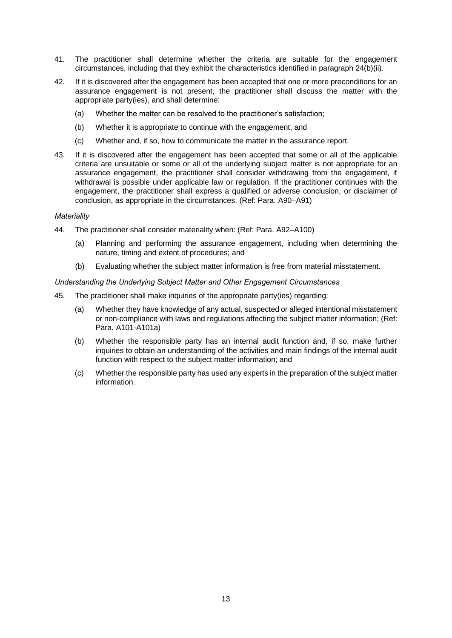- 41. The practitioner shall determine whether the criteria are suitable for the engagement circumstances, including that they exhibit the characteristics identified in paragraph 24(b)(ii).
- 42. If it is discovered after the engagement has been accepted that one or more preconditions for an assurance engagement is not present, the practitioner shall discuss the matter with the appropriate party(ies), and shall determine:
	- (a) Whether the matter can be resolved to the practitioner's satisfaction;
	- (b) Whether it is appropriate to continue with the engagement; and
	- (c) Whether and, if so, how to communicate the matter in the assurance report.
- 43. If it is discovered after the engagement has been accepted that some or all of the applicable criteria are unsuitable or some or all of the underlying subject matter is not appropriate for an assurance engagement, the practitioner shall consider withdrawing from the engagement, if withdrawal is possible under applicable law or regulation. If the practitioner continues with the engagement, the practitioner shall express a qualified or adverse conclusion, or disclaimer of conclusion, as appropriate in the circumstances. (Ref: Para. A90–A91)

# *Materiality*

- 44. The practitioner shall consider materiality when: (Ref: Para. A92–A100)
	- (a) Planning and performing the assurance engagement, including when determining the nature, timing and extent of procedures; and
	- (b) Evaluating whether the subject matter information is free from material misstatement.

# *Understanding the Underlying Subject Matter and Other Engagement Circumstances*

- 45. The practitioner shall make inquiries of the appropriate party(ies) regarding:
	- (a) Whether they have knowledge of any actual, suspected or alleged intentional misstatement or non-compliance with laws and regulations affecting the subject matter information; (Ref: Para. A101-A101a)
	- (b) Whether the responsible party has an internal audit function and, if so, make further inquiries to obtain an understanding of the activities and main findings of the internal audit function with respect to the subject matter information; and
	- (c) Whether the responsible party has used any experts in the preparation of the subject matter information.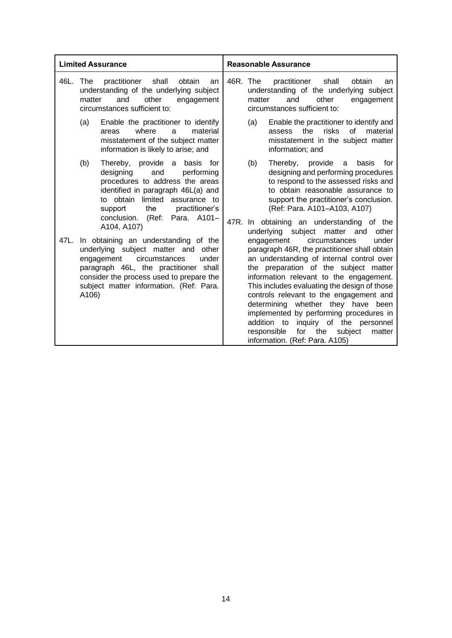| <b>Limited Assurance</b> |                                                                                                                                                                                                                                                                                                                                                                                                                                                                                                                                               | <b>Reasonable Assurance</b>                                                                                                                                                                                                                                                                                                                                                                                                                                                                                                                                                                                                                                                                                                                                                                                                                                                 |  |  |
|--------------------------|-----------------------------------------------------------------------------------------------------------------------------------------------------------------------------------------------------------------------------------------------------------------------------------------------------------------------------------------------------------------------------------------------------------------------------------------------------------------------------------------------------------------------------------------------|-----------------------------------------------------------------------------------------------------------------------------------------------------------------------------------------------------------------------------------------------------------------------------------------------------------------------------------------------------------------------------------------------------------------------------------------------------------------------------------------------------------------------------------------------------------------------------------------------------------------------------------------------------------------------------------------------------------------------------------------------------------------------------------------------------------------------------------------------------------------------------|--|--|
| 46L.                     | The<br>practitioner<br>shall<br>obtain<br>an<br>understanding of the underlying subject<br>and<br>other<br>engagement<br>matter<br>circumstances sufficient to:                                                                                                                                                                                                                                                                                                                                                                               | 46R. The<br>practitioner<br>shall<br>obtain<br>an<br>understanding of the underlying subject<br>other<br>matter<br>and<br>engagement<br>circumstances sufficient to:                                                                                                                                                                                                                                                                                                                                                                                                                                                                                                                                                                                                                                                                                                        |  |  |
|                          | Enable the practitioner to identify<br>(a)<br>material<br>where<br>a<br>areas<br>misstatement of the subject matter<br>information is likely to arise; and                                                                                                                                                                                                                                                                                                                                                                                    | (a)<br>Enable the practitioner to identify and<br>risks<br><b>of</b><br>material<br>the<br>assess<br>misstatement in the subject matter<br>information; and                                                                                                                                                                                                                                                                                                                                                                                                                                                                                                                                                                                                                                                                                                                 |  |  |
| 47L.                     | Thereby,<br>provide a<br>basis for<br>(b)<br>designing<br>and<br>performing<br>procedures to address the areas<br>identified in paragraph 46L(a) and<br>to obtain limited assurance to<br>the<br>practitioner's<br>support<br>conclusion. (Ref: Para. A101-<br>A104, A107)<br>In obtaining an understanding of the<br>underlying subject matter and<br>other<br>circumstances<br>engagement<br>under<br>paragraph 46L, the practitioner shall<br>consider the process used to prepare the<br>subject matter information. (Ref: Para.<br>A106) | Thereby,<br>provide<br>(b)<br>basis<br>a<br>for<br>designing and performing procedures<br>to respond to the assessed risks and<br>to obtain reasonable assurance to<br>support the practitioner's conclusion.<br>(Ref: Para. A101-A103, A107)<br>47R. In obtaining an understanding of the<br>underlying<br>subject matter<br>other<br>and<br>circumstances<br>under<br>engagement<br>paragraph 46R, the practitioner shall obtain<br>an understanding of internal control over<br>the preparation of the subject matter<br>information relevant to the engagement.<br>This includes evaluating the design of those<br>controls relevant to the engagement and<br>determining whether they have been<br>implemented by performing procedures in<br>addition to inquiry of the personnel<br>the<br>responsible<br>for<br>subject<br>matter<br>information. (Ref: Para. A105) |  |  |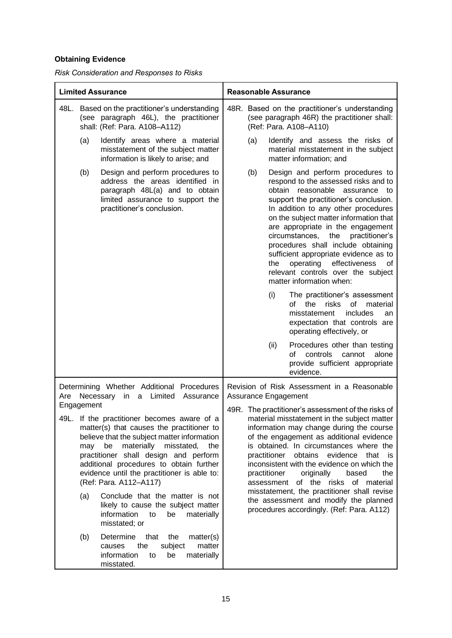# **Obtaining Evidence**

*Risk Consideration and Responses to Risks*

| <b>Limited Assurance</b>                                                                        |            | <b>Reasonable Assurance</b>                                                                                                                                                                                                                                                                                                                                                   |                                                                                                                                                                                                                                                                                                                                                                                                                                                                              |     |                      |                                                                                                                                                                                                                                                                                                                                                                                                                                                                                                                                         |
|-------------------------------------------------------------------------------------------------|------------|-------------------------------------------------------------------------------------------------------------------------------------------------------------------------------------------------------------------------------------------------------------------------------------------------------------------------------------------------------------------------------|------------------------------------------------------------------------------------------------------------------------------------------------------------------------------------------------------------------------------------------------------------------------------------------------------------------------------------------------------------------------------------------------------------------------------------------------------------------------------|-----|----------------------|-----------------------------------------------------------------------------------------------------------------------------------------------------------------------------------------------------------------------------------------------------------------------------------------------------------------------------------------------------------------------------------------------------------------------------------------------------------------------------------------------------------------------------------------|
| 48L.                                                                                            |            | Based on the practitioner's understanding<br>(see paragraph 46L), the practitioner<br>shall: (Ref: Para. A108-A112)                                                                                                                                                                                                                                                           | 48R. Based on the practitioner's understanding<br>(see paragraph 46R) the practitioner shall:<br>(Ref: Para. A108-A110)                                                                                                                                                                                                                                                                                                                                                      |     |                      |                                                                                                                                                                                                                                                                                                                                                                                                                                                                                                                                         |
|                                                                                                 | (a)        | Identify areas where a material<br>misstatement of the subject matter<br>information is likely to arise; and                                                                                                                                                                                                                                                                  |                                                                                                                                                                                                                                                                                                                                                                                                                                                                              | (a) |                      | Identify and assess the risks of<br>material misstatement in the subject<br>matter information; and                                                                                                                                                                                                                                                                                                                                                                                                                                     |
|                                                                                                 | (b)        | Design and perform procedures to<br>address the areas identified in<br>paragraph 48L(a) and to obtain<br>limited assurance to support the<br>practitioner's conclusion.                                                                                                                                                                                                       |                                                                                                                                                                                                                                                                                                                                                                                                                                                                              | (b) | obtain<br>the<br>(i) | Design and perform procedures to<br>respond to the assessed risks and to<br>reasonable<br>assurance to<br>support the practitioner's conclusion.<br>In addition to any other procedures<br>on the subject matter information that<br>are appropriate in the engagement<br>practitioner's<br>circumstances,<br>the<br>procedures shall include obtaining<br>sufficient appropriate evidence as to<br>operating<br>effectiveness<br>οf<br>relevant controls over the subject<br>matter information when:<br>The practitioner's assessment |
|                                                                                                 |            |                                                                                                                                                                                                                                                                                                                                                                               |                                                                                                                                                                                                                                                                                                                                                                                                                                                                              |     |                      | the<br>risks<br>of<br>of<br>material<br>misstatement<br>includes<br>an<br>expectation that controls are<br>operating effectively, or                                                                                                                                                                                                                                                                                                                                                                                                    |
|                                                                                                 |            |                                                                                                                                                                                                                                                                                                                                                                               |                                                                                                                                                                                                                                                                                                                                                                                                                                                                              |     | (ii)                 | Procedures other than testing<br>controls<br>cannot<br>alone<br>οf<br>provide sufficient appropriate<br>evidence.                                                                                                                                                                                                                                                                                                                                                                                                                       |
| Determining Whether Additional Procedures<br>Are Necessary in a Limited Assurance<br>Engagement |            | Revision of Risk Assessment in a Reasonable<br>Assurance Engagement                                                                                                                                                                                                                                                                                                           |                                                                                                                                                                                                                                                                                                                                                                                                                                                                              |     |                      |                                                                                                                                                                                                                                                                                                                                                                                                                                                                                                                                         |
|                                                                                                 | may<br>(a) | 49L. If the practitioner becomes aware of a<br>matter(s) that causes the practitioner to<br>believe that the subject matter information<br>materially misstated,<br>be<br>the<br>practitioner shall design and perform<br>additional procedures to obtain further<br>evidence until the practitioner is able to:<br>(Ref: Para. A112-A117)<br>Conclude that the matter is not | 49R. The practitioner's assessment of the risks of<br>material misstatement in the subject matter<br>information may change during the course<br>of the engagement as additional evidence<br>is obtained. In circumstances where the<br>practitioner obtains<br>evidence<br>that<br>is is<br>inconsistent with the evidence on which the<br>practitioner<br>originally<br>based<br>the<br>assessment of the risks of material<br>misstatement, the practitioner shall revise |     |                      |                                                                                                                                                                                                                                                                                                                                                                                                                                                                                                                                         |
|                                                                                                 |            | likely to cause the subject matter<br>information<br>materially<br>be<br>to<br>misstated; or                                                                                                                                                                                                                                                                                  | the assessment and modify the planned<br>procedures accordingly. (Ref: Para. A112)                                                                                                                                                                                                                                                                                                                                                                                           |     |                      |                                                                                                                                                                                                                                                                                                                                                                                                                                                                                                                                         |
|                                                                                                 | (b)        | Determine<br>that<br>the<br>matter(s)<br>subject<br>matter<br>the<br>causes<br>materially<br>information<br>be<br>to<br>misstated.                                                                                                                                                                                                                                            |                                                                                                                                                                                                                                                                                                                                                                                                                                                                              |     |                      |                                                                                                                                                                                                                                                                                                                                                                                                                                                                                                                                         |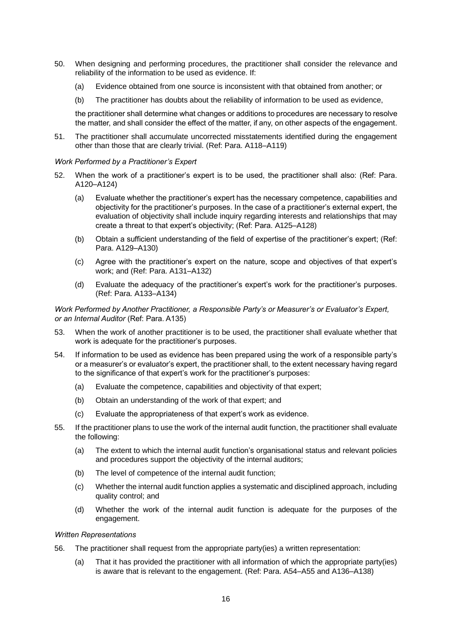- 50. When designing and performing procedures, the practitioner shall consider the relevance and reliability of the information to be used as evidence. If:
	- (a) Evidence obtained from one source is inconsistent with that obtained from another; or
	- (b) The practitioner has doubts about the reliability of information to be used as evidence,

the practitioner shall determine what changes or additions to procedures are necessary to resolve the matter, and shall consider the effect of the matter, if any, on other aspects of the engagement.

51. The practitioner shall accumulate uncorrected misstatements identified during the engagement other than those that are clearly trivial. (Ref: Para. A118–A119)

#### *Work Performed by a Practitioner's Expert*

- 52. When the work of a practitioner's expert is to be used, the practitioner shall also: (Ref: Para. A120–A124)
	- (a) Evaluate whether the practitioner's expert has the necessary competence, capabilities and objectivity for the practitioner's purposes. In the case of a practitioner's external expert, the evaluation of objectivity shall include inquiry regarding interests and relationships that may create a threat to that expert's objectivity; (Ref: Para. A125–A128)
	- (b) Obtain a sufficient understanding of the field of expertise of the practitioner's expert; (Ref: Para. A129–A130)
	- (c) Agree with the practitioner's expert on the nature, scope and objectives of that expert's work; and (Ref: Para. A131–A132)
	- (d) Evaluate the adequacy of the practitioner's expert's work for the practitioner's purposes. (Ref: Para. A133–A134)

# *Work Performed by Another Practitioner, a Responsible Party's or Measurer's or Evaluator's Expert, or an Internal Auditor* (Ref: Para. A135)

- 53. When the work of another practitioner is to be used, the practitioner shall evaluate whether that work is adequate for the practitioner's purposes.
- 54. If information to be used as evidence has been prepared using the work of a responsible party's or a measurer's or evaluator's expert, the practitioner shall, to the extent necessary having regard to the significance of that expert's work for the practitioner's purposes:
	- (a) Evaluate the competence, capabilities and objectivity of that expert;
	- (b) Obtain an understanding of the work of that expert; and
	- (c) Evaluate the appropriateness of that expert's work as evidence.
- 55. If the practitioner plans to use the work of the internal audit function, the practitioner shall evaluate the following:
	- (a) The extent to which the internal audit function's organisational status and relevant policies and procedures support the objectivity of the internal auditors;
	- (b) The level of competence of the internal audit function;
	- (c) Whether the internal audit function applies a systematic and disciplined approach, including quality control; and
	- (d) Whether the work of the internal audit function is adequate for the purposes of the engagement.

# *Written Representations*

- 56. The practitioner shall request from the appropriate party(ies) a written representation:
	- (a) That it has provided the practitioner with all information of which the appropriate party(ies) is aware that is relevant to the engagement. (Ref: Para. A54–A55 and A136–A138)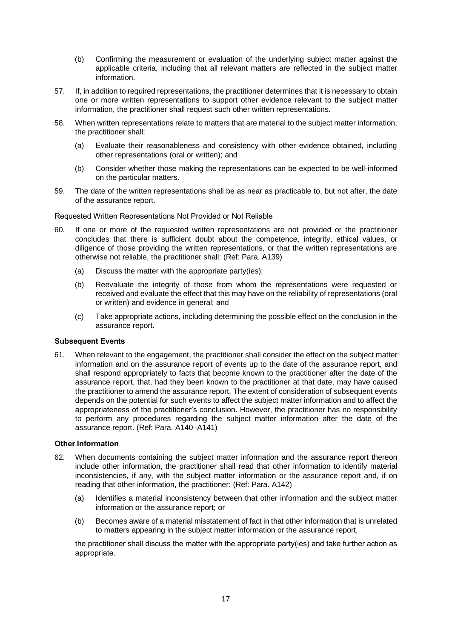- (b) Confirming the measurement or evaluation of the underlying subject matter against the applicable criteria, including that all relevant matters are reflected in the subject matter information.
- 57. If, in addition to required representations, the practitioner determines that it is necessary to obtain one or more written representations to support other evidence relevant to the subject matter information, the practitioner shall request such other written representations.
- 58. When written representations relate to matters that are material to the subject matter information, the practitioner shall:
	- (a) Evaluate their reasonableness and consistency with other evidence obtained, including other representations (oral or written); and
	- (b) Consider whether those making the representations can be expected to be well-informed on the particular matters.
- 59. The date of the written representations shall be as near as practicable to, but not after, the date of the assurance report.

Requested Written Representations Not Provided or Not Reliable

- 60. If one or more of the requested written representations are not provided or the practitioner concludes that there is sufficient doubt about the competence, integrity, ethical values, or diligence of those providing the written representations, or that the written representations are otherwise not reliable, the practitioner shall: (Ref: Para. A139)
	- (a) Discuss the matter with the appropriate party(ies);
	- (b) Reevaluate the integrity of those from whom the representations were requested or received and evaluate the effect that this may have on the reliability of representations (oral or written) and evidence in general; and
	- (c) Take appropriate actions, including determining the possible effect on the conclusion in the assurance report.

#### **Subsequent Events**

61. When relevant to the engagement, the practitioner shall consider the effect on the subject matter information and on the assurance report of events up to the date of the assurance report, and shall respond appropriately to facts that become known to the practitioner after the date of the assurance report, that, had they been known to the practitioner at that date, may have caused the practitioner to amend the assurance report. The extent of consideration of subsequent events depends on the potential for such events to affect the subject matter information and to affect the appropriateness of the practitioner's conclusion. However, the practitioner has no responsibility to perform any procedures regarding the subject matter information after the date of the assurance report. (Ref: Para. A140–A141)

#### **Other Information**

- 62. When documents containing the subject matter information and the assurance report thereon include other information, the practitioner shall read that other information to identify material inconsistencies, if any, with the subject matter information or the assurance report and, if on reading that other information, the practitioner: (Ref: Para. A142)
	- (a) Identifies a material inconsistency between that other information and the subject matter information or the assurance report; or
	- (b) Becomes aware of a material misstatement of fact in that other information that is unrelated to matters appearing in the subject matter information or the assurance report,

the practitioner shall discuss the matter with the appropriate party(ies) and take further action as appropriate.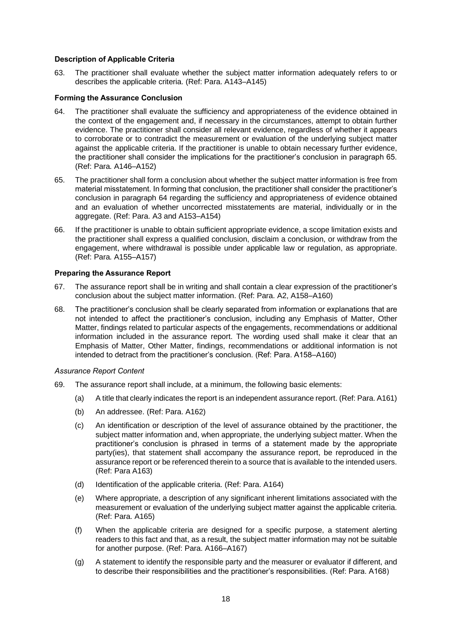# **Description of Applicable Criteria**

63. The practitioner shall evaluate whether the subject matter information adequately refers to or describes the applicable criteria. (Ref: Para. A143–A145)

# **Forming the Assurance Conclusion**

- 64. The practitioner shall evaluate the sufficiency and appropriateness of the evidence obtained in the context of the engagement and, if necessary in the circumstances, attempt to obtain further evidence. The practitioner shall consider all relevant evidence, regardless of whether it appears to corroborate or to contradict the measurement or evaluation of the underlying subject matter against the applicable criteria. If the practitioner is unable to obtain necessary further evidence, the practitioner shall consider the implications for the practitioner's conclusion in paragraph 65. (Ref: Para. A146–A152)
- 65. The practitioner shall form a conclusion about whether the subject matter information is free from material misstatement. In forming that conclusion, the practitioner shall consider the practitioner's conclusion in paragraph 64 regarding the sufficiency and appropriateness of evidence obtained and an evaluation of whether uncorrected misstatements are material, individually or in the aggregate. (Ref: Para. A3 and A153–A154)
- 66. If the practitioner is unable to obtain sufficient appropriate evidence, a scope limitation exists and the practitioner shall express a qualified conclusion, disclaim a conclusion, or withdraw from the engagement, where withdrawal is possible under applicable law or regulation, as appropriate. (Ref: Para. A155–A157)

# **Preparing the Assurance Report**

- 67. The assurance report shall be in writing and shall contain a clear expression of the practitioner's conclusion about the subject matter information. (Ref: Para. A2, A158–A160)
- 68. The practitioner's conclusion shall be clearly separated from information or explanations that are not intended to affect the practitioner's conclusion, including any Emphasis of Matter, Other Matter, findings related to particular aspects of the engagements, recommendations or additional information included in the assurance report. The wording used shall make it clear that an Emphasis of Matter, Other Matter, findings, recommendations or additional information is not intended to detract from the practitioner's conclusion. (Ref: Para. A158–A160)

#### *Assurance Report Content*

- 69. The assurance report shall include, at a minimum, the following basic elements:
	- (a) A title that clearly indicates the report is an independent assurance report. (Ref: Para. A161)
	- (b) An addressee. (Ref: Para. A162)
	- (c) An identification or description of the level of assurance obtained by the practitioner, the subject matter information and, when appropriate, the underlying subject matter. When the practitioner's conclusion is phrased in terms of a statement made by the appropriate party(ies), that statement shall accompany the assurance report, be reproduced in the assurance report or be referenced therein to a source that is available to the intended users. (Ref: Para A163)
	- (d) Identification of the applicable criteria. (Ref: Para. A164)
	- (e) Where appropriate, a description of any significant inherent limitations associated with the measurement or evaluation of the underlying subject matter against the applicable criteria. (Ref: Para. A165)
	- (f) When the applicable criteria are designed for a specific purpose, a statement alerting readers to this fact and that, as a result, the subject matter information may not be suitable for another purpose. (Ref: Para. A166–A167)
	- (g) A statement to identify the responsible party and the measurer or evaluator if different, and to describe their responsibilities and the practitioner's responsibilities. (Ref: Para. A168)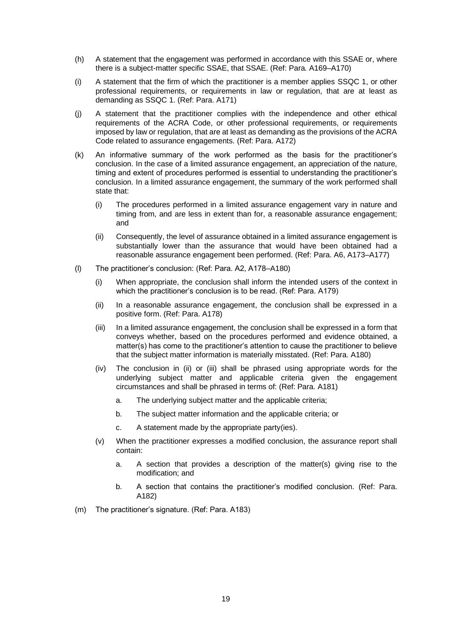- (h) A statement that the engagement was performed in accordance with this SSAE or, where there is a subject-matter specific SSAE, that SSAE. (Ref: Para. A169–A170)
- (i) A statement that the firm of which the practitioner is a member applies SSQC 1, or other professional requirements, or requirements in law or regulation, that are at least as demanding as SSQC 1. (Ref: Para. A171)
- (j) A statement that the practitioner complies with the independence and other ethical requirements of the ACRA Code, or other professional requirements, or requirements imposed by law or regulation, that are at least as demanding as the provisions of the ACRA Code related to assurance engagements. (Ref: Para. A172)
- (k) An informative summary of the work performed as the basis for the practitioner's conclusion. In the case of a limited assurance engagement, an appreciation of the nature, timing and extent of procedures performed is essential to understanding the practitioner's conclusion. In a limited assurance engagement, the summary of the work performed shall state that:
	- (i) The procedures performed in a limited assurance engagement vary in nature and timing from, and are less in extent than for, a reasonable assurance engagement; and
	- (ii) Consequently, the level of assurance obtained in a limited assurance engagement is substantially lower than the assurance that would have been obtained had a reasonable assurance engagement been performed. (Ref: Para. A6, A173–A177)
- (l) The practitioner's conclusion: (Ref: Para. A2, A178–A180)
	- (i) When appropriate, the conclusion shall inform the intended users of the context in which the practitioner's conclusion is to be read. (Ref: Para. A179)
	- (ii) In a reasonable assurance engagement, the conclusion shall be expressed in a positive form. (Ref: Para. A178)
	- (iii) In a limited assurance engagement, the conclusion shall be expressed in a form that conveys whether, based on the procedures performed and evidence obtained, a matter(s) has come to the practitioner's attention to cause the practitioner to believe that the subject matter information is materially misstated. (Ref: Para. A180)
	- (iv) The conclusion in (ii) or (iii) shall be phrased using appropriate words for the underlying subject matter and applicable criteria given the engagement circumstances and shall be phrased in terms of: (Ref: Para. A181)
		- a. The underlying subject matter and the applicable criteria;
		- b. The subject matter information and the applicable criteria; or
		- c. A statement made by the appropriate party(ies).
	- (v) When the practitioner expresses a modified conclusion, the assurance report shall contain:
		- a. A section that provides a description of the matter(s) giving rise to the modification; and
		- b. A section that contains the practitioner's modified conclusion. (Ref: Para. A182)
- (m) The practitioner's signature. (Ref: Para. A183)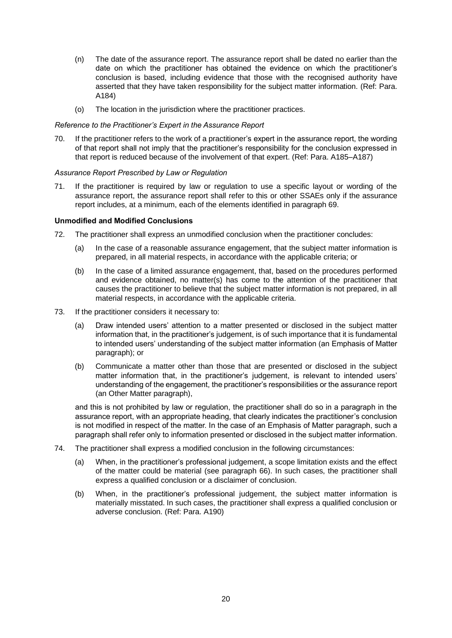- (n) The date of the assurance report. The assurance report shall be dated no earlier than the date on which the practitioner has obtained the evidence on which the practitioner's conclusion is based, including evidence that those with the recognised authority have asserted that they have taken responsibility for the subject matter information. (Ref: Para. A184)
- (o) The location in the jurisdiction where the practitioner practices.

# *Reference to the Practitioner's Expert in the Assurance Report*

70. If the practitioner refers to the work of a practitioner's expert in the assurance report, the wording of that report shall not imply that the practitioner's responsibility for the conclusion expressed in that report is reduced because of the involvement of that expert. (Ref: Para. A185–A187)

#### *Assurance Report Prescribed by Law or Regulation*

71. If the practitioner is required by law or regulation to use a specific layout or wording of the assurance report, the assurance report shall refer to this or other SSAEs only if the assurance report includes, at a minimum, each of the elements identified in paragraph 69.

#### **Unmodified and Modified Conclusions**

- 72. The practitioner shall express an unmodified conclusion when the practitioner concludes:
	- (a) In the case of a reasonable assurance engagement, that the subject matter information is prepared, in all material respects, in accordance with the applicable criteria; or
	- (b) In the case of a limited assurance engagement, that, based on the procedures performed and evidence obtained, no matter(s) has come to the attention of the practitioner that causes the practitioner to believe that the subject matter information is not prepared, in all material respects, in accordance with the applicable criteria.
- 73. If the practitioner considers it necessary to:
	- (a) Draw intended users' attention to a matter presented or disclosed in the subject matter information that, in the practitioner's judgement, is of such importance that it is fundamental to intended users' understanding of the subject matter information (an Emphasis of Matter paragraph); or
	- (b) Communicate a matter other than those that are presented or disclosed in the subject matter information that, in the practitioner's judgement, is relevant to intended users' understanding of the engagement, the practitioner's responsibilities or the assurance report (an Other Matter paragraph),

and this is not prohibited by law or regulation, the practitioner shall do so in a paragraph in the assurance report, with an appropriate heading, that clearly indicates the practitioner's conclusion is not modified in respect of the matter. In the case of an Emphasis of Matter paragraph, such a paragraph shall refer only to information presented or disclosed in the subject matter information.

- 74. The practitioner shall express a modified conclusion in the following circumstances:
	- (a) When, in the practitioner's professional judgement, a scope limitation exists and the effect of the matter could be material (see paragraph 66). In such cases, the practitioner shall express a qualified conclusion or a disclaimer of conclusion.
	- (b) When, in the practitioner's professional judgement, the subject matter information is materially misstated. In such cases, the practitioner shall express a qualified conclusion or adverse conclusion. (Ref: Para. A190)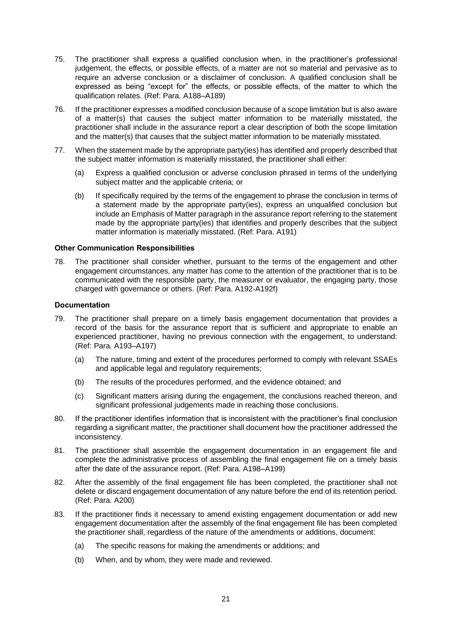- 75. The practitioner shall express a qualified conclusion when, in the practitioner's professional judgement, the effects, or possible effects, of a matter are not so material and pervasive as to require an adverse conclusion or a disclaimer of conclusion. A qualified conclusion shall be expressed as being "except for" the effects, or possible effects, of the matter to which the qualification relates. (Ref: Para. A188–A189)
- 76. If the practitioner expresses a modified conclusion because of a scope limitation but is also aware of a matter(s) that causes the subject matter information to be materially misstated, the practitioner shall include in the assurance report a clear description of both the scope limitation and the matter(s) that causes that the subject matter information to be materially misstated.
- 77. When the statement made by the appropriate party(ies) has identified and properly described that the subject matter information is materially misstated, the practitioner shall either:
	- (a) Express a qualified conclusion or adverse conclusion phrased in terms of the underlying subject matter and the applicable criteria; or
	- (b) If specifically required by the terms of the engagement to phrase the conclusion in terms of a statement made by the appropriate party(ies), express an unqualified conclusion but include an Emphasis of Matter paragraph in the assurance report referring to the statement made by the appropriate party(ies) that identifies and properly describes that the subject matter information is materially misstated. (Ref: Para. A191)

# **Other Communication Responsibilities**

78. The practitioner shall consider whether, pursuant to the terms of the engagement and other engagement circumstances, any matter has come to the attention of the practitioner that is to be communicated with the responsible party, the measurer or evaluator, the engaging party, those charged with governance or others. (Ref: Para. A192-A192f)

# **Documentation**

- 79. The practitioner shall prepare on a timely basis engagement documentation that provides a record of the basis for the assurance report that is sufficient and appropriate to enable an experienced practitioner, having no previous connection with the engagement, to understand: (Ref: Para. A193–A197)
	- (a) The nature, timing and extent of the procedures performed to comply with relevant SSAEs and applicable legal and regulatory requirements;
	- (b) The results of the procedures performed, and the evidence obtained; and
	- (c) Significant matters arising during the engagement, the conclusions reached thereon, and significant professional judgements made in reaching those conclusions.
- 80. If the practitioner identifies information that is inconsistent with the practitioner's final conclusion regarding a significant matter, the practitioner shall document how the practitioner addressed the inconsistency.
- 81. The practitioner shall assemble the engagement documentation in an engagement file and complete the administrative process of assembling the final engagement file on a timely basis after the date of the assurance report. (Ref: Para. A198–A199)
- 82. After the assembly of the final engagement file has been completed, the practitioner shall not delete or discard engagement documentation of any nature before the end of its retention period. (Ref: Para. A200)
- 83. If the practitioner finds it necessary to amend existing engagement documentation or add new engagement documentation after the assembly of the final engagement file has been completed the practitioner shall, regardless of the nature of the amendments or additions, document:
	- (a) The specific reasons for making the amendments or additions; and
	- (b) When, and by whom, they were made and reviewed.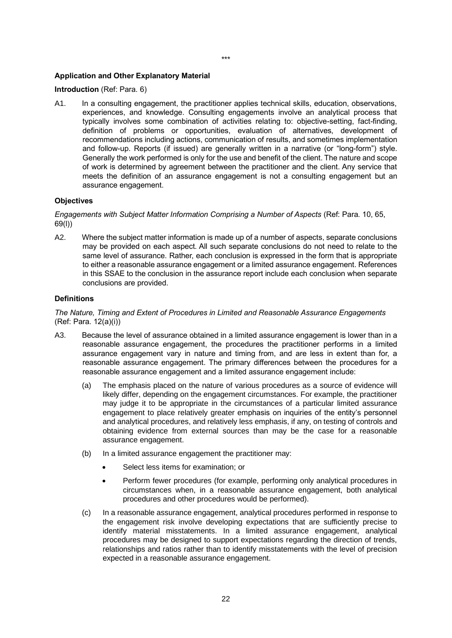#### \*\*\*

# **Application and Other Explanatory Material**

**Introduction** (Ref: Para. 6)

A1. In a consulting engagement, the practitioner applies technical skills, education, observations, experiences, and knowledge. Consulting engagements involve an analytical process that typically involves some combination of activities relating to: objective-setting, fact-finding, definition of problems or opportunities, evaluation of alternatives, development of recommendations including actions, communication of results, and sometimes implementation and follow-up. Reports (if issued) are generally written in a narrative (or "long-form") style. Generally the work performed is only for the use and benefit of the client. The nature and scope of work is determined by agreement between the practitioner and the client. Any service that meets the definition of an assurance engagement is not a consulting engagement but an assurance engagement.

# **Objectives**

*Engagements with Subject Matter Information Comprising a Number of Aspects* (Ref: Para. 10, 65, 69(l))

A2. Where the subject matter information is made up of a number of aspects, separate conclusions may be provided on each aspect. All such separate conclusions do not need to relate to the same level of assurance. Rather, each conclusion is expressed in the form that is appropriate to either a reasonable assurance engagement or a limited assurance engagement. References in this SSAE to the conclusion in the assurance report include each conclusion when separate conclusions are provided.

# **Definitions**

*The Nature, Timing and Extent of Procedures in Limited and Reasonable Assurance Engagements*  (Ref: Para. 12(a)(i))

- A3. Because the level of assurance obtained in a limited assurance engagement is lower than in a reasonable assurance engagement, the procedures the practitioner performs in a limited assurance engagement vary in nature and timing from, and are less in extent than for, a reasonable assurance engagement. The primary differences between the procedures for a reasonable assurance engagement and a limited assurance engagement include:
	- (a) The emphasis placed on the nature of various procedures as a source of evidence will likely differ, depending on the engagement circumstances. For example, the practitioner may judge it to be appropriate in the circumstances of a particular limited assurance engagement to place relatively greater emphasis on inquiries of the entity's personnel and analytical procedures, and relatively less emphasis, if any, on testing of controls and obtaining evidence from external sources than may be the case for a reasonable assurance engagement.
	- (b) In a limited assurance engagement the practitioner may:
		- Select less items for examination; or
		- Perform fewer procedures (for example, performing only analytical procedures in circumstances when, in a reasonable assurance engagement, both analytical procedures and other procedures would be performed).
	- (c) In a reasonable assurance engagement, analytical procedures performed in response to the engagement risk involve developing expectations that are sufficiently precise to identify material misstatements. In a limited assurance engagement, analytical procedures may be designed to support expectations regarding the direction of trends, relationships and ratios rather than to identify misstatements with the level of precision expected in a reasonable assurance engagement.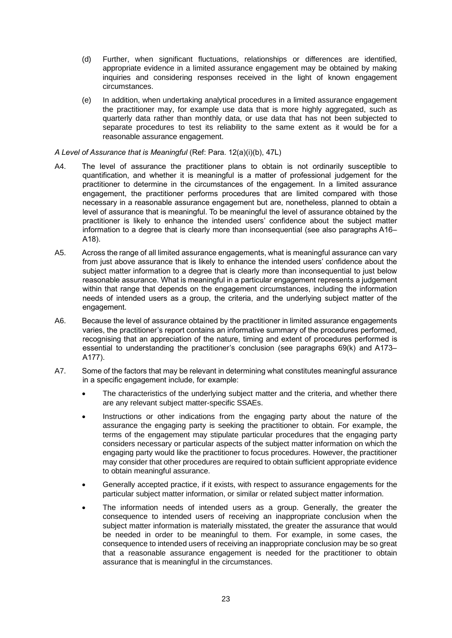- (d) Further, when significant fluctuations, relationships or differences are identified, appropriate evidence in a limited assurance engagement may be obtained by making inquiries and considering responses received in the light of known engagement circumstances.
- (e) In addition, when undertaking analytical procedures in a limited assurance engagement the practitioner may, for example use data that is more highly aggregated, such as quarterly data rather than monthly data, or use data that has not been subjected to separate procedures to test its reliability to the same extent as it would be for a reasonable assurance engagement.

# *A Level of Assurance that is Meaningful* (Ref: Para. 12(a)(i)(b), 47L)

- A4. The level of assurance the practitioner plans to obtain is not ordinarily susceptible to quantification, and whether it is meaningful is a matter of professional judgement for the practitioner to determine in the circumstances of the engagement. In a limited assurance engagement, the practitioner performs procedures that are limited compared with those necessary in a reasonable assurance engagement but are, nonetheless, planned to obtain a level of assurance that is meaningful. To be meaningful the level of assurance obtained by the practitioner is likely to enhance the intended users' confidence about the subject matter information to a degree that is clearly more than inconsequential (see also paragraphs A16– A18).
- A5. Across the range of all limited assurance engagements, what is meaningful assurance can vary from just above assurance that is likely to enhance the intended users' confidence about the subject matter information to a degree that is clearly more than inconsequential to just below reasonable assurance. What is meaningful in a particular engagement represents a judgement within that range that depends on the engagement circumstances, including the information needs of intended users as a group, the criteria, and the underlying subject matter of the engagement.
- A6. Because the level of assurance obtained by the practitioner in limited assurance engagements varies, the practitioner's report contains an informative summary of the procedures performed, recognising that an appreciation of the nature, timing and extent of procedures performed is essential to understanding the practitioner's conclusion (see paragraphs 69(k) and A173– A177).
- A7. Some of the factors that may be relevant in determining what constitutes meaningful assurance in a specific engagement include, for example:
	- The characteristics of the underlying subject matter and the criteria, and whether there are any relevant subject matter-specific SSAEs.
	- Instructions or other indications from the engaging party about the nature of the assurance the engaging party is seeking the practitioner to obtain. For example, the terms of the engagement may stipulate particular procedures that the engaging party considers necessary or particular aspects of the subject matter information on which the engaging party would like the practitioner to focus procedures. However, the practitioner may consider that other procedures are required to obtain sufficient appropriate evidence to obtain meaningful assurance.
	- Generally accepted practice, if it exists, with respect to assurance engagements for the particular subject matter information, or similar or related subject matter information.
	- The information needs of intended users as a group. Generally, the greater the consequence to intended users of receiving an inappropriate conclusion when the subject matter information is materially misstated, the greater the assurance that would be needed in order to be meaningful to them. For example, in some cases, the consequence to intended users of receiving an inappropriate conclusion may be so great that a reasonable assurance engagement is needed for the practitioner to obtain assurance that is meaningful in the circumstances.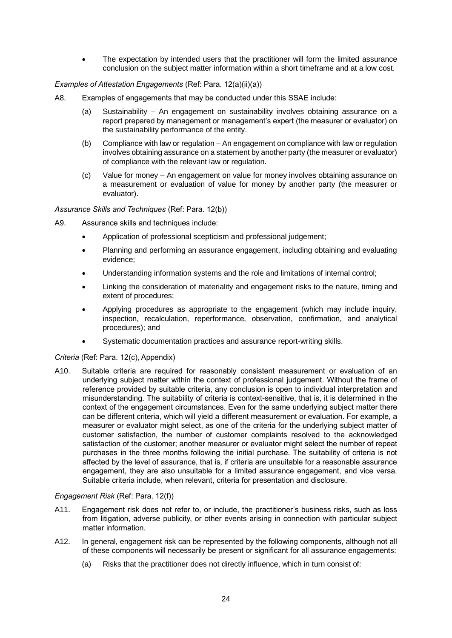The expectation by intended users that the practitioner will form the limited assurance conclusion on the subject matter information within a short timeframe and at a low cost.

# *Examples of Attestation Engagements* (Ref: Para. 12(a)(ii)(a))

- A8. Examples of engagements that may be conducted under this SSAE include:
	- (a) Sustainability An engagement on sustainability involves obtaining assurance on a report prepared by management or management's expert (the measurer or evaluator) on the sustainability performance of the entity.
	- (b) Compliance with law or regulation An engagement on compliance with law or regulation involves obtaining assurance on a statement by another party (the measurer or evaluator) of compliance with the relevant law or regulation.
	- (c) Value for money An engagement on value for money involves obtaining assurance on a measurement or evaluation of value for money by another party (the measurer or evaluator).

# *Assurance Skills and Techniques* (Ref: Para. 12(b))

- A9. Assurance skills and techniques include:
	- Application of professional scepticism and professional judgement;
	- Planning and performing an assurance engagement, including obtaining and evaluating evidence;
	- Understanding information systems and the role and limitations of internal control;
	- Linking the consideration of materiality and engagement risks to the nature, timing and extent of procedures;
	- Applying procedures as appropriate to the engagement (which may include inquiry, inspection, recalculation, reperformance, observation, confirmation, and analytical procedures); and
	- Systematic documentation practices and assurance report-writing skills.

#### *Criteria* (Ref: Para. 12(c), Appendix)

A10. Suitable criteria are required for reasonably consistent measurement or evaluation of an underlying subject matter within the context of professional judgement. Without the frame of reference provided by suitable criteria, any conclusion is open to individual interpretation and misunderstanding. The suitability of criteria is context-sensitive, that is, it is determined in the context of the engagement circumstances. Even for the same underlying subject matter there can be different criteria, which will yield a different measurement or evaluation. For example, a measurer or evaluator might select, as one of the criteria for the underlying subject matter of customer satisfaction, the number of customer complaints resolved to the acknowledged satisfaction of the customer; another measurer or evaluator might select the number of repeat purchases in the three months following the initial purchase. The suitability of criteria is not affected by the level of assurance, that is, if criteria are unsuitable for a reasonable assurance engagement, they are also unsuitable for a limited assurance engagement, and vice versa. Suitable criteria include, when relevant, criteria for presentation and disclosure.

#### *Engagement Risk* (Ref: Para. 12(f))

- A11. Engagement risk does not refer to, or include, the practitioner's business risks, such as loss from litigation, adverse publicity, or other events arising in connection with particular subject matter information.
- A12. In general, engagement risk can be represented by the following components, although not all of these components will necessarily be present or significant for all assurance engagements:
	- (a) Risks that the practitioner does not directly influence, which in turn consist of: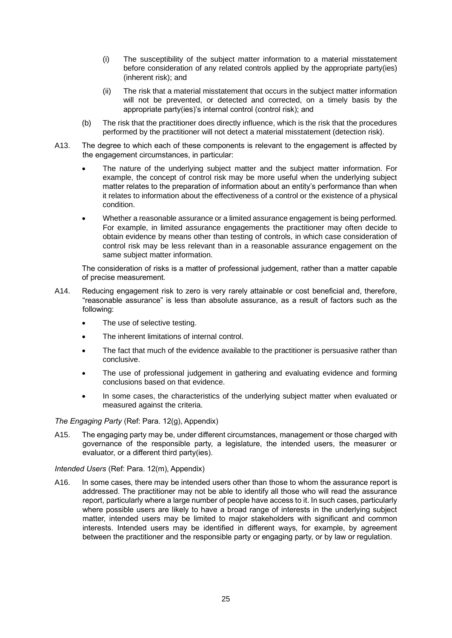- (i) The susceptibility of the subject matter information to a material misstatement before consideration of any related controls applied by the appropriate party(ies) (inherent risk); and
- (ii) The risk that a material misstatement that occurs in the subject matter information will not be prevented, or detected and corrected, on a timely basis by the appropriate party(ies)'s internal control (control risk); and
- (b) The risk that the practitioner does directly influence, which is the risk that the procedures performed by the practitioner will not detect a material misstatement (detection risk).
- A13. The degree to which each of these components is relevant to the engagement is affected by the engagement circumstances, in particular:
	- The nature of the underlying subject matter and the subiect matter information. For example, the concept of control risk may be more useful when the underlying subject matter relates to the preparation of information about an entity's performance than when it relates to information about the effectiveness of a control or the existence of a physical condition.
	- Whether a reasonable assurance or a limited assurance engagement is being performed. For example, in limited assurance engagements the practitioner may often decide to obtain evidence by means other than testing of controls, in which case consideration of control risk may be less relevant than in a reasonable assurance engagement on the same subject matter information.

The consideration of risks is a matter of professional judgement, rather than a matter capable of precise measurement.

- A14. Reducing engagement risk to zero is very rarely attainable or cost beneficial and, therefore, "reasonable assurance" is less than absolute assurance, as a result of factors such as the following:
	- The use of selective testing.
	- The inherent limitations of internal control.
	- The fact that much of the evidence available to the practitioner is persuasive rather than conclusive.
	- The use of professional judgement in gathering and evaluating evidence and forming conclusions based on that evidence.
	- In some cases, the characteristics of the underlying subject matter when evaluated or measured against the criteria.

# *The Engaging Party* (Ref: Para. 12(g), Appendix)

A15. The engaging party may be, under different circumstances, management or those charged with governance of the responsible party, a legislature, the intended users, the measurer or evaluator, or a different third party(ies).

# *Intended Users* (Ref: Para. 12(m), Appendix)

A16. In some cases, there may be intended users other than those to whom the assurance report is addressed. The practitioner may not be able to identify all those who will read the assurance report, particularly where a large number of people have access to it. In such cases, particularly where possible users are likely to have a broad range of interests in the underlying subject matter, intended users may be limited to major stakeholders with significant and common interests. Intended users may be identified in different ways, for example, by agreement between the practitioner and the responsible party or engaging party, or by law or regulation.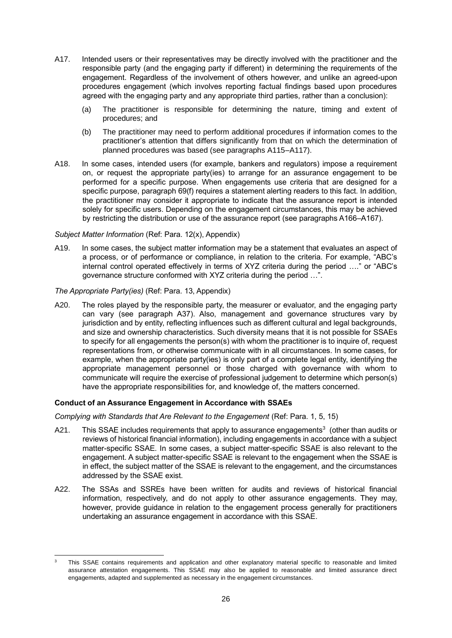- A17. Intended users or their representatives may be directly involved with the practitioner and the responsible party (and the engaging party if different) in determining the requirements of the engagement. Regardless of the involvement of others however, and unlike an agreed-upon procedures engagement (which involves reporting factual findings based upon procedures agreed with the engaging party and any appropriate third parties, rather than a conclusion):
	- (a) The practitioner is responsible for determining the nature, timing and extent of procedures; and
	- (b) The practitioner may need to perform additional procedures if information comes to the practitioner's attention that differs significantly from that on which the determination of planned procedures was based (see paragraphs A115–A117).
- A18. In some cases, intended users (for example, bankers and regulators) impose a requirement on, or request the appropriate party(ies) to arrange for an assurance engagement to be performed for a specific purpose. When engagements use criteria that are designed for a specific purpose, paragraph 69(f) requires a statement alerting readers to this fact. In addition, the practitioner may consider it appropriate to indicate that the assurance report is intended solely for specific users. Depending on the engagement circumstances, this may be achieved by restricting the distribution or use of the assurance report (see paragraphs A166–A167).

# *Subject Matter Information* (Ref: Para. 12(x), Appendix)

A19. In some cases, the subject matter information may be a statement that evaluates an aspect of a process, or of performance or compliance, in relation to the criteria. For example, "ABC's internal control operated effectively in terms of XYZ criteria during the period …." or "ABC's governance structure conformed with XYZ criteria during the period …".

# *The Appropriate Party(ies)* (Ref: Para. 13, Appendix)

A20. The roles played by the responsible party, the measurer or evaluator, and the engaging party can vary (see paragraph A37). Also, management and governance structures vary by jurisdiction and by entity, reflecting influences such as different cultural and legal backgrounds, and size and ownership characteristics. Such diversity means that it is not possible for SSAEs to specify for all engagements the person(s) with whom the practitioner is to inquire of, request representations from, or otherwise communicate with in all circumstances. In some cases, for example, when the appropriate party(ies) is only part of a complete legal entity, identifying the appropriate management personnel or those charged with governance with whom to communicate will require the exercise of professional judgement to determine which person(s) have the appropriate responsibilities for, and knowledge of, the matters concerned.

# **Conduct of an Assurance Engagement in Accordance with SSAEs**

*Complying with Standards that Are Relevant to the Engagement* (Ref: Para. 1, 5, 15)

- A21. This SSAE includes requirements that apply to assurance engagements<sup>3</sup> (other than audits or reviews of historical financial information), including engagements in accordance with a subject matter-specific SSAE. In some cases, a subject matter-specific SSAE is also relevant to the engagement. A subject matter-specific SSAE is relevant to the engagement when the SSAE is in effect, the subject matter of the SSAE is relevant to the engagement, and the circumstances addressed by the SSAE exist.
- A22. The SSAs and SSREs have been written for audits and reviews of historical financial information, respectively, and do not apply to other assurance engagements. They may, however, provide guidance in relation to the engagement process generally for practitioners undertaking an assurance engagement in accordance with this SSAE.

<sup>3</sup> This SSAE contains requirements and application and other explanatory material specific to reasonable and limited assurance attestation engagements. This SSAE may also be applied to reasonable and limited assurance direct engagements, adapted and supplemented as necessary in the engagement circumstances.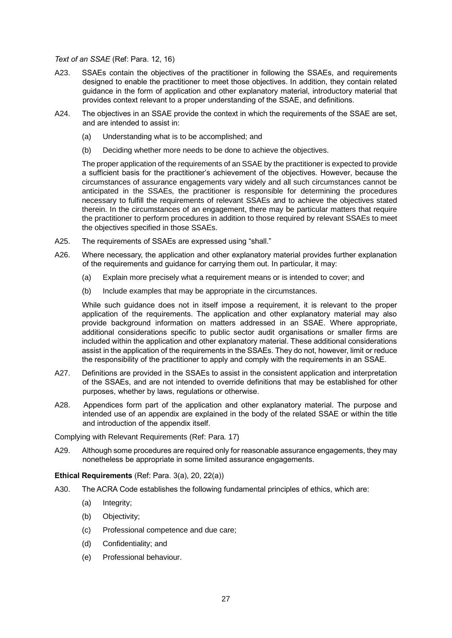*Text of an SSAE* (Ref: Para. 12, 16)

- A23. SSAEs contain the objectives of the practitioner in following the SSAEs, and requirements designed to enable the practitioner to meet those objectives. In addition, they contain related guidance in the form of application and other explanatory material, introductory material that provides context relevant to a proper understanding of the SSAE, and definitions.
- A24. The objectives in an SSAE provide the context in which the requirements of the SSAE are set, and are intended to assist in:
	- (a) Understanding what is to be accomplished; and
	- (b) Deciding whether more needs to be done to achieve the objectives.

The proper application of the requirements of an SSAE by the practitioner is expected to provide a sufficient basis for the practitioner's achievement of the objectives. However, because the circumstances of assurance engagements vary widely and all such circumstances cannot be anticipated in the SSAEs, the practitioner is responsible for determining the procedures necessary to fulfill the requirements of relevant SSAEs and to achieve the objectives stated therein. In the circumstances of an engagement, there may be particular matters that require the practitioner to perform procedures in addition to those required by relevant SSAEs to meet the objectives specified in those SSAEs.

- A25. The requirements of SSAEs are expressed using "shall."
- A26. Where necessary, the application and other explanatory material provides further explanation of the requirements and guidance for carrying them out. In particular, it may:
	- (a) Explain more precisely what a requirement means or is intended to cover; and
	- (b) Include examples that may be appropriate in the circumstances.

While such guidance does not in itself impose a requirement, it is relevant to the proper application of the requirements. The application and other explanatory material may also provide background information on matters addressed in an SSAE. Where appropriate, additional considerations specific to public sector audit organisations or smaller firms are included within the application and other explanatory material. These additional considerations assist in the application of the requirements in the SSAEs. They do not, however, limit or reduce the responsibility of the practitioner to apply and comply with the requirements in an SSAE.

- A27. Definitions are provided in the SSAEs to assist in the consistent application and interpretation of the SSAEs, and are not intended to override definitions that may be established for other purposes, whether by laws, regulations or otherwise.
- A28. Appendices form part of the application and other explanatory material. The purpose and intended use of an appendix are explained in the body of the related SSAE or within the title and introduction of the appendix itself.

Complying with Relevant Requirements (Ref: Para. 17)

A29. Although some procedures are required only for reasonable assurance engagements, they may nonetheless be appropriate in some limited assurance engagements.

# **Ethical Requirements** (Ref: Para. 3(a), 20, 22(a))

- A30. The ACRA Code establishes the following fundamental principles of ethics, which are:
	- (a) Integrity;
	- (b) Objectivity;
	- (c) Professional competence and due care;
	- (d) Confidentiality; and
	- (e) Professional behaviour.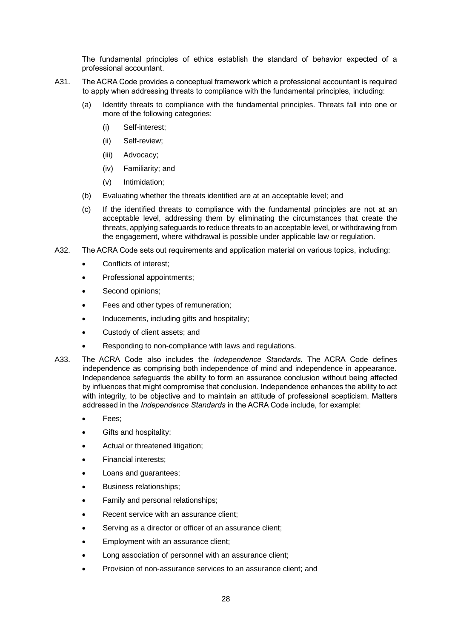The fundamental principles of ethics establish the standard of behavior expected of a professional accountant.

- A31. The ACRA Code provides a conceptual framework which a professional accountant is required to apply when addressing threats to compliance with the fundamental principles, including:
	- (a) Identify threats to compliance with the fundamental principles. Threats fall into one or more of the following categories:
		- (i) Self-interest;
		- (ii) Self-review;
		- (iii) Advocacy;
		- (iv) Familiarity; and
		- (v) Intimidation;
	- (b) Evaluating whether the threats identified are at an acceptable level; and
	- (c) If the identified threats to compliance with the fundamental principles are not at an acceptable level, addressing them by eliminating the circumstances that create the threats, applying safeguards to reduce threats to an acceptable level, or withdrawing from the engagement, where withdrawal is possible under applicable law or regulation.
- A32. The ACRA Code sets out requirements and application material on various topics, including:
	- Conflicts of interest:
	- Professional appointments;
	- Second opinions;
	- Fees and other types of remuneration;
	- Inducements, including gifts and hospitality;
	- Custody of client assets; and
	- Responding to non-compliance with laws and regulations.
- A33. The ACRA Code also includes the *Independence Standards.* The ACRA Code defines independence as comprising both independence of mind and independence in appearance. Independence safeguards the ability to form an assurance conclusion without being affected by influences that might compromise that conclusion. Independence enhances the ability to act with integrity, to be objective and to maintain an attitude of professional scepticism. Matters addressed in the *Independence Standards* in the ACRA Code include, for example:
	- Fees;
	- Gifts and hospitality;
	- Actual or threatened litigation;
	- Financial interests;
	- Loans and guarantees;
	- Business relationships;
	- Family and personal relationships;
	- Recent service with an assurance client;
	- Serving as a director or officer of an assurance client;
	- Employment with an assurance client;
	- Long association of personnel with an assurance client;
	- Provision of non-assurance services to an assurance client; and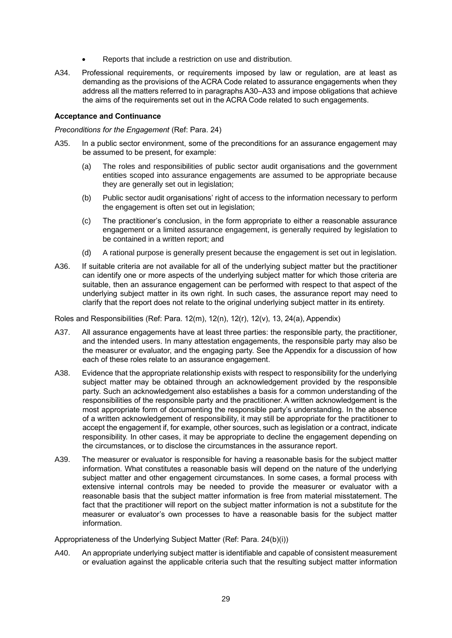- Reports that include a restriction on use and distribution.
- A34. Professional requirements, or requirements imposed by law or regulation, are at least as demanding as the provisions of the ACRA Code related to assurance engagements when they address all the matters referred to in paragraphs A30–A33 and impose obligations that achieve the aims of the requirements set out in the ACRA Code related to such engagements.

#### **Acceptance and Continuance**

#### *Preconditions for the Engagement* (Ref: Para. 24)

- A35. In a public sector environment, some of the preconditions for an assurance engagement may be assumed to be present, for example:
	- (a) The roles and responsibilities of public sector audit organisations and the government entities scoped into assurance engagements are assumed to be appropriate because they are generally set out in legislation;
	- (b) Public sector audit organisations' right of access to the information necessary to perform the engagement is often set out in legislation;
	- (c) The practitioner's conclusion, in the form appropriate to either a reasonable assurance engagement or a limited assurance engagement, is generally required by legislation to be contained in a written report; and
	- (d) A rational purpose is generally present because the engagement is set out in legislation.
- A36. If suitable criteria are not available for all of the underlying subject matter but the practitioner can identify one or more aspects of the underlying subject matter for which those criteria are suitable, then an assurance engagement can be performed with respect to that aspect of the underlying subject matter in its own right. In such cases, the assurance report may need to clarify that the report does not relate to the original underlying subject matter in its entirety.

# Roles and Responsibilities (Ref: Para.  $12(m)$ ,  $12(n)$ ,  $12(r)$ ,  $12(v)$ ,  $13$ ,  $24(a)$ , Appendix)

- A37. All assurance engagements have at least three parties: the responsible party, the practitioner, and the intended users. In many attestation engagements, the responsible party may also be the measurer or evaluator, and the engaging party. See the Appendix for a discussion of how each of these roles relate to an assurance engagement.
- A38. Evidence that the appropriate relationship exists with respect to responsibility for the underlying subject matter may be obtained through an acknowledgement provided by the responsible party. Such an acknowledgement also establishes a basis for a common understanding of the responsibilities of the responsible party and the practitioner. A written acknowledgement is the most appropriate form of documenting the responsible party's understanding. In the absence of a written acknowledgement of responsibility, it may still be appropriate for the practitioner to accept the engagement if, for example, other sources, such as legislation or a contract, indicate responsibility. In other cases, it may be appropriate to decline the engagement depending on the circumstances, or to disclose the circumstances in the assurance report.
- A39. The measurer or evaluator is responsible for having a reasonable basis for the subject matter information. What constitutes a reasonable basis will depend on the nature of the underlying subject matter and other engagement circumstances. In some cases, a formal process with extensive internal controls may be needed to provide the measurer or evaluator with a reasonable basis that the subject matter information is free from material misstatement. The fact that the practitioner will report on the subject matter information is not a substitute for the measurer or evaluator's own processes to have a reasonable basis for the subject matter information.

Appropriateness of the Underlying Subject Matter (Ref: Para. 24(b)(i))

A40. An appropriate underlying subject matter is identifiable and capable of consistent measurement or evaluation against the applicable criteria such that the resulting subject matter information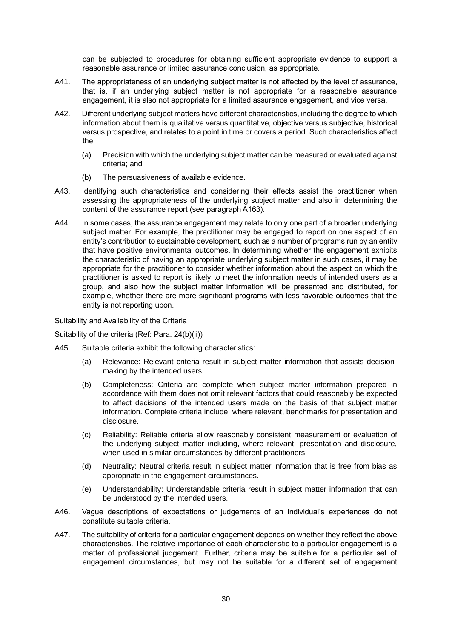can be subjected to procedures for obtaining sufficient appropriate evidence to support a reasonable assurance or limited assurance conclusion, as appropriate.

- A41. The appropriateness of an underlying subject matter is not affected by the level of assurance, that is, if an underlying subject matter is not appropriate for a reasonable assurance engagement, it is also not appropriate for a limited assurance engagement, and vice versa.
- A42. Different underlying subject matters have different characteristics, including the degree to which information about them is qualitative versus quantitative, objective versus subjective, historical versus prospective, and relates to a point in time or covers a period. Such characteristics affect the:
	- (a) Precision with which the underlying subject matter can be measured or evaluated against criteria; and
	- (b) The persuasiveness of available evidence.
- A43. Identifying such characteristics and considering their effects assist the practitioner when assessing the appropriateness of the underlying subject matter and also in determining the content of the assurance report (see paragraph A163).
- A44. In some cases, the assurance engagement may relate to only one part of a broader underlying subject matter. For example, the practitioner may be engaged to report on one aspect of an entity's contribution to sustainable development, such as a number of programs run by an entity that have positive environmental outcomes. In determining whether the engagement exhibits the characteristic of having an appropriate underlying subject matter in such cases, it may be appropriate for the practitioner to consider whether information about the aspect on which the practitioner is asked to report is likely to meet the information needs of intended users as a group, and also how the subject matter information will be presented and distributed, for example, whether there are more significant programs with less favorable outcomes that the entity is not reporting upon.

Suitability and Availability of the Criteria

Suitability of the criteria (Ref: Para. 24(b)(ii))

- A45. Suitable criteria exhibit the following characteristics:
	- (a) Relevance: Relevant criteria result in subject matter information that assists decisionmaking by the intended users.
	- (b) Completeness: Criteria are complete when subject matter information prepared in accordance with them does not omit relevant factors that could reasonably be expected to affect decisions of the intended users made on the basis of that subject matter information. Complete criteria include, where relevant, benchmarks for presentation and disclosure.
	- (c) Reliability: Reliable criteria allow reasonably consistent measurement or evaluation of the underlying subject matter including, where relevant, presentation and disclosure, when used in similar circumstances by different practitioners.
	- (d) Neutrality: Neutral criteria result in subject matter information that is free from bias as appropriate in the engagement circumstances.
	- (e) Understandability: Understandable criteria result in subject matter information that can be understood by the intended users.
- A46. Vague descriptions of expectations or judgements of an individual's experiences do not constitute suitable criteria.
- A47. The suitability of criteria for a particular engagement depends on whether they reflect the above characteristics. The relative importance of each characteristic to a particular engagement is a matter of professional judgement. Further, criteria may be suitable for a particular set of engagement circumstances, but may not be suitable for a different set of engagement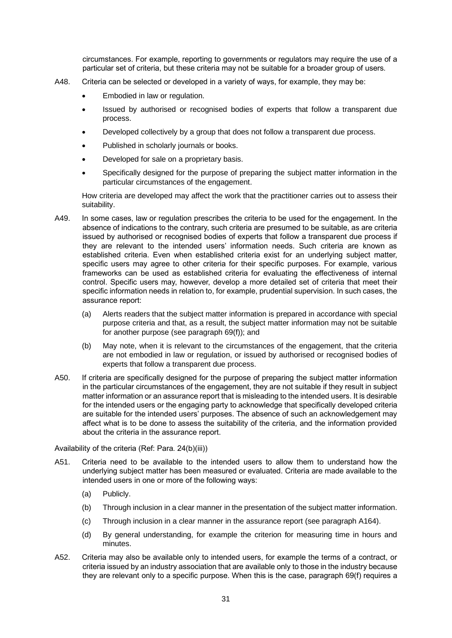circumstances. For example, reporting to governments or regulators may require the use of a particular set of criteria, but these criteria may not be suitable for a broader group of users.

- A48. Criteria can be selected or developed in a variety of ways, for example, they may be:
	- Embodied in law or regulation.
	- Issued by authorised or recognised bodies of experts that follow a transparent due process.
	- Developed collectively by a group that does not follow a transparent due process.
	- Published in scholarly journals or books.
	- Developed for sale on a proprietary basis.
	- Specifically designed for the purpose of preparing the subject matter information in the particular circumstances of the engagement.

How criteria are developed may affect the work that the practitioner carries out to assess their suitability.

- A49. In some cases, law or regulation prescribes the criteria to be used for the engagement. In the absence of indications to the contrary, such criteria are presumed to be suitable, as are criteria issued by authorised or recognised bodies of experts that follow a transparent due process if they are relevant to the intended users' information needs. Such criteria are known as established criteria. Even when established criteria exist for an underlying subject matter, specific users may agree to other criteria for their specific purposes. For example, various frameworks can be used as established criteria for evaluating the effectiveness of internal control. Specific users may, however, develop a more detailed set of criteria that meet their specific information needs in relation to, for example, prudential supervision. In such cases, the assurance report:
	- (a) Alerts readers that the subject matter information is prepared in accordance with special purpose criteria and that, as a result, the subject matter information may not be suitable for another purpose (see paragraph 69(f)); and
	- (b) May note, when it is relevant to the circumstances of the engagement, that the criteria are not embodied in law or regulation, or issued by authorised or recognised bodies of experts that follow a transparent due process.
- A50. If criteria are specifically designed for the purpose of preparing the subject matter information in the particular circumstances of the engagement, they are not suitable if they result in subject matter information or an assurance report that is misleading to the intended users. It is desirable for the intended users or the engaging party to acknowledge that specifically developed criteria are suitable for the intended users' purposes. The absence of such an acknowledgement may affect what is to be done to assess the suitability of the criteria, and the information provided about the criteria in the assurance report.

Availability of the criteria (Ref: Para. 24(b)(iii))

- A51. Criteria need to be available to the intended users to allow them to understand how the underlying subject matter has been measured or evaluated. Criteria are made available to the intended users in one or more of the following ways:
	- (a) Publicly.
	- (b) Through inclusion in a clear manner in the presentation of the subject matter information.
	- (c) Through inclusion in a clear manner in the assurance report (see paragraph A164).
	- (d) By general understanding, for example the criterion for measuring time in hours and minutes.
- A52. Criteria may also be available only to intended users, for example the terms of a contract, or criteria issued by an industry association that are available only to those in the industry because they are relevant only to a specific purpose. When this is the case, paragraph 69(f) requires a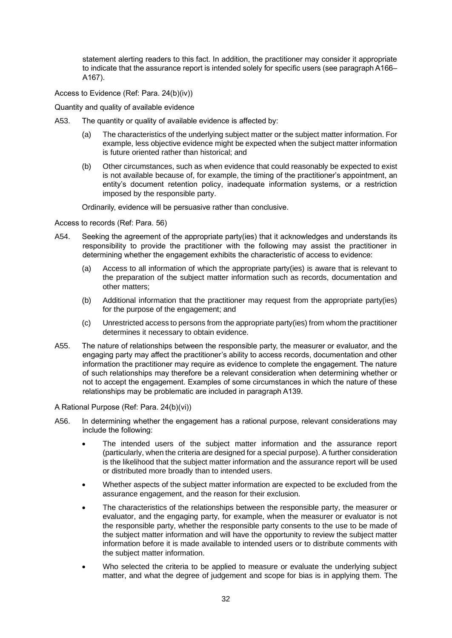statement alerting readers to this fact. In addition, the practitioner may consider it appropriate to indicate that the assurance report is intended solely for specific users (see paragraph A166– A167).

Access to Evidence (Ref: Para. 24(b)(iv))

Quantity and quality of available evidence

- A53. The quantity or quality of available evidence is affected by:
	- (a) The characteristics of the underlying subject matter or the subject matter information. For example, less objective evidence might be expected when the subject matter information is future oriented rather than historical; and
	- (b) Other circumstances, such as when evidence that could reasonably be expected to exist is not available because of, for example, the timing of the practitioner's appointment, an entity's document retention policy, inadequate information systems, or a restriction imposed by the responsible party.

Ordinarily, evidence will be persuasive rather than conclusive.

Access to records (Ref: Para. 56)

- A54. Seeking the agreement of the appropriate party(ies) that it acknowledges and understands its responsibility to provide the practitioner with the following may assist the practitioner in determining whether the engagement exhibits the characteristic of access to evidence:
	- (a) Access to all information of which the appropriate party(ies) is aware that is relevant to the preparation of the subject matter information such as records, documentation and other matters;
	- (b) Additional information that the practitioner may request from the appropriate party(ies) for the purpose of the engagement; and
	- (c) Unrestricted access to persons from the appropriate party(ies) from whom the practitioner determines it necessary to obtain evidence.
- A55. The nature of relationships between the responsible party, the measurer or evaluator, and the engaging party may affect the practitioner's ability to access records, documentation and other information the practitioner may require as evidence to complete the engagement. The nature of such relationships may therefore be a relevant consideration when determining whether or not to accept the engagement. Examples of some circumstances in which the nature of these relationships may be problematic are included in paragraph A139.

A Rational Purpose (Ref: Para. 24(b)(vi))

- A56. In determining whether the engagement has a rational purpose, relevant considerations may include the following:
	- The intended users of the subject matter information and the assurance report (particularly, when the criteria are designed for a special purpose). A further consideration is the likelihood that the subject matter information and the assurance report will be used or distributed more broadly than to intended users.
	- Whether aspects of the subject matter information are expected to be excluded from the assurance engagement, and the reason for their exclusion.
	- The characteristics of the relationships between the responsible party, the measurer or evaluator, and the engaging party, for example, when the measurer or evaluator is not the responsible party, whether the responsible party consents to the use to be made of the subject matter information and will have the opportunity to review the subject matter information before it is made available to intended users or to distribute comments with the subject matter information.
	- Who selected the criteria to be applied to measure or evaluate the underlying subject matter, and what the degree of judgement and scope for bias is in applying them. The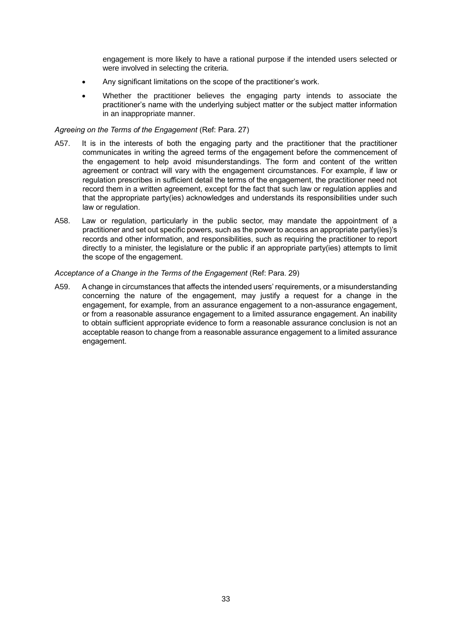engagement is more likely to have a rational purpose if the intended users selected or were involved in selecting the criteria.

- Any significant limitations on the scope of the practitioner's work.
- Whether the practitioner believes the engaging party intends to associate the practitioner's name with the underlying subject matter or the subject matter information in an inappropriate manner.

#### *Agreeing on the Terms of the Engagement* (Ref: Para. 27)

- A57. It is in the interests of both the engaging party and the practitioner that the practitioner communicates in writing the agreed terms of the engagement before the commencement of the engagement to help avoid misunderstandings. The form and content of the written agreement or contract will vary with the engagement circumstances. For example, if law or regulation prescribes in sufficient detail the terms of the engagement, the practitioner need not record them in a written agreement, except for the fact that such law or regulation applies and that the appropriate party(ies) acknowledges and understands its responsibilities under such law or regulation.
- A58. Law or regulation, particularly in the public sector, may mandate the appointment of a practitioner and set out specific powers, such as the power to access an appropriate party(ies)'s records and other information, and responsibilities, such as requiring the practitioner to report directly to a minister, the legislature or the public if an appropriate party(ies) attempts to limit the scope of the engagement.

# *Acceptance of a Change in the Terms of the Engagement* (Ref: Para. 29)

A59. A change in circumstances that affects the intended users' requirements, or a misunderstanding concerning the nature of the engagement, may justify a request for a change in the engagement, for example, from an assurance engagement to a non-assurance engagement, or from a reasonable assurance engagement to a limited assurance engagement. An inability to obtain sufficient appropriate evidence to form a reasonable assurance conclusion is not an acceptable reason to change from a reasonable assurance engagement to a limited assurance engagement.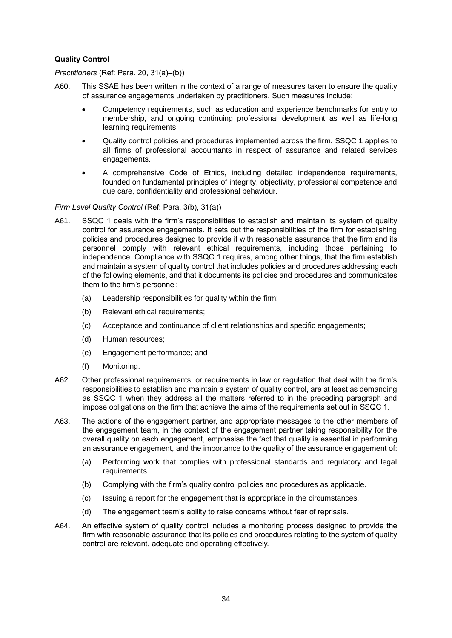# **Quality Control**

# *Practitioners* (Ref: Para. 20, 31(a)–(b))

- A60. This SSAE has been written in the context of a range of measures taken to ensure the quality of assurance engagements undertaken by practitioners. Such measures include:
	- Competency requirements, such as education and experience benchmarks for entry to membership, and ongoing continuing professional development as well as life-long learning requirements.
	- Quality control policies and procedures implemented across the firm. SSQC 1 applies to all firms of professional accountants in respect of assurance and related services engagements.
	- A comprehensive Code of Ethics, including detailed independence requirements, founded on fundamental principles of integrity, objectivity, professional competence and due care, confidentiality and professional behaviour.

# *Firm Level Quality Control (Ref: Para. 3(b), 31(a))*

- A61. SSQC 1 deals with the firm's responsibilities to establish and maintain its system of quality control for assurance engagements. It sets out the responsibilities of the firm for establishing policies and procedures designed to provide it with reasonable assurance that the firm and its personnel comply with relevant ethical requirements, including those pertaining to independence. Compliance with SSQC 1 requires, among other things, that the firm establish and maintain a system of quality control that includes policies and procedures addressing each of the following elements, and that it documents its policies and procedures and communicates them to the firm's personnel:
	- (a) Leadership responsibilities for quality within the firm;
	- (b) Relevant ethical requirements;
	- (c) Acceptance and continuance of client relationships and specific engagements;
	- (d) Human resources;
	- (e) Engagement performance; and
	- (f) Monitoring.
- A62. Other professional requirements, or requirements in law or regulation that deal with the firm's responsibilities to establish and maintain a system of quality control, are at least as demanding as SSQC 1 when they address all the matters referred to in the preceding paragraph and impose obligations on the firm that achieve the aims of the requirements set out in SSQC 1.
- A63. The actions of the engagement partner, and appropriate messages to the other members of the engagement team, in the context of the engagement partner taking responsibility for the overall quality on each engagement, emphasise the fact that quality is essential in performing an assurance engagement, and the importance to the quality of the assurance engagement of:
	- (a) Performing work that complies with professional standards and regulatory and legal requirements.
	- (b) Complying with the firm's quality control policies and procedures as applicable.
	- (c) Issuing a report for the engagement that is appropriate in the circumstances.
	- (d) The engagement team's ability to raise concerns without fear of reprisals.
- A64. An effective system of quality control includes a monitoring process designed to provide the firm with reasonable assurance that its policies and procedures relating to the system of quality control are relevant, adequate and operating effectively.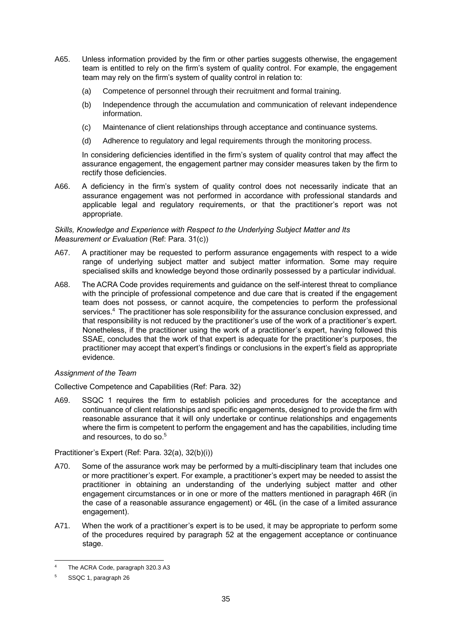- A65. Unless information provided by the firm or other parties suggests otherwise, the engagement team is entitled to rely on the firm's system of quality control. For example, the engagement team may rely on the firm's system of quality control in relation to:
	- (a) Competence of personnel through their recruitment and formal training.
	- (b) Independence through the accumulation and communication of relevant independence information.
	- (c) Maintenance of client relationships through acceptance and continuance systems.
	- (d) Adherence to regulatory and legal requirements through the monitoring process.

In considering deficiencies identified in the firm's system of quality control that may affect the assurance engagement, the engagement partner may consider measures taken by the firm to rectify those deficiencies.

A66. A deficiency in the firm's system of quality control does not necessarily indicate that an assurance engagement was not performed in accordance with professional standards and applicable legal and regulatory requirements, or that the practitioner's report was not appropriate.

# *Skills, Knowledge and Experience with Respect to the Underlying Subject Matter and Its Measurement or Evaluation* (Ref: Para. 31(c))

- A67. A practitioner may be requested to perform assurance engagements with respect to a wide range of underlying subject matter and subject matter information. Some may require specialised skills and knowledge beyond those ordinarily possessed by a particular individual.
- A68. The ACRA Code provides requirements and guidance on the self-interest threat to compliance with the principle of professional competence and due care that is created if the engagement team does not possess, or cannot acquire, the competencies to perform the professional services. 4 The practitioner has sole responsibility for the assurance conclusion expressed, and that responsibility is not reduced by the practitioner's use of the work of a practitioner's expert. Nonetheless, if the practitioner using the work of a practitioner's expert, having followed this SSAE, concludes that the work of that expert is adequate for the practitioner's purposes, the practitioner may accept that expert's findings or conclusions in the expert's field as appropriate evidence.

# *Assignment of the Team*

Collective Competence and Capabilities (Ref: Para. 32)

A69. SSQC 1 requires the firm to establish policies and procedures for the acceptance and continuance of client relationships and specific engagements, designed to provide the firm with reasonable assurance that it will only undertake or continue relationships and engagements where the firm is competent to perform the engagement and has the capabilities, including time and resources, to do so.<sup>5</sup>

Practitioner's Expert (Ref: Para. 32(a), 32(b)(i))

- A70. Some of the assurance work may be performed by a multi-disciplinary team that includes one or more practitioner's expert. For example, a practitioner's expert may be needed to assist the practitioner in obtaining an understanding of the underlying subject matter and other engagement circumstances or in one or more of the matters mentioned in paragraph 46R (in the case of a reasonable assurance engagement) or 46L (in the case of a limited assurance engagement).
- A71. When the work of a practitioner's expert is to be used, it may be appropriate to perform some of the procedures required by paragraph 52 at the engagement acceptance or continuance stage.

The ACRA Code, paragraph 320.3 A3

<sup>5</sup> SSQC 1, paragraph 26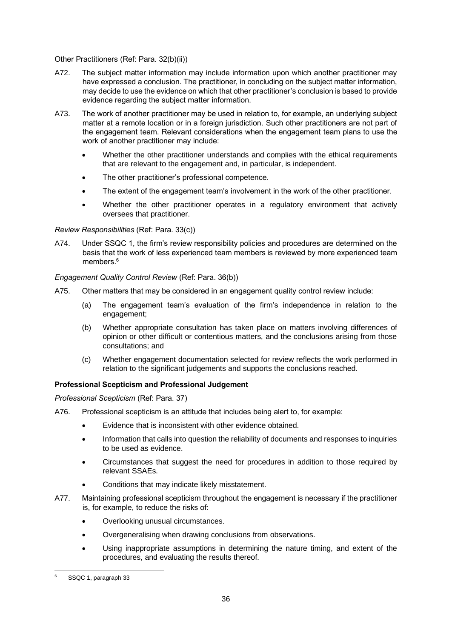Other Practitioners (Ref: Para. 32(b)(ii))

- A72. The subject matter information may include information upon which another practitioner may have expressed a conclusion. The practitioner, in concluding on the subject matter information, may decide to use the evidence on which that other practitioner's conclusion is based to provide evidence regarding the subject matter information.
- A73. The work of another practitioner may be used in relation to, for example, an underlying subject matter at a remote location or in a foreign jurisdiction. Such other practitioners are not part of the engagement team. Relevant considerations when the engagement team plans to use the work of another practitioner may include:
	- Whether the other practitioner understands and complies with the ethical requirements that are relevant to the engagement and, in particular, is independent.
	- The other practitioner's professional competence.
	- The extent of the engagement team's involvement in the work of the other practitioner.
	- Whether the other practitioner operates in a regulatory environment that actively oversees that practitioner.

# *Review Responsibilities* (Ref: Para. 33(c))

A74. Under SSQC 1, the firm's review responsibility policies and procedures are determined on the basis that the work of less experienced team members is reviewed by more experienced team members.<sup>6</sup>

# *Engagement Quality Control Review* (Ref: Para. 36(b))

- A75. Other matters that may be considered in an engagement quality control review include:
	- (a) The engagement team's evaluation of the firm's independence in relation to the engagement;
	- (b) Whether appropriate consultation has taken place on matters involving differences of opinion or other difficult or contentious matters, and the conclusions arising from those consultations; and
	- (c) Whether engagement documentation selected for review reflects the work performed in relation to the significant judgements and supports the conclusions reached.

# **Professional Scepticism and Professional Judgement**

*Professional Scepticism* (Ref: Para. 37)

- A76. Professional scepticism is an attitude that includes being alert to, for example:
	- Evidence that is inconsistent with other evidence obtained.
	- Information that calls into question the reliability of documents and responses to inquiries to be used as evidence.
	- Circumstances that suggest the need for procedures in addition to those required by relevant SSAEs.
	- Conditions that may indicate likely misstatement.
- A77. Maintaining professional scepticism throughout the engagement is necessary if the practitioner is, for example, to reduce the risks of:
	- Overlooking unusual circumstances.
	- Overgeneralising when drawing conclusions from observations.
	- Using inappropriate assumptions in determining the nature timing, and extent of the procedures, and evaluating the results thereof.

<sup>6</sup> SSQC 1, paragraph 33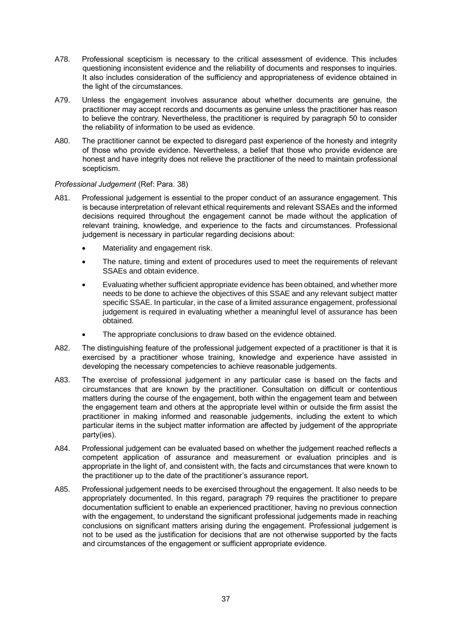- A78. Professional scepticism is necessary to the critical assessment of evidence. This includes questioning inconsistent evidence and the reliability of documents and responses to inquiries. It also includes consideration of the sufficiency and appropriateness of evidence obtained in the light of the circumstances.
- A79. Unless the engagement involves assurance about whether documents are genuine, the practitioner may accept records and documents as genuine unless the practitioner has reason to believe the contrary. Nevertheless, the practitioner is required by paragraph 50 to consider the reliability of information to be used as evidence.
- A80. The practitioner cannot be expected to disregard past experience of the honesty and integrity of those who provide evidence. Nevertheless, a belief that those who provide evidence are honest and have integrity does not relieve the practitioner of the need to maintain professional scepticism.

# *Professional Judgement* (Ref: Para. 38)

- A81. Professional judgement is essential to the proper conduct of an assurance engagement. This is because interpretation of relevant ethical requirements and relevant SSAEs and the informed decisions required throughout the engagement cannot be made without the application of relevant training, knowledge, and experience to the facts and circumstances. Professional judgement is necessary in particular regarding decisions about:
	- Materiality and engagement risk.
	- The nature, timing and extent of procedures used to meet the requirements of relevant SSAEs and obtain evidence.
	- Evaluating whether sufficient appropriate evidence has been obtained, and whether more needs to be done to achieve the objectives of this SSAE and any relevant subject matter specific SSAE. In particular, in the case of a limited assurance engagement, professional judgement is required in evaluating whether a meaningful level of assurance has been obtained.
	- The appropriate conclusions to draw based on the evidence obtained.
- A82. The distinguishing feature of the professional judgement expected of a practitioner is that it is exercised by a practitioner whose training, knowledge and experience have assisted in developing the necessary competencies to achieve reasonable judgements.
- A83. The exercise of professional judgement in any particular case is based on the facts and circumstances that are known by the practitioner. Consultation on difficult or contentious matters during the course of the engagement, both within the engagement team and between the engagement team and others at the appropriate level within or outside the firm assist the practitioner in making informed and reasonable judgements, including the extent to which particular items in the subject matter information are affected by judgement of the appropriate party(ies).
- A84. Professional judgement can be evaluated based on whether the judgement reached reflects a competent application of assurance and measurement or evaluation principles and is appropriate in the light of, and consistent with, the facts and circumstances that were known to the practitioner up to the date of the practitioner's assurance report.
- A85. Professional judgement needs to be exercised throughout the engagement. It also needs to be appropriately documented. In this regard, paragraph 79 requires the practitioner to prepare documentation sufficient to enable an experienced practitioner, having no previous connection with the engagement, to understand the significant professional judgements made in reaching conclusions on significant matters arising during the engagement. Professional judgement is not to be used as the justification for decisions that are not otherwise supported by the facts and circumstances of the engagement or sufficient appropriate evidence.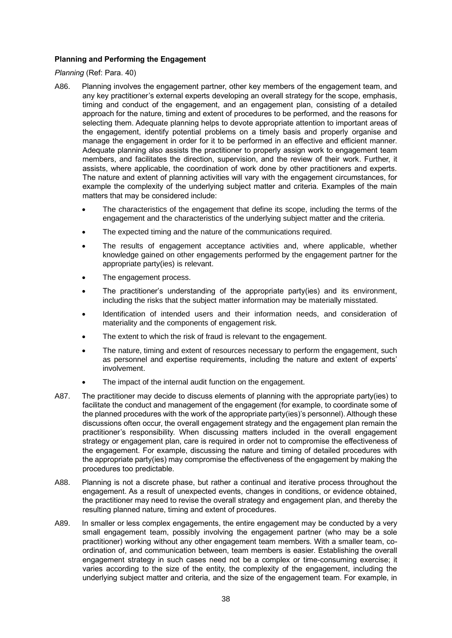# **Planning and Performing the Engagement**

*Planning* (Ref: Para. 40)

- A86. Planning involves the engagement partner, other key members of the engagement team, and any key practitioner's external experts developing an overall strategy for the scope, emphasis, timing and conduct of the engagement, and an engagement plan, consisting of a detailed approach for the nature, timing and extent of procedures to be performed, and the reasons for selecting them. Adequate planning helps to devote appropriate attention to important areas of the engagement, identify potential problems on a timely basis and properly organise and manage the engagement in order for it to be performed in an effective and efficient manner. Adequate planning also assists the practitioner to properly assign work to engagement team members, and facilitates the direction, supervision, and the review of their work. Further, it assists, where applicable, the coordination of work done by other practitioners and experts. The nature and extent of planning activities will vary with the engagement circumstances, for example the complexity of the underlying subject matter and criteria. Examples of the main matters that may be considered include:
	- The characteristics of the engagement that define its scope, including the terms of the engagement and the characteristics of the underlying subject matter and the criteria.
	- The expected timing and the nature of the communications required.
	- The results of engagement acceptance activities and, where applicable, whether knowledge gained on other engagements performed by the engagement partner for the appropriate party(ies) is relevant.
	- The engagement process.
	- The practitioner's understanding of the appropriate party(ies) and its environment, including the risks that the subject matter information may be materially misstated.
	- Identification of intended users and their information needs, and consideration of materiality and the components of engagement risk.
	- The extent to which the risk of fraud is relevant to the engagement.
	- The nature, timing and extent of resources necessary to perform the engagement, such as personnel and expertise requirements, including the nature and extent of experts' involvement.
	- The impact of the internal audit function on the engagement.
- A87. The practitioner may decide to discuss elements of planning with the appropriate party(ies) to facilitate the conduct and management of the engagement (for example, to coordinate some of the planned procedures with the work of the appropriate party(ies)'s personnel). Although these discussions often occur, the overall engagement strategy and the engagement plan remain the practitioner's responsibility. When discussing matters included in the overall engagement strategy or engagement plan, care is required in order not to compromise the effectiveness of the engagement. For example, discussing the nature and timing of detailed procedures with the appropriate party(ies) may compromise the effectiveness of the engagement by making the procedures too predictable.
- A88. Planning is not a discrete phase, but rather a continual and iterative process throughout the engagement. As a result of unexpected events, changes in conditions, or evidence obtained, the practitioner may need to revise the overall strategy and engagement plan, and thereby the resulting planned nature, timing and extent of procedures.
- A89. In smaller or less complex engagements, the entire engagement may be conducted by a very small engagement team, possibly involving the engagement partner (who may be a sole practitioner) working without any other engagement team members. With a smaller team, coordination of, and communication between, team members is easier. Establishing the overall engagement strategy in such cases need not be a complex or time-consuming exercise; it varies according to the size of the entity, the complexity of the engagement, including the underlying subject matter and criteria, and the size of the engagement team. For example, in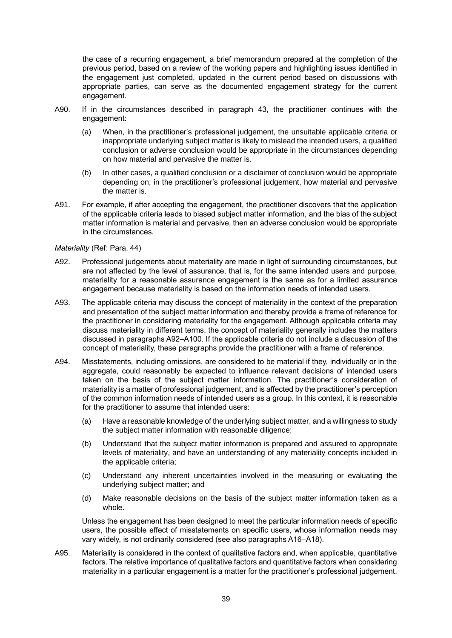the case of a recurring engagement, a brief memorandum prepared at the completion of the previous period, based on a review of the working papers and highlighting issues identified in the engagement just completed, updated in the current period based on discussions with appropriate parties, can serve as the documented engagement strategy for the current engagement.

- A90. If in the circumstances described in paragraph 43, the practitioner continues with the engagement:
	- (a) When, in the practitioner's professional judgement, the unsuitable applicable criteria or inappropriate underlying subject matter is likely to mislead the intended users, a qualified conclusion or adverse conclusion would be appropriate in the circumstances depending on how material and pervasive the matter is.
	- (b) In other cases, a qualified conclusion or a disclaimer of conclusion would be appropriate depending on, in the practitioner's professional judgement, how material and pervasive the matter is.
- A91. For example, if after accepting the engagement, the practitioner discovers that the application of the applicable criteria leads to biased subject matter information, and the bias of the subject matter information is material and pervasive, then an adverse conclusion would be appropriate in the circumstances.

*Materiality* (Ref: Para. 44)

- A92. Professional judgements about materiality are made in light of surrounding circumstances, but are not affected by the level of assurance, that is, for the same intended users and purpose, materiality for a reasonable assurance engagement is the same as for a limited assurance engagement because materiality is based on the information needs of intended users.
- A93. The applicable criteria may discuss the concept of materiality in the context of the preparation and presentation of the subject matter information and thereby provide a frame of reference for the practitioner in considering materiality for the engagement. Although applicable criteria may discuss materiality in different terms, the concept of materiality generally includes the matters discussed in paragraphs A92–A100. If the applicable criteria do not include a discussion of the concept of materiality, these paragraphs provide the practitioner with a frame of reference.
- A94. Misstatements, including omissions, are considered to be material if they, individually or in the aggregate, could reasonably be expected to influence relevant decisions of intended users taken on the basis of the subject matter information. The practitioner's consideration of materiality is a matter of professional judgement, and is affected by the practitioner's perception of the common information needs of intended users as a group. In this context, it is reasonable for the practitioner to assume that intended users:
	- (a) Have a reasonable knowledge of the underlying subject matter, and a willingness to study the subject matter information with reasonable diligence;
	- (b) Understand that the subject matter information is prepared and assured to appropriate levels of materiality, and have an understanding of any materiality concepts included in the applicable criteria;
	- (c) Understand any inherent uncertainties involved in the measuring or evaluating the underlying subject matter; and
	- (d) Make reasonable decisions on the basis of the subject matter information taken as a whole.

Unless the engagement has been designed to meet the particular information needs of specific users, the possible effect of misstatements on specific users, whose information needs may vary widely, is not ordinarily considered (see also paragraphs A16–A18).

A95. Materiality is considered in the context of qualitative factors and, when applicable, quantitative factors. The relative importance of qualitative factors and quantitative factors when considering materiality in a particular engagement is a matter for the practitioner's professional judgement.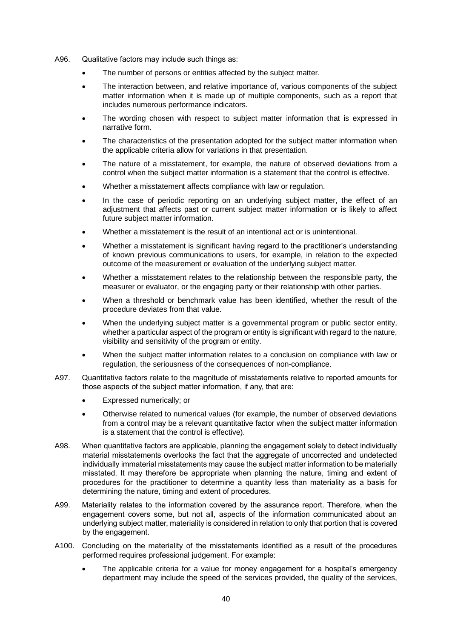- A96. Qualitative factors may include such things as:
	- The number of persons or entities affected by the subject matter.
	- The interaction between, and relative importance of, various components of the subject matter information when it is made up of multiple components, such as a report that includes numerous performance indicators.
	- The wording chosen with respect to subject matter information that is expressed in narrative form.
	- The characteristics of the presentation adopted for the subject matter information when the applicable criteria allow for variations in that presentation.
	- The nature of a misstatement, for example, the nature of observed deviations from a control when the subject matter information is a statement that the control is effective.
	- Whether a misstatement affects compliance with law or regulation.
	- In the case of periodic reporting on an underlying subject matter, the effect of an adjustment that affects past or current subject matter information or is likely to affect future subject matter information.
	- Whether a misstatement is the result of an intentional act or is unintentional.
	- Whether a misstatement is significant having regard to the practitioner's understanding of known previous communications to users, for example, in relation to the expected outcome of the measurement or evaluation of the underlying subject matter.
	- Whether a misstatement relates to the relationship between the responsible party, the measurer or evaluator, or the engaging party or their relationship with other parties.
	- When a threshold or benchmark value has been identified, whether the result of the procedure deviates from that value.
	- When the underlying subject matter is a governmental program or public sector entity, whether a particular aspect of the program or entity is significant with regard to the nature, visibility and sensitivity of the program or entity.
	- When the subject matter information relates to a conclusion on compliance with law or regulation, the seriousness of the consequences of non-compliance.
- A97. Quantitative factors relate to the magnitude of misstatements relative to reported amounts for those aspects of the subject matter information, if any, that are:
	- Expressed numerically; or
	- Otherwise related to numerical values (for example, the number of observed deviations from a control may be a relevant quantitative factor when the subject matter information is a statement that the control is effective).
- A98. When quantitative factors are applicable, planning the engagement solely to detect individually material misstatements overlooks the fact that the aggregate of uncorrected and undetected individually immaterial misstatements may cause the subject matter information to be materially misstated. It may therefore be appropriate when planning the nature, timing and extent of procedures for the practitioner to determine a quantity less than materiality as a basis for determining the nature, timing and extent of procedures.
- A99. Materiality relates to the information covered by the assurance report. Therefore, when the engagement covers some, but not all, aspects of the information communicated about an underlying subject matter, materiality is considered in relation to only that portion that is covered by the engagement.
- A100. Concluding on the materiality of the misstatements identified as a result of the procedures performed requires professional judgement. For example:
	- The applicable criteria for a value for money engagement for a hospital's emergency department may include the speed of the services provided, the quality of the services,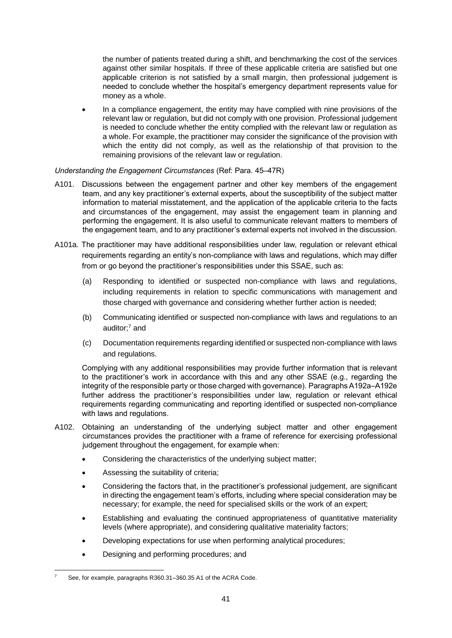the number of patients treated during a shift, and benchmarking the cost of the services against other similar hospitals. If three of these applicable criteria are satisfied but one applicable criterion is not satisfied by a small margin, then professional judgement is needed to conclude whether the hospital's emergency department represents value for money as a whole.

• In a compliance engagement, the entity may have complied with nine provisions of the relevant law or regulation, but did not comply with one provision. Professional judgement is needed to conclude whether the entity complied with the relevant law or regulation as a whole. For example, the practitioner may consider the significance of the provision with which the entity did not comply, as well as the relationship of that provision to the remaining provisions of the relevant law or regulation.

# *Understanding the Engagement Circumstances* (Ref: Para. 45–47R)

- A101. Discussions between the engagement partner and other key members of the engagement team, and any key practitioner's external experts, about the susceptibility of the subject matter information to material misstatement, and the application of the applicable criteria to the facts and circumstances of the engagement, may assist the engagement team in planning and performing the engagement. It is also useful to communicate relevant matters to members of the engagement team, and to any practitioner's external experts not involved in the discussion.
- A101a. The practitioner may have additional responsibilities under law, regulation or relevant ethical requirements regarding an entity's non-compliance with laws and regulations, which may differ from or go beyond the practitioner's responsibilities under this SSAE, such as:
	- (a) Responding to identified or suspected non-compliance with laws and regulations, including requirements in relation to specific communications with management and those charged with governance and considering whether further action is needed;
	- (b) Communicating identified or suspected non-compliance with laws and regulations to an auditor;<sup>7</sup> and
	- (c) Documentation requirements regarding identified or suspected non-compliance with laws and regulations.

Complying with any additional responsibilities may provide further information that is relevant to the practitioner's work in accordance with this and any other SSAE (e.g., regarding the integrity of the responsible party or those charged with governance). Paragraphs A192a–A192e further address the practitioner's responsibilities under law, regulation or relevant ethical requirements regarding communicating and reporting identified or suspected non-compliance with laws and regulations.

- A102. Obtaining an understanding of the underlying subject matter and other engagement circumstances provides the practitioner with a frame of reference for exercising professional judgement throughout the engagement, for example when:
	- Considering the characteristics of the underlying subject matter;
	- Assessing the suitability of criteria;
	- Considering the factors that, in the practitioner's professional judgement, are significant in directing the engagement team's efforts, including where special consideration may be necessary; for example, the need for specialised skills or the work of an expert;
	- Establishing and evaluating the continued appropriateness of quantitative materiality levels (where appropriate), and considering qualitative materiality factors;
	- Developing expectations for use when performing analytical procedures;
	- Designing and performing procedures; and

See, for example, paragraphs R360.31-360.35 A1 of the ACRA Code.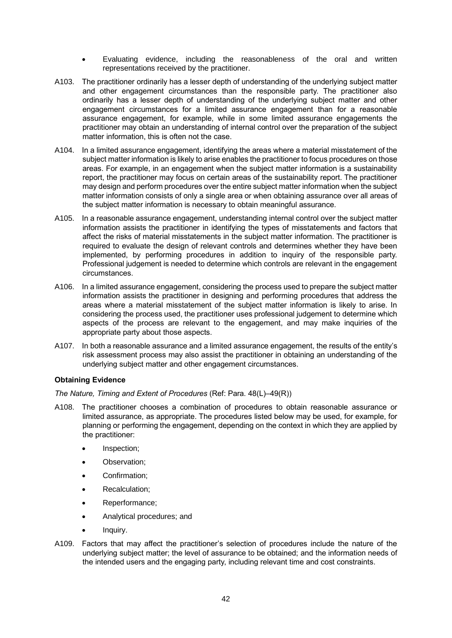- Evaluating evidence, including the reasonableness of the oral and written representations received by the practitioner.
- A103. The practitioner ordinarily has a lesser depth of understanding of the underlying subject matter and other engagement circumstances than the responsible party. The practitioner also ordinarily has a lesser depth of understanding of the underlying subject matter and other engagement circumstances for a limited assurance engagement than for a reasonable assurance engagement, for example, while in some limited assurance engagements the practitioner may obtain an understanding of internal control over the preparation of the subject matter information, this is often not the case.
- A104. In a limited assurance engagement, identifying the areas where a material misstatement of the subject matter information is likely to arise enables the practitioner to focus procedures on those areas. For example, in an engagement when the subject matter information is a sustainability report, the practitioner may focus on certain areas of the sustainability report. The practitioner may design and perform procedures over the entire subject matter information when the subject matter information consists of only a single area or when obtaining assurance over all areas of the subject matter information is necessary to obtain meaningful assurance.
- A105. In a reasonable assurance engagement, understanding internal control over the subject matter information assists the practitioner in identifying the types of misstatements and factors that affect the risks of material misstatements in the subject matter information. The practitioner is required to evaluate the design of relevant controls and determines whether they have been implemented, by performing procedures in addition to inquiry of the responsible party. Professional judgement is needed to determine which controls are relevant in the engagement circumstances.
- A106. In a limited assurance engagement, considering the process used to prepare the subject matter information assists the practitioner in designing and performing procedures that address the areas where a material misstatement of the subject matter information is likely to arise. In considering the process used, the practitioner uses professional judgement to determine which aspects of the process are relevant to the engagement, and may make inquiries of the appropriate party about those aspects.
- A107. In both a reasonable assurance and a limited assurance engagement, the results of the entity's risk assessment process may also assist the practitioner in obtaining an understanding of the underlying subject matter and other engagement circumstances.

# **Obtaining Evidence**

*The Nature, Timing and Extent of Procedures* (Ref: Para. 48(L)–49(R))

- A108. The practitioner chooses a combination of procedures to obtain reasonable assurance or limited assurance, as appropriate. The procedures listed below may be used, for example, for planning or performing the engagement, depending on the context in which they are applied by the practitioner:
	- Inspection;
	- Observation:
	- Confirmation;
	- Recalculation:
	- Reperformance;
	- Analytical procedures; and
	- Inquiry.
- A109. Factors that may affect the practitioner's selection of procedures include the nature of the underlying subject matter; the level of assurance to be obtained; and the information needs of the intended users and the engaging party, including relevant time and cost constraints.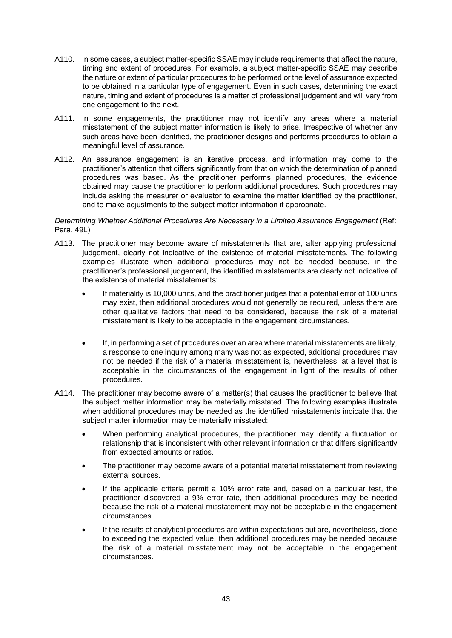- A110. In some cases, a subject matter-specific SSAE may include requirements that affect the nature, timing and extent of procedures. For example, a subject matter-specific SSAE may describe the nature or extent of particular procedures to be performed or the level of assurance expected to be obtained in a particular type of engagement. Even in such cases, determining the exact nature, timing and extent of procedures is a matter of professional judgement and will vary from one engagement to the next.
- A111. In some engagements, the practitioner may not identify any areas where a material misstatement of the subject matter information is likely to arise. Irrespective of whether any such areas have been identified, the practitioner designs and performs procedures to obtain a meaningful level of assurance.
- A112. An assurance engagement is an iterative process, and information may come to the practitioner's attention that differs significantly from that on which the determination of planned procedures was based. As the practitioner performs planned procedures, the evidence obtained may cause the practitioner to perform additional procedures. Such procedures may include asking the measurer or evaluator to examine the matter identified by the practitioner, and to make adjustments to the subject matter information if appropriate.

# *Determining Whether Additional Procedures Are Necessary in a Limited Assurance Engagement* (Ref: Para. 49L)

- A113. The practitioner may become aware of misstatements that are, after applying professional judgement, clearly not indicative of the existence of material misstatements. The following examples illustrate when additional procedures may not be needed because, in the practitioner's professional judgement, the identified misstatements are clearly not indicative of the existence of material misstatements:
	- If materiality is 10,000 units, and the practitioner judges that a potential error of 100 units may exist, then additional procedures would not generally be required, unless there are other qualitative factors that need to be considered, because the risk of a material misstatement is likely to be acceptable in the engagement circumstances.
	- If, in performing a set of procedures over an area where material misstatements are likely, a response to one inquiry among many was not as expected, additional procedures may not be needed if the risk of a material misstatement is, nevertheless, at a level that is acceptable in the circumstances of the engagement in light of the results of other procedures.
- A114. The practitioner may become aware of a matter(s) that causes the practitioner to believe that the subject matter information may be materially misstated. The following examples illustrate when additional procedures may be needed as the identified misstatements indicate that the subject matter information may be materially misstated:
	- When performing analytical procedures, the practitioner may identify a fluctuation or relationship that is inconsistent with other relevant information or that differs significantly from expected amounts or ratios.
	- The practitioner may become aware of a potential material misstatement from reviewing external sources.
	- If the applicable criteria permit a 10% error rate and, based on a particular test, the practitioner discovered a 9% error rate, then additional procedures may be needed because the risk of a material misstatement may not be acceptable in the engagement circumstances.
	- If the results of analytical procedures are within expectations but are, nevertheless, close to exceeding the expected value, then additional procedures may be needed because the risk of a material misstatement may not be acceptable in the engagement circumstances.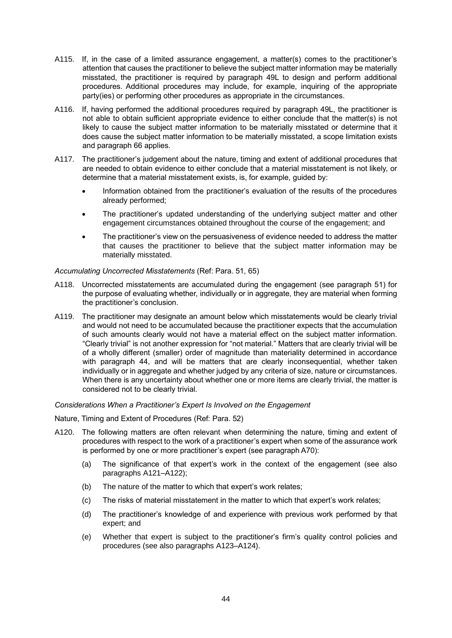- A115. If, in the case of a limited assurance engagement, a matter(s) comes to the practitioner's attention that causes the practitioner to believe the subject matter information may be materially misstated, the practitioner is required by paragraph 49L to design and perform additional procedures. Additional procedures may include, for example, inquiring of the appropriate party(ies) or performing other procedures as appropriate in the circumstances.
- A116. If, having performed the additional procedures required by paragraph 49L, the practitioner is not able to obtain sufficient appropriate evidence to either conclude that the matter(s) is not likely to cause the subject matter information to be materially misstated or determine that it does cause the subject matter information to be materially misstated, a scope limitation exists and paragraph 66 applies.
- A117. The practitioner's judgement about the nature, timing and extent of additional procedures that are needed to obtain evidence to either conclude that a material misstatement is not likely, or determine that a material misstatement exists, is, for example, guided by:
	- Information obtained from the practitioner's evaluation of the results of the procedures already performed;
	- The practitioner's updated understanding of the underlying subject matter and other engagement circumstances obtained throughout the course of the engagement; and
	- The practitioner's view on the persuasiveness of evidence needed to address the matter that causes the practitioner to believe that the subject matter information may be materially misstated.

# *Accumulating Uncorrected Misstatements* (Ref: Para. 51, 65)

- A118. Uncorrected misstatements are accumulated during the engagement (see paragraph 51) for the purpose of evaluating whether, individually or in aggregate, they are material when forming the practitioner's conclusion.
- A119. The practitioner may designate an amount below which misstatements would be clearly trivial and would not need to be accumulated because the practitioner expects that the accumulation of such amounts clearly would not have a material effect on the subject matter information. "Clearly trivial" is not another expression for "not material." Matters that are clearly trivial will be of a wholly different (smaller) order of magnitude than materiality determined in accordance with paragraph 44, and will be matters that are clearly inconsequential, whether taken individually or in aggregate and whether judged by any criteria of size, nature or circumstances. When there is any uncertainty about whether one or more items are clearly trivial, the matter is considered not to be clearly trivial.

#### *Considerations When a Practitioner's Expert Is Involved on the Engagement*

Nature, Timing and Extent of Procedures (Ref: Para. 52)

- A120. The following matters are often relevant when determining the nature, timing and extent of procedures with respect to the work of a practitioner's expert when some of the assurance work is performed by one or more practitioner's expert (see paragraph A70):
	- (a) The significance of that expert's work in the context of the engagement (see also paragraphs A121–A122);
	- (b) The nature of the matter to which that expert's work relates;
	- (c) The risks of material misstatement in the matter to which that expert's work relates;
	- (d) The practitioner's knowledge of and experience with previous work performed by that expert; and
	- (e) Whether that expert is subject to the practitioner's firm's quality control policies and procedures (see also paragraphs A123–A124).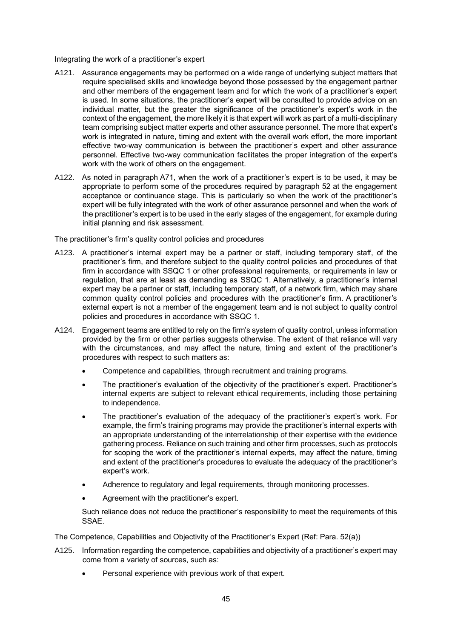Integrating the work of a practitioner's expert

- A121. Assurance engagements may be performed on a wide range of underlying subject matters that require specialised skills and knowledge beyond those possessed by the engagement partner and other members of the engagement team and for which the work of a practitioner's expert is used. In some situations, the practitioner's expert will be consulted to provide advice on an individual matter, but the greater the significance of the practitioner's expert's work in the context of the engagement, the more likely it is that expert will work as part of a multi-disciplinary team comprising subject matter experts and other assurance personnel. The more that expert's work is integrated in nature, timing and extent with the overall work effort, the more important effective two-way communication is between the practitioner's expert and other assurance personnel. Effective two-way communication facilitates the proper integration of the expert's work with the work of others on the engagement.
- A122. As noted in paragraph A71, when the work of a practitioner's expert is to be used, it may be appropriate to perform some of the procedures required by paragraph 52 at the engagement acceptance or continuance stage. This is particularly so when the work of the practitioner's expert will be fully integrated with the work of other assurance personnel and when the work of the practitioner's expert is to be used in the early stages of the engagement, for example during initial planning and risk assessment.

The practitioner's firm's quality control policies and procedures

- A123. A practitioner's internal expert may be a partner or staff, including temporary staff, of the practitioner's firm, and therefore subject to the quality control policies and procedures of that firm in accordance with SSQC 1 or other professional requirements, or requirements in law or regulation, that are at least as demanding as SSQC 1. Alternatively, a practitioner's internal expert may be a partner or staff, including temporary staff, of a network firm, which may share common quality control policies and procedures with the practitioner's firm. A practitioner's external expert is not a member of the engagement team and is not subject to quality control policies and procedures in accordance with SSQC 1.
- A124. Engagement teams are entitled to rely on the firm's system of quality control, unless information provided by the firm or other parties suggests otherwise. The extent of that reliance will vary with the circumstances, and may affect the nature, timing and extent of the practitioner's procedures with respect to such matters as:
	- Competence and capabilities, through recruitment and training programs.
	- The practitioner's evaluation of the objectivity of the practitioner's expert. Practitioner's internal experts are subject to relevant ethical requirements, including those pertaining to independence.
	- The practitioner's evaluation of the adequacy of the practitioner's expert's work. For example, the firm's training programs may provide the practitioner's internal experts with an appropriate understanding of the interrelationship of their expertise with the evidence gathering process. Reliance on such training and other firm processes, such as protocols for scoping the work of the practitioner's internal experts, may affect the nature, timing and extent of the practitioner's procedures to evaluate the adequacy of the practitioner's expert's work.
	- Adherence to regulatory and legal requirements, through monitoring processes.
	- Agreement with the practitioner's expert.

Such reliance does not reduce the practitioner's responsibility to meet the requirements of this SSAE.

The Competence, Capabilities and Objectivity of the Practitioner's Expert (Ref: Para. 52(a))

- A125. Information regarding the competence, capabilities and objectivity of a practitioner's expert may come from a variety of sources, such as:
	- Personal experience with previous work of that expert.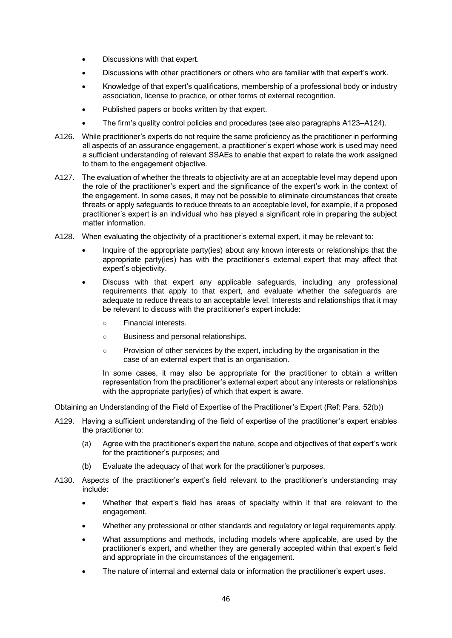- Discussions with that expert.
- Discussions with other practitioners or others who are familiar with that expert's work.
- Knowledge of that expert's qualifications, membership of a professional body or industry association, license to practice, or other forms of external recognition.
- Published papers or books written by that expert.
- The firm's quality control policies and procedures (see also paragraphs A123–A124).
- A126. While practitioner's experts do not require the same proficiency as the practitioner in performing all aspects of an assurance engagement, a practitioner's expert whose work is used may need a sufficient understanding of relevant SSAEs to enable that expert to relate the work assigned to them to the engagement objective.
- A127. The evaluation of whether the threats to objectivity are at an acceptable level may depend upon the role of the practitioner's expert and the significance of the expert's work in the context of the engagement. In some cases, it may not be possible to eliminate circumstances that create threats or apply safeguards to reduce threats to an acceptable level, for example, if a proposed practitioner's expert is an individual who has played a significant role in preparing the subject matter information.
- A128. When evaluating the objectivity of a practitioner's external expert, it may be relevant to:
	- Inquire of the appropriate party(ies) about any known interests or relationships that the appropriate party(ies) has with the practitioner's external expert that may affect that expert's objectivity.
	- Discuss with that expert any applicable safeguards, including any professional requirements that apply to that expert, and evaluate whether the safeguards are adequate to reduce threats to an acceptable level. Interests and relationships that it may be relevant to discuss with the practitioner's expert include:
		- Financial interests.
		- Business and personal relationships.
		- Provision of other services by the expert, including by the organisation in the case of an external expert that is an organisation.

In some cases, it may also be appropriate for the practitioner to obtain a written representation from the practitioner's external expert about any interests or relationships with the appropriate party(ies) of which that expert is aware.

Obtaining an Understanding of the Field of Expertise of the Practitioner's Expert (Ref: Para. 52(b))

- A129. Having a sufficient understanding of the field of expertise of the practitioner's expert enables the practitioner to:
	- (a) Agree with the practitioner's expert the nature, scope and objectives of that expert's work for the practitioner's purposes; and
	- (b) Evaluate the adequacy of that work for the practitioner's purposes.
- A130. Aspects of the practitioner's expert's field relevant to the practitioner's understanding may include:
	- Whether that expert's field has areas of specialty within it that are relevant to the engagement.
	- Whether any professional or other standards and regulatory or legal requirements apply.
	- What assumptions and methods, including models where applicable, are used by the practitioner's expert, and whether they are generally accepted within that expert's field and appropriate in the circumstances of the engagement.
	- The nature of internal and external data or information the practitioner's expert uses.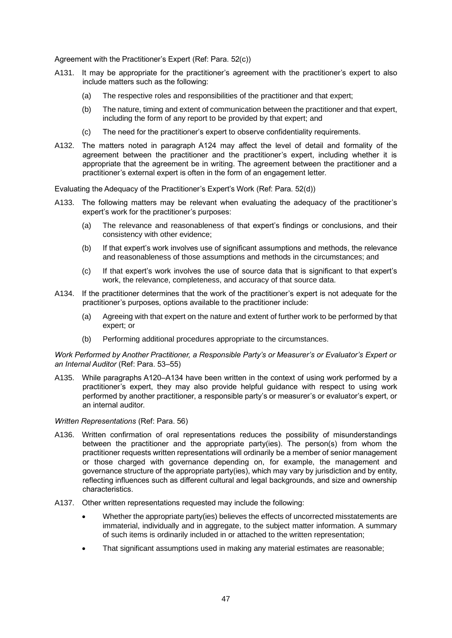Agreement with the Practitioner's Expert (Ref: Para. 52(c))

- A131. It may be appropriate for the practitioner's agreement with the practitioner's expert to also include matters such as the following:
	- (a) The respective roles and responsibilities of the practitioner and that expert;
	- (b) The nature, timing and extent of communication between the practitioner and that expert, including the form of any report to be provided by that expert; and
	- (c) The need for the practitioner's expert to observe confidentiality requirements.
- A132. The matters noted in paragraph A124 may affect the level of detail and formality of the agreement between the practitioner and the practitioner's expert, including whether it is appropriate that the agreement be in writing. The agreement between the practitioner and a practitioner's external expert is often in the form of an engagement letter.

Evaluating the Adequacy of the Practitioner's Expert's Work (Ref: Para. 52(d))

- A133. The following matters may be relevant when evaluating the adequacy of the practitioner's expert's work for the practitioner's purposes:
	- (a) The relevance and reasonableness of that expert's findings or conclusions, and their consistency with other evidence;
	- (b) If that expert's work involves use of significant assumptions and methods, the relevance and reasonableness of those assumptions and methods in the circumstances; and
	- (c) If that expert's work involves the use of source data that is significant to that expert's work, the relevance, completeness, and accuracy of that source data.
- A134. If the practitioner determines that the work of the practitioner's expert is not adequate for the practitioner's purposes, options available to the practitioner include:
	- (a) Agreeing with that expert on the nature and extent of further work to be performed by that expert; or
	- (b) Performing additional procedures appropriate to the circumstances.

# *Work Performed by Another Practitioner, a Responsible Party's or Measurer's or Evaluator's Expert or an Internal Auditor* (Ref: Para. 53–55)

A135. While paragraphs A120–A134 have been written in the context of using work performed by a practitioner's expert, they may also provide helpful guidance with respect to using work performed by another practitioner, a responsible party's or measurer's or evaluator's expert, or an internal auditor.

# *Written Representations* (Ref: Para. 56)

- A136. Written confirmation of oral representations reduces the possibility of misunderstandings between the practitioner and the appropriate party(ies). The person(s) from whom the practitioner requests written representations will ordinarily be a member of senior management or those charged with governance depending on, for example, the management and governance structure of the appropriate party(ies), which may vary by jurisdiction and by entity, reflecting influences such as different cultural and legal backgrounds, and size and ownership characteristics.
- A137. Other written representations requested may include the following:
	- Whether the appropriate party(ies) believes the effects of uncorrected misstatements are immaterial, individually and in aggregate, to the subject matter information. A summary of such items is ordinarily included in or attached to the written representation;
	- That significant assumptions used in making any material estimates are reasonable;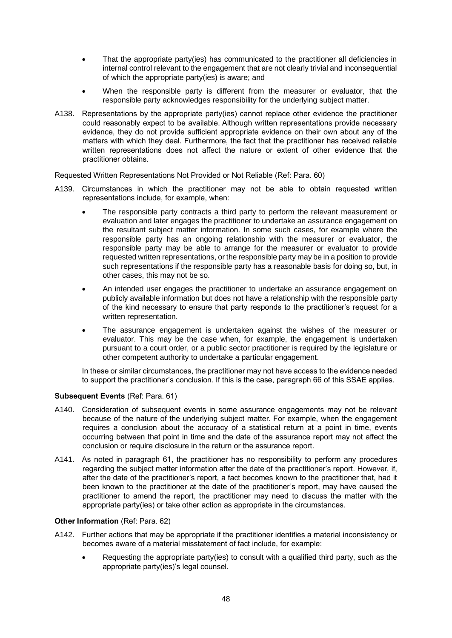- That the appropriate party(ies) has communicated to the practitioner all deficiencies in internal control relevant to the engagement that are not clearly trivial and inconsequential of which the appropriate party(ies) is aware; and
- When the responsible party is different from the measurer or evaluator, that the responsible party acknowledges responsibility for the underlying subject matter.
- A138. Representations by the appropriate party(ies) cannot replace other evidence the practitioner could reasonably expect to be available. Although written representations provide necessary evidence, they do not provide sufficient appropriate evidence on their own about any of the matters with which they deal. Furthermore, the fact that the practitioner has received reliable written representations does not affect the nature or extent of other evidence that the practitioner obtains.

Requested Written Representations Not Provided or Not Reliable (Ref: Para. 60)

- A139. Circumstances in which the practitioner may not be able to obtain requested written representations include, for example, when:
	- The responsible party contracts a third party to perform the relevant measurement or evaluation and later engages the practitioner to undertake an assurance engagement on the resultant subject matter information. In some such cases, for example where the responsible party has an ongoing relationship with the measurer or evaluator, the responsible party may be able to arrange for the measurer or evaluator to provide requested written representations, or the responsible party may be in a position to provide such representations if the responsible party has a reasonable basis for doing so, but, in other cases, this may not be so.
	- An intended user engages the practitioner to undertake an assurance engagement on publicly available information but does not have a relationship with the responsible party of the kind necessary to ensure that party responds to the practitioner's request for a written representation.
	- The assurance engagement is undertaken against the wishes of the measurer or evaluator. This may be the case when, for example, the engagement is undertaken pursuant to a court order, or a public sector practitioner is required by the legislature or other competent authority to undertake a particular engagement.

In these or similar circumstances, the practitioner may not have access to the evidence needed to support the practitioner's conclusion. If this is the case, paragraph 66 of this SSAE applies.

# **Subsequent Events** (Ref: Para. 61)

- A140. Consideration of subsequent events in some assurance engagements may not be relevant because of the nature of the underlying subject matter. For example, when the engagement requires a conclusion about the accuracy of a statistical return at a point in time, events occurring between that point in time and the date of the assurance report may not affect the conclusion or require disclosure in the return or the assurance report.
- A141. As noted in paragraph 61, the practitioner has no responsibility to perform any procedures regarding the subject matter information after the date of the practitioner's report. However, if, after the date of the practitioner's report, a fact becomes known to the practitioner that, had it been known to the practitioner at the date of the practitioner's report, may have caused the practitioner to amend the report, the practitioner may need to discuss the matter with the appropriate party(ies) or take other action as appropriate in the circumstances.

# **Other Information** (Ref: Para. 62)

- A142. Further actions that may be appropriate if the practitioner identifies a material inconsistency or becomes aware of a material misstatement of fact include, for example:
	- Requesting the appropriate party(ies) to consult with a qualified third party, such as the appropriate party(ies)'s legal counsel.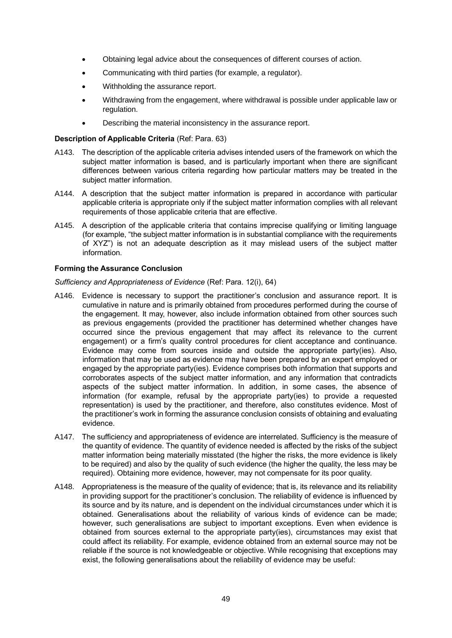- Obtaining legal advice about the consequences of different courses of action.
- Communicating with third parties (for example, a regulator).
- Withholding the assurance report.
- Withdrawing from the engagement, where withdrawal is possible under applicable law or regulation.
- Describing the material inconsistency in the assurance report.

# **Description of Applicable Criteria** (Ref: Para. 63)

- A143. The description of the applicable criteria advises intended users of the framework on which the subject matter information is based, and is particularly important when there are significant differences between various criteria regarding how particular matters may be treated in the subject matter information.
- A144. A description that the subject matter information is prepared in accordance with particular applicable criteria is appropriate only if the subject matter information complies with all relevant requirements of those applicable criteria that are effective.
- A145. A description of the applicable criteria that contains imprecise qualifying or limiting language (for example, "the subject matter information is in substantial compliance with the requirements of XYZ") is not an adequate description as it may mislead users of the subject matter information.

# **Forming the Assurance Conclusion**

*Sufficiency and Appropriateness of Evidence* (Ref: Para. 12(i), 64)

- A146. Evidence is necessary to support the practitioner's conclusion and assurance report. It is cumulative in nature and is primarily obtained from procedures performed during the course of the engagement. It may, however, also include information obtained from other sources such as previous engagements (provided the practitioner has determined whether changes have occurred since the previous engagement that may affect its relevance to the current engagement) or a firm's quality control procedures for client acceptance and continuance. Evidence may come from sources inside and outside the appropriate party(ies). Also, information that may be used as evidence may have been prepared by an expert employed or engaged by the appropriate party(ies). Evidence comprises both information that supports and corroborates aspects of the subject matter information, and any information that contradicts aspects of the subject matter information. In addition, in some cases, the absence of information (for example, refusal by the appropriate party(ies) to provide a requested representation) is used by the practitioner, and therefore, also constitutes evidence. Most of the practitioner's work in forming the assurance conclusion consists of obtaining and evaluating evidence.
- A147. The sufficiency and appropriateness of evidence are interrelated. Sufficiency is the measure of the quantity of evidence. The quantity of evidence needed is affected by the risks of the subject matter information being materially misstated (the higher the risks, the more evidence is likely to be required) and also by the quality of such evidence (the higher the quality, the less may be required). Obtaining more evidence, however, may not compensate for its poor quality.
- A148. Appropriateness is the measure of the quality of evidence; that is, its relevance and its reliability in providing support for the practitioner's conclusion. The reliability of evidence is influenced by its source and by its nature, and is dependent on the individual circumstances under which it is obtained. Generalisations about the reliability of various kinds of evidence can be made; however, such generalisations are subject to important exceptions. Even when evidence is obtained from sources external to the appropriate party(ies), circumstances may exist that could affect its reliability. For example, evidence obtained from an external source may not be reliable if the source is not knowledgeable or objective. While recognising that exceptions may exist, the following generalisations about the reliability of evidence may be useful: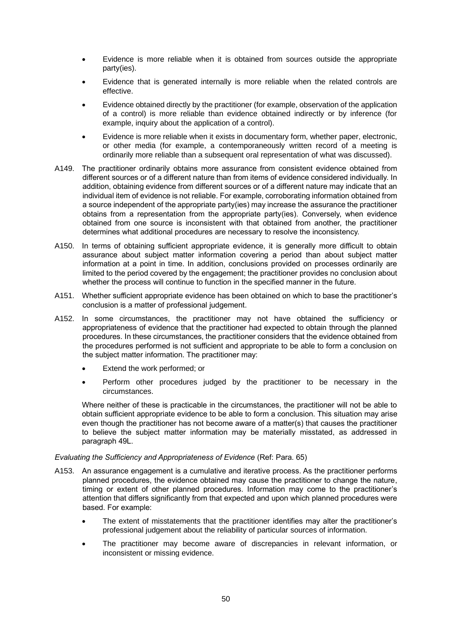- Evidence is more reliable when it is obtained from sources outside the appropriate party(ies).
- Evidence that is generated internally is more reliable when the related controls are effective.
- Evidence obtained directly by the practitioner (for example, observation of the application of a control) is more reliable than evidence obtained indirectly or by inference (for example, inquiry about the application of a control).
- Evidence is more reliable when it exists in documentary form, whether paper, electronic, or other media (for example, a contemporaneously written record of a meeting is ordinarily more reliable than a subsequent oral representation of what was discussed).
- A149. The practitioner ordinarily obtains more assurance from consistent evidence obtained from different sources or of a different nature than from items of evidence considered individually. In addition, obtaining evidence from different sources or of a different nature may indicate that an individual item of evidence is not reliable. For example, corroborating information obtained from a source independent of the appropriate party(ies) may increase the assurance the practitioner obtains from a representation from the appropriate party(ies). Conversely, when evidence obtained from one source is inconsistent with that obtained from another, the practitioner determines what additional procedures are necessary to resolve the inconsistency.
- A150. In terms of obtaining sufficient appropriate evidence, it is generally more difficult to obtain assurance about subject matter information covering a period than about subject matter information at a point in time. In addition, conclusions provided on processes ordinarily are limited to the period covered by the engagement; the practitioner provides no conclusion about whether the process will continue to function in the specified manner in the future.
- A151. Whether sufficient appropriate evidence has been obtained on which to base the practitioner's conclusion is a matter of professional judgement.
- A152. In some circumstances, the practitioner may not have obtained the sufficiency or appropriateness of evidence that the practitioner had expected to obtain through the planned procedures. In these circumstances, the practitioner considers that the evidence obtained from the procedures performed is not sufficient and appropriate to be able to form a conclusion on the subject matter information. The practitioner may:
	- Extend the work performed; or
	- Perform other procedures judged by the practitioner to be necessary in the circumstances.

Where neither of these is practicable in the circumstances, the practitioner will not be able to obtain sufficient appropriate evidence to be able to form a conclusion. This situation may arise even though the practitioner has not become aware of a matter(s) that causes the practitioner to believe the subject matter information may be materially misstated, as addressed in paragraph 49L.

#### *Evaluating the Sufficiency and Appropriateness of Evidence* (Ref: Para. 65)

- A153. An assurance engagement is a cumulative and iterative process. As the practitioner performs planned procedures, the evidence obtained may cause the practitioner to change the nature, timing or extent of other planned procedures. Information may come to the practitioner's attention that differs significantly from that expected and upon which planned procedures were based. For example:
	- The extent of misstatements that the practitioner identifies may alter the practitioner's professional judgement about the reliability of particular sources of information.
	- The practitioner may become aware of discrepancies in relevant information, or inconsistent or missing evidence.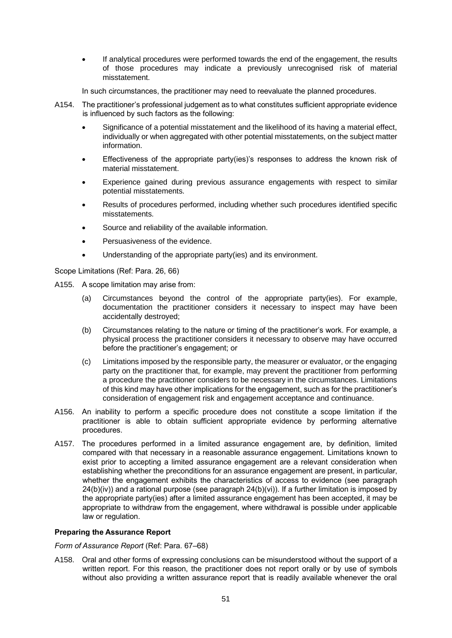If analytical procedures were performed towards the end of the engagement, the results of those procedures may indicate a previously unrecognised risk of material misstatement.

In such circumstances, the practitioner may need to reevaluate the planned procedures.

- A154. The practitioner's professional judgement as to what constitutes sufficient appropriate evidence is influenced by such factors as the following:
	- Significance of a potential misstatement and the likelihood of its having a material effect, individually or when aggregated with other potential misstatements, on the subject matter information.
	- Effectiveness of the appropriate party(ies)'s responses to address the known risk of material misstatement.
	- Experience gained during previous assurance engagements with respect to similar potential misstatements.
	- Results of procedures performed, including whether such procedures identified specific misstatements.
	- Source and reliability of the available information.
	- Persuasiveness of the evidence.
	- Understanding of the appropriate party(ies) and its environment.

Scope Limitations (Ref: Para. 26, 66)

- A155. A scope limitation may arise from:
	- (a) Circumstances beyond the control of the appropriate party(ies). For example, documentation the practitioner considers it necessary to inspect may have been accidentally destroyed;
	- (b) Circumstances relating to the nature or timing of the practitioner's work. For example, a physical process the practitioner considers it necessary to observe may have occurred before the practitioner's engagement; or
	- (c) Limitations imposed by the responsible party, the measurer or evaluator, or the engaging party on the practitioner that, for example, may prevent the practitioner from performing a procedure the practitioner considers to be necessary in the circumstances. Limitations of this kind may have other implications for the engagement, such as for the practitioner's consideration of engagement risk and engagement acceptance and continuance.
- A156. An inability to perform a specific procedure does not constitute a scope limitation if the practitioner is able to obtain sufficient appropriate evidence by performing alternative procedures.
- A157. The procedures performed in a limited assurance engagement are, by definition, limited compared with that necessary in a reasonable assurance engagement. Limitations known to exist prior to accepting a limited assurance engagement are a relevant consideration when establishing whether the preconditions for an assurance engagement are present, in particular, whether the engagement exhibits the characteristics of access to evidence (see paragraph  $24(b)(iv)$  and a rational purpose (see paragraph  $24(b)(vi)$ ). If a further limitation is imposed by the appropriate party(ies) after a limited assurance engagement has been accepted, it may be appropriate to withdraw from the engagement, where withdrawal is possible under applicable law or regulation.

# **Preparing the Assurance Report**

# *Form of Assurance Report* (Ref: Para. 67–68)

A158. Oral and other forms of expressing conclusions can be misunderstood without the support of a written report. For this reason, the practitioner does not report orally or by use of symbols without also providing a written assurance report that is readily available whenever the oral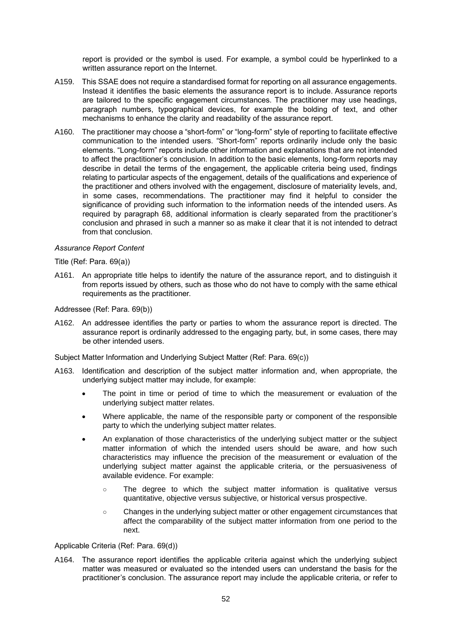report is provided or the symbol is used. For example, a symbol could be hyperlinked to a written assurance report on the Internet.

- A159. This SSAE does not require a standardised format for reporting on all assurance engagements. Instead it identifies the basic elements the assurance report is to include. Assurance reports are tailored to the specific engagement circumstances. The practitioner may use headings, paragraph numbers, typographical devices, for example the bolding of text, and other mechanisms to enhance the clarity and readability of the assurance report.
- A160. The practitioner may choose a "short-form" or "long-form" style of reporting to facilitate effective communication to the intended users. "Short-form" reports ordinarily include only the basic elements. "Long-form" reports include other information and explanations that are not intended to affect the practitioner's conclusion. In addition to the basic elements, long-form reports may describe in detail the terms of the engagement, the applicable criteria being used, findings relating to particular aspects of the engagement, details of the qualifications and experience of the practitioner and others involved with the engagement, disclosure of materiality levels, and, in some cases, recommendations. The practitioner may find it helpful to consider the significance of providing such information to the information needs of the intended users. As required by paragraph 68, additional information is clearly separated from the practitioner's conclusion and phrased in such a manner so as make it clear that it is not intended to detract from that conclusion.

# *Assurance Report Content*

Title (Ref: Para. 69(a))

A161. An appropriate title helps to identify the nature of the assurance report, and to distinguish it from reports issued by others, such as those who do not have to comply with the same ethical requirements as the practitioner.

Addressee (Ref: Para. 69(b))

A162. An addressee identifies the party or parties to whom the assurance report is directed. The assurance report is ordinarily addressed to the engaging party, but, in some cases, there may be other intended users.

Subject Matter Information and Underlying Subject Matter (Ref: Para. 69(c))

- A163. Identification and description of the subject matter information and, when appropriate, the underlying subject matter may include, for example:
	- The point in time or period of time to which the measurement or evaluation of the underlying subject matter relates.
	- Where applicable, the name of the responsible party or component of the responsible party to which the underlying subject matter relates.
	- An explanation of those characteristics of the underlying subject matter or the subject matter information of which the intended users should be aware, and how such characteristics may influence the precision of the measurement or evaluation of the underlying subject matter against the applicable criteria, or the persuasiveness of available evidence. For example:
		- The degree to which the subject matter information is qualitative versus quantitative, objective versus subjective, or historical versus prospective.
		- Changes in the underlying subject matter or other engagement circumstances that affect the comparability of the subject matter information from one period to the next.

#### Applicable Criteria (Ref: Para. 69(d))

A164. The assurance report identifies the applicable criteria against which the underlying subject matter was measured or evaluated so the intended users can understand the basis for the practitioner's conclusion. The assurance report may include the applicable criteria, or refer to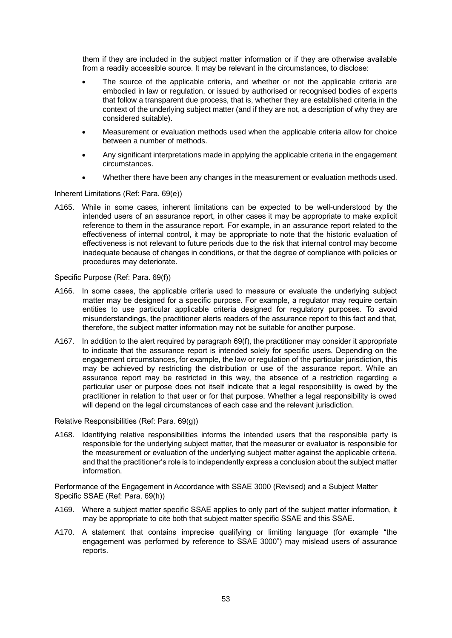them if they are included in the subject matter information or if they are otherwise available from a readily accessible source. It may be relevant in the circumstances, to disclose:

- The source of the applicable criteria, and whether or not the applicable criteria are embodied in law or regulation, or issued by authorised or recognised bodies of experts that follow a transparent due process, that is, whether they are established criteria in the context of the underlying subject matter (and if they are not, a description of why they are considered suitable).
- Measurement or evaluation methods used when the applicable criteria allow for choice between a number of methods.
- Any significant interpretations made in applying the applicable criteria in the engagement circumstances.
- Whether there have been any changes in the measurement or evaluation methods used.

Inherent Limitations (Ref: Para. 69(e))

A165. While in some cases, inherent limitations can be expected to be well-understood by the intended users of an assurance report, in other cases it may be appropriate to make explicit reference to them in the assurance report. For example, in an assurance report related to the effectiveness of internal control, it may be appropriate to note that the historic evaluation of effectiveness is not relevant to future periods due to the risk that internal control may become inadequate because of changes in conditions, or that the degree of compliance with policies or procedures may deteriorate.

Specific Purpose (Ref: Para. 69(f))

- A166. In some cases, the applicable criteria used to measure or evaluate the underlying subject matter may be designed for a specific purpose. For example, a regulator may require certain entities to use particular applicable criteria designed for regulatory purposes. To avoid misunderstandings, the practitioner alerts readers of the assurance report to this fact and that, therefore, the subject matter information may not be suitable for another purpose.
- A167. In addition to the alert required by paragraph 69(f), the practitioner may consider it appropriate to indicate that the assurance report is intended solely for specific users. Depending on the engagement circumstances, for example, the law or regulation of the particular jurisdiction, this may be achieved by restricting the distribution or use of the assurance report. While an assurance report may be restricted in this way, the absence of a restriction regarding a particular user or purpose does not itself indicate that a legal responsibility is owed by the practitioner in relation to that user or for that purpose. Whether a legal responsibility is owed will depend on the legal circumstances of each case and the relevant jurisdiction.

Relative Responsibilities (Ref: Para. 69(g))

A168. Identifying relative responsibilities informs the intended users that the responsible party is responsible for the underlying subject matter, that the measurer or evaluator is responsible for the measurement or evaluation of the underlying subject matter against the applicable criteria, and that the practitioner's role is to independently express a conclusion about the subject matter information.

Performance of the Engagement in Accordance with SSAE 3000 (Revised) and a Subject Matter Specific SSAE (Ref: Para. 69(h))

- A169. Where a subject matter specific SSAE applies to only part of the subject matter information, it may be appropriate to cite both that subject matter specific SSAE and this SSAE.
- A170. A statement that contains imprecise qualifying or limiting language (for example "the engagement was performed by reference to SSAE 3000") may mislead users of assurance reports.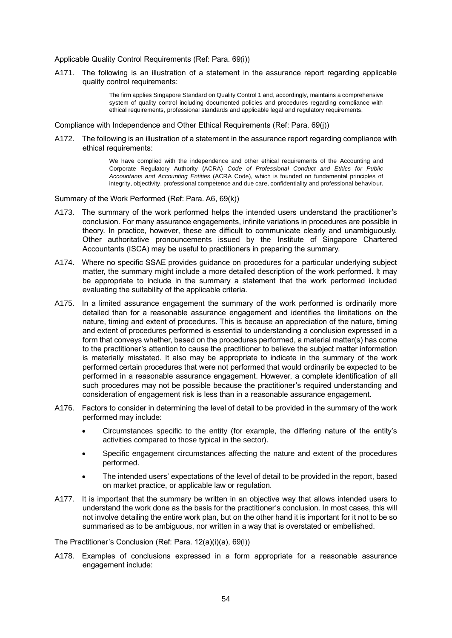Applicable Quality Control Requirements (Ref: Para. 69(i))

A171. The following is an illustration of a statement in the assurance report regarding applicable quality control requirements:

> The firm applies Singapore Standard on Quality Control 1 and, accordingly, maintains a comprehensive system of quality control including documented policies and procedures regarding compliance with ethical requirements, professional standards and applicable legal and regulatory requirements.

Compliance with Independence and Other Ethical Requirements (Ref: Para. 69(j))

A172. The following is an illustration of a statement in the assurance report regarding compliance with ethical requirements:

> We have complied with the independence and other ethical requirements of the Accounting and Corporate Regulatory Authority (ACRA) *Code of Professional Conduct and Ethics for Public Accountants and Accounting Entities* (ACRA Code), which is founded on fundamental principles of integrity, objectivity, professional competence and due care, confidentiality and professional behaviour.

Summary of the Work Performed (Ref: Para. A6, 69(k))

- A173. The summary of the work performed helps the intended users understand the practitioner's conclusion. For many assurance engagements, infinite variations in procedures are possible in theory. In practice, however, these are difficult to communicate clearly and unambiguously. Other authoritative pronouncements issued by the Institute of Singapore Chartered Accountants (ISCA) may be useful to practitioners in preparing the summary.
- A174. Where no specific SSAE provides guidance on procedures for a particular underlying subject matter, the summary might include a more detailed description of the work performed. It may be appropriate to include in the summary a statement that the work performed included evaluating the suitability of the applicable criteria.
- A175. In a limited assurance engagement the summary of the work performed is ordinarily more detailed than for a reasonable assurance engagement and identifies the limitations on the nature, timing and extent of procedures. This is because an appreciation of the nature, timing and extent of procedures performed is essential to understanding a conclusion expressed in a form that conveys whether, based on the procedures performed, a material matter(s) has come to the practitioner's attention to cause the practitioner to believe the subject matter information is materially misstated. It also may be appropriate to indicate in the summary of the work performed certain procedures that were not performed that would ordinarily be expected to be performed in a reasonable assurance engagement. However, a complete identification of all such procedures may not be possible because the practitioner's required understanding and consideration of engagement risk is less than in a reasonable assurance engagement.
- A176. Factors to consider in determining the level of detail to be provided in the summary of the work performed may include:
	- Circumstances specific to the entity (for example, the differing nature of the entity's activities compared to those typical in the sector).
	- Specific engagement circumstances affecting the nature and extent of the procedures performed.
	- The intended users' expectations of the level of detail to be provided in the report, based on market practice, or applicable law or regulation.
- A177. It is important that the summary be written in an objective way that allows intended users to understand the work done as the basis for the practitioner's conclusion. In most cases, this will not involve detailing the entire work plan, but on the other hand it is important for it not to be so summarised as to be ambiguous, nor written in a way that is overstated or embellished.

The Practitioner's Conclusion (Ref: Para. 12(a)(i)(a), 69(l))

A178. Examples of conclusions expressed in a form appropriate for a reasonable assurance engagement include: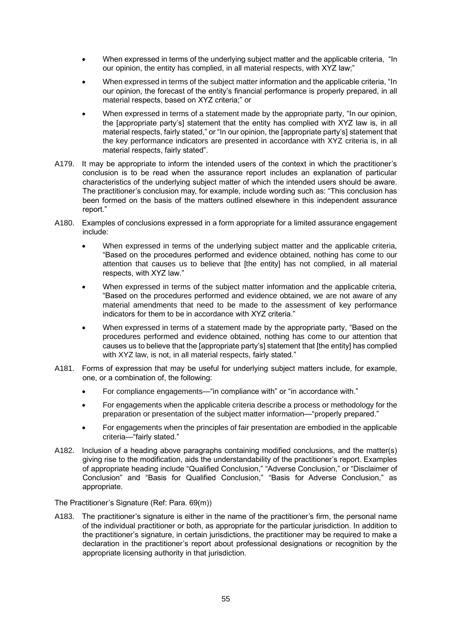- When expressed in terms of the underlying subject matter and the applicable criteria, "In our opinion, the entity has complied, in all material respects, with XYZ law;"
- When expressed in terms of the subject matter information and the applicable criteria, "In our opinion, the forecast of the entity's financial performance is properly prepared, in all material respects, based on XYZ criteria;" or
- When expressed in terms of a statement made by the appropriate party, "In our opinion, the [appropriate party's] statement that the entity has complied with XYZ law is, in all material respects, fairly stated," or "In our opinion, the [appropriate party's] statement that the key performance indicators are presented in accordance with XYZ criteria is, in all material respects, fairly stated".
- A179. It may be appropriate to inform the intended users of the context in which the practitioner's conclusion is to be read when the assurance report includes an explanation of particular characteristics of the underlying subject matter of which the intended users should be aware. The practitioner's conclusion may, for example, include wording such as: "This conclusion has been formed on the basis of the matters outlined elsewhere in this independent assurance report."
- A180. Examples of conclusions expressed in a form appropriate for a limited assurance engagement include:
	- When expressed in terms of the underlying subject matter and the applicable criteria, "Based on the procedures performed and evidence obtained, nothing has come to our attention that causes us to believe that [the entity] has not complied, in all material respects, with XYZ law."
	- When expressed in terms of the subject matter information and the applicable criteria, "Based on the procedures performed and evidence obtained, we are not aware of any material amendments that need to be made to the assessment of key performance indicators for them to be in accordance with XYZ criteria."
	- When expressed in terms of a statement made by the appropriate party, "Based on the procedures performed and evidence obtained, nothing has come to our attention that causes us to believe that the [appropriate party's] statement that [the entity] has complied with XYZ law, is not, in all material respects, fairly stated."
- A181. Forms of expression that may be useful for underlying subject matters include, for example, one, or a combination of, the following:
	- For compliance engagements—"in compliance with" or "in accordance with."
	- For engagements when the applicable criteria describe a process or methodology for the preparation or presentation of the subject matter information—"properly prepared."
	- For engagements when the principles of fair presentation are embodied in the applicable criteria—"fairly stated."
- A182. Inclusion of a heading above paragraphs containing modified conclusions, and the matter(s) giving rise to the modification, aids the understandability of the practitioner's report. Examples of appropriate heading include "Qualified Conclusion," "Adverse Conclusion," or "Disclaimer of Conclusion" and "Basis for Qualified Conclusion," "Basis for Adverse Conclusion," as appropriate.

The Practitioner's Signature (Ref: Para. 69(m))

A183. The practitioner's signature is either in the name of the practitioner's firm, the personal name of the individual practitioner or both, as appropriate for the particular jurisdiction. In addition to the practitioner's signature, in certain jurisdictions, the practitioner may be required to make a declaration in the practitioner's report about professional designations or recognition by the appropriate licensing authority in that jurisdiction.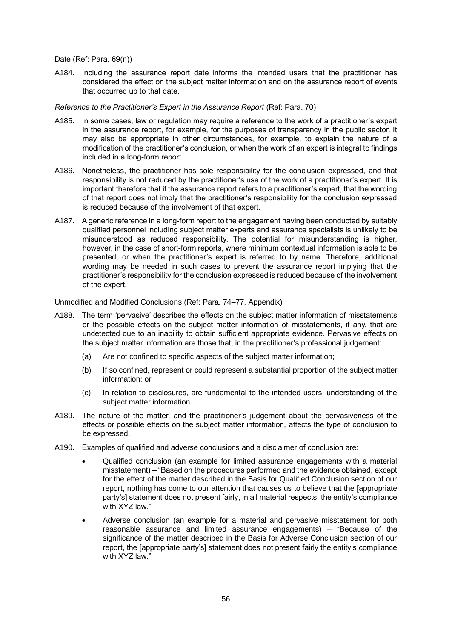Date (Ref: Para. 69(n))

A184. Including the assurance report date informs the intended users that the practitioner has considered the effect on the subject matter information and on the assurance report of events that occurred up to that date.

# *Reference to the Practitioner's Expert in the Assurance Report (Ref: Para. 70)*

- A185. In some cases, law or regulation may require a reference to the work of a practitioner's expert in the assurance report, for example, for the purposes of transparency in the public sector. It may also be appropriate in other circumstances, for example, to explain the nature of a modification of the practitioner's conclusion, or when the work of an expert is integral to findings included in a long-form report.
- A186. Nonetheless, the practitioner has sole responsibility for the conclusion expressed, and that responsibility is not reduced by the practitioner's use of the work of a practitioner's expert. It is important therefore that if the assurance report refers to a practitioner's expert, that the wording of that report does not imply that the practitioner's responsibility for the conclusion expressed is reduced because of the involvement of that expert.
- A187. A generic reference in a long-form report to the engagement having been conducted by suitably qualified personnel including subject matter experts and assurance specialists is unlikely to be misunderstood as reduced responsibility. The potential for misunderstanding is higher, however, in the case of short-form reports, where minimum contextual information is able to be presented, or when the practitioner's expert is referred to by name. Therefore, additional wording may be needed in such cases to prevent the assurance report implying that the practitioner's responsibility for the conclusion expressed is reduced because of the involvement of the expert.

Unmodified and Modified Conclusions (Ref: Para. 74–77, Appendix)

- A188. The term 'pervasive' describes the effects on the subject matter information of misstatements or the possible effects on the subject matter information of misstatements, if any, that are undetected due to an inability to obtain sufficient appropriate evidence. Pervasive effects on the subject matter information are those that, in the practitioner's professional judgement:
	- (a) Are not confined to specific aspects of the subject matter information;
	- (b) If so confined, represent or could represent a substantial proportion of the subject matter information; or
	- (c) In relation to disclosures, are fundamental to the intended users' understanding of the subject matter information.
- A189. The nature of the matter, and the practitioner's judgement about the pervasiveness of the effects or possible effects on the subject matter information, affects the type of conclusion to be expressed.
- A190. Examples of qualified and adverse conclusions and a disclaimer of conclusion are:
	- Qualified conclusion (an example for limited assurance engagements with a material misstatement) – "Based on the procedures performed and the evidence obtained, except for the effect of the matter described in the Basis for Qualified Conclusion section of our report, nothing has come to our attention that causes us to believe that the [appropriate party's] statement does not present fairly, in all material respects, the entity's compliance with XYZ law."
	- Adverse conclusion (an example for a material and pervasive misstatement for both reasonable assurance and limited assurance engagements) – "Because of the significance of the matter described in the Basis for Adverse Conclusion section of our report, the [appropriate party's] statement does not present fairly the entity's compliance with XYZ law."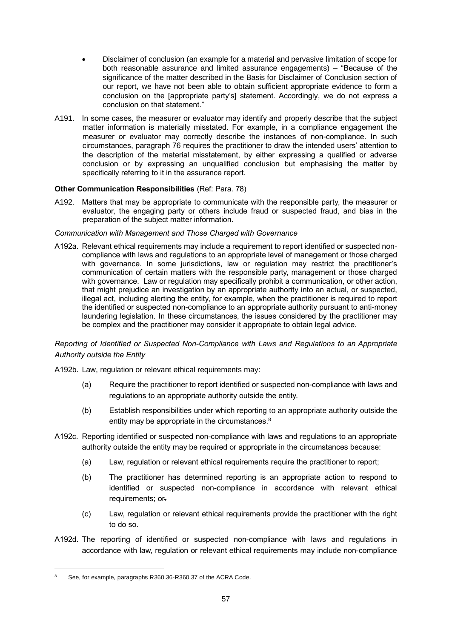- Disclaimer of conclusion (an example for a material and pervasive limitation of scope for both reasonable assurance and limited assurance engagements) – "Because of the significance of the matter described in the Basis for Disclaimer of Conclusion section of our report, we have not been able to obtain sufficient appropriate evidence to form a conclusion on the [appropriate party's] statement. Accordingly, we do not express a conclusion on that statement."
- A191. In some cases, the measurer or evaluator may identify and properly describe that the subject matter information is materially misstated. For example, in a compliance engagement the measurer or evaluator may correctly describe the instances of non-compliance. In such circumstances, paragraph 76 requires the practitioner to draw the intended users' attention to the description of the material misstatement, by either expressing a qualified or adverse conclusion or by expressing an unqualified conclusion but emphasising the matter by specifically referring to it in the assurance report.

# **Other Communication Responsibilities** (Ref: Para. 78)

A192. Matters that may be appropriate to communicate with the responsible party, the measurer or evaluator, the engaging party or others include fraud or suspected fraud, and bias in the preparation of the subject matter information.

#### *Communication with Management and Those Charged with Governance*

A192a. Relevant ethical requirements may include a requirement to report identified or suspected noncompliance with laws and regulations to an appropriate level of management or those charged with governance. In some jurisdictions, law or regulation may restrict the practitioner's communication of certain matters with the responsible party, management or those charged with governance. Law or regulation may specifically prohibit a communication, or other action, that might prejudice an investigation by an appropriate authority into an actual, or suspected, illegal act, including alerting the entity, for example, when the practitioner is required to report the identified or suspected non-compliance to an appropriate authority pursuant to anti-money laundering legislation. In these circumstances, the issues considered by the practitioner may be complex and the practitioner may consider it appropriate to obtain legal advice.

# *Reporting of Identified or Suspected Non-Compliance with Laws and Regulations to an Appropriate Authority outside the Entity*

A192b. Law, regulation or relevant ethical requirements may:

- (a) Require the practitioner to report identified or suspected non-compliance with laws and regulations to an appropriate authority outside the entity.
- (b) Establish responsibilities under which reporting to an appropriate authority outside the entity may be appropriate in the circumstances.<sup>8</sup>
- A192c. Reporting identified or suspected non-compliance with laws and regulations to an appropriate authority outside the entity may be required or appropriate in the circumstances because:
	- (a) Law, regulation or relevant ethical requirements require the practitioner to report;
	- (b) The practitioner has determined reporting is an appropriate action to respond to identified or suspected non-compliance in accordance with relevant ethical requirements; or.
	- (c) Law, regulation or relevant ethical requirements provide the practitioner with the right to do so.
- A192d. The reporting of identified or suspected non-compliance with laws and regulations in accordance with law, regulation or relevant ethical requirements may include non-compliance

See, for example, paragraphs R360.36-R360.37 of the ACRA Code.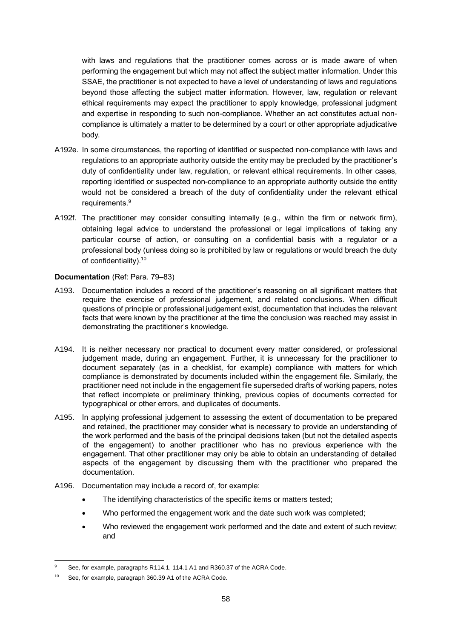with laws and regulations that the practitioner comes across or is made aware of when performing the engagement but which may not affect the subject matter information. Under this SSAE, the practitioner is not expected to have a level of understanding of laws and regulations beyond those affecting the subject matter information. However, law, regulation or relevant ethical requirements may expect the practitioner to apply knowledge, professional judgment and expertise in responding to such non-compliance. Whether an act constitutes actual noncompliance is ultimately a matter to be determined by a court or other appropriate adjudicative body.

- A192e. In some circumstances, the reporting of identified or suspected non-compliance with laws and regulations to an appropriate authority outside the entity may be precluded by the practitioner's duty of confidentiality under law, regulation, or relevant ethical requirements. In other cases, reporting identified or suspected non-compliance to an appropriate authority outside the entity would not be considered a breach of the duty of confidentiality under the relevant ethical requirements. 9
- A192f. The practitioner may consider consulting internally (e.g., within the firm or network firm), obtaining legal advice to understand the professional or legal implications of taking any particular course of action, or consulting on a confidential basis with a regulator or a professional body (unless doing so is prohibited by law or regulations or would breach the duty of confidentiality).<sup>10</sup>

# **Documentation** (Ref: Para. 79–83)

- A193. Documentation includes a record of the practitioner's reasoning on all significant matters that require the exercise of professional judgement, and related conclusions. When difficult questions of principle or professional judgement exist, documentation that includes the relevant facts that were known by the practitioner at the time the conclusion was reached may assist in demonstrating the practitioner's knowledge.
- A194. It is neither necessary nor practical to document every matter considered, or professional judgement made, during an engagement. Further, it is unnecessary for the practitioner to document separately (as in a checklist, for example) compliance with matters for which compliance is demonstrated by documents included within the engagement file. Similarly, the practitioner need not include in the engagement file superseded drafts of working papers, notes that reflect incomplete or preliminary thinking, previous copies of documents corrected for typographical or other errors, and duplicates of documents.
- A195. In applying professional judgement to assessing the extent of documentation to be prepared and retained, the practitioner may consider what is necessary to provide an understanding of the work performed and the basis of the principal decisions taken (but not the detailed aspects of the engagement) to another practitioner who has no previous experience with the engagement. That other practitioner may only be able to obtain an understanding of detailed aspects of the engagement by discussing them with the practitioner who prepared the documentation.
- A196. Documentation may include a record of, for example:
	- The identifying characteristics of the specific items or matters tested;
	- Who performed the engagement work and the date such work was completed;
	- Who reviewed the engagement work performed and the date and extent of such review; and

See, for example, paragraphs R114.1, 114.1 A1 and R360.37 of the ACRA Code.

See, for example, paragraph 360.39 A1 of the ACRA Code.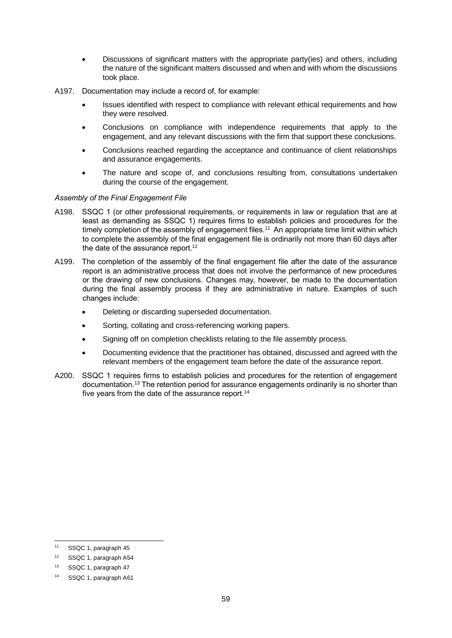- Discussions of significant matters with the appropriate party(ies) and others, including the nature of the significant matters discussed and when and with whom the discussions took place.
- A197. Documentation may include a record of, for example:
	- Issues identified with respect to compliance with relevant ethical requirements and how they were resolved.
	- Conclusions on compliance with independence requirements that apply to the engagement, and any relevant discussions with the firm that support these conclusions.
	- Conclusions reached regarding the acceptance and continuance of client relationships and assurance engagements.
	- The nature and scope of, and conclusions resulting from, consultations undertaken during the course of the engagement.

# *Assembly of the Final Engagement File*

- A198. SSQC 1 (or other professional requirements, or requirements in law or regulation that are at least as demanding as SSQC 1) requires firms to establish policies and procedures for the timely completion of the assembly of engagement files.<sup>11</sup> An appropriate time limit within which to complete the assembly of the final engagement file is ordinarily not more than 60 days after the date of the assurance report.<sup>12</sup>
- A199. The completion of the assembly of the final engagement file after the date of the assurance report is an administrative process that does not involve the performance of new procedures or the drawing of new conclusions. Changes may, however, be made to the documentation during the final assembly process if they are administrative in nature. Examples of such changes include:
	- Deleting or discarding superseded documentation.
	- Sorting, collating and cross-referencing working papers.
	- Signing off on completion checklists relating to the file assembly process.
	- Documenting evidence that the practitioner has obtained, discussed and agreed with the relevant members of the engagement team before the date of the assurance report.
- A200. SSQC 1 requires firms to establish policies and procedures for the retention of engagement documentation.<sup>13</sup> The retention period for assurance engagements ordinarily is no shorter than five years from the date of the assurance report.<sup>14</sup>

<sup>11</sup> SSQC 1, paragraph 45

<sup>12</sup> SSQC 1, paragraph A54

<sup>13</sup> SSQC 1, paragraph 47

<sup>14</sup> SSQC 1, paragraph A61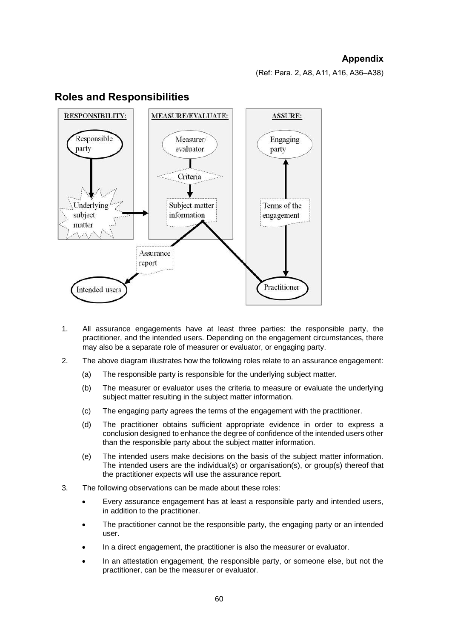# **Appendix**

(Ref: Para. 2, A8, A11, A16, A36–A38)



# **Roles and Responsibilities**

- 1. All assurance engagements have at least three parties: the responsible party, the practitioner, and the intended users. Depending on the engagement circumstances, there may also be a separate role of measurer or evaluator, or engaging party.
- 2. The above diagram illustrates how the following roles relate to an assurance engagement:
	- (a) The responsible party is responsible for the underlying subject matter.
	- (b) The measurer or evaluator uses the criteria to measure or evaluate the underlying subject matter resulting in the subject matter information.
	- (c) The engaging party agrees the terms of the engagement with the practitioner.
	- (d) The practitioner obtains sufficient appropriate evidence in order to express a conclusion designed to enhance the degree of confidence of the intended users other than the responsible party about the subject matter information.
	- (e) The intended users make decisions on the basis of the subject matter information. The intended users are the individual(s) or organisation(s), or group(s) thereof that the practitioner expects will use the assurance report.
- 3. The following observations can be made about these roles:
	- Every assurance engagement has at least a responsible party and intended users, in addition to the practitioner.
	- The practitioner cannot be the responsible party, the engaging party or an intended user.
	- In a direct engagement, the practitioner is also the measurer or evaluator.
	- In an attestation engagement, the responsible party, or someone else, but not the practitioner, can be the measurer or evaluator.